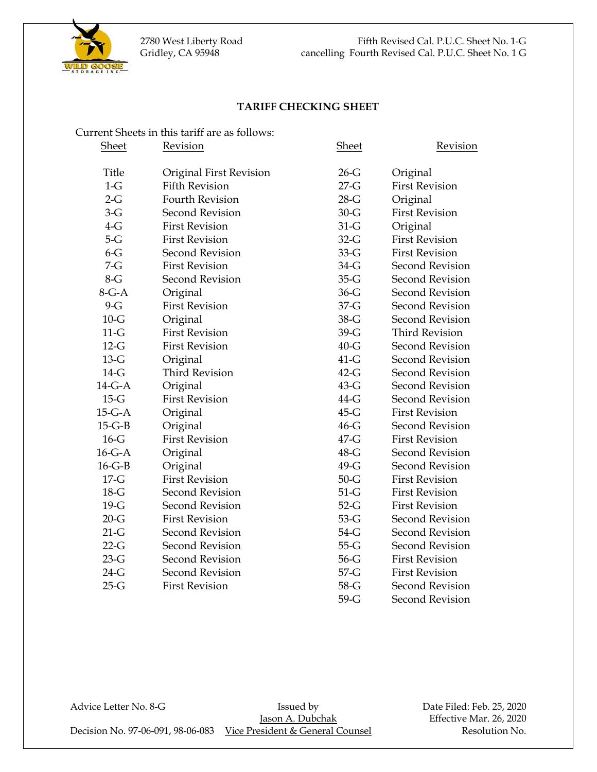

### **TARIFF CHECKING SHEET**

|              | Current Sheets in this tariff are as follows: |              |                        |
|--------------|-----------------------------------------------|--------------|------------------------|
| <b>Sheet</b> | <b>Revision</b>                               | <b>Sheet</b> | <b>Revision</b>        |
|              |                                               |              |                        |
| <b>Title</b> | Original First Revision                       | $26-G$       | Original               |
| $1-G$        | <b>Fifth Revision</b>                         | $27-G$       | <b>First Revision</b>  |
| $2-G$        | <b>Fourth Revision</b>                        | $28-G$       | Original               |
| $3-G$        | <b>Second Revision</b>                        | $30 - G$     | <b>First Revision</b>  |
| $4-G$        | <b>First Revision</b>                         | $31-G$       | Original               |
| $5-G$        | <b>First Revision</b>                         | $32-G$       | <b>First Revision</b>  |
| $6 - G$      | <b>Second Revision</b>                        | $33-G$       | <b>First Revision</b>  |
| $7-G$        | <b>First Revision</b>                         | $34-G$       | <b>Second Revision</b> |
| $8-G$        | <b>Second Revision</b>                        | $35-G$       | <b>Second Revision</b> |
| $8-G-A$      | Original                                      | $36-G$       | <b>Second Revision</b> |
| $9-G$        | <b>First Revision</b>                         | $37 - G$     | <b>Second Revision</b> |
| $10-G$       | Original                                      | $38-G$       | <b>Second Revision</b> |
| $11-G$       | <b>First Revision</b>                         | 39-G         | <b>Third Revision</b>  |
| $12-G$       | <b>First Revision</b>                         | $40 - G$     | <b>Second Revision</b> |
| $13-G$       | Original                                      | $41-G$       | <b>Second Revision</b> |
| $14-G$       | <b>Third Revision</b>                         | $42-G$       | <b>Second Revision</b> |
| $14-G-A$     | Original                                      | $43-G$       | <b>Second Revision</b> |
| $15-G$       | <b>First Revision</b>                         | 44-G         | Second Revision        |
| $15-G-A$     | Original                                      | $45-G$       | <b>First Revision</b>  |
| $15-G-B$     | Original                                      | $46-G$       | <b>Second Revision</b> |
| $16-G$       | <b>First Revision</b>                         | $47 - G$     | <b>First Revision</b>  |
| $16-G-A$     | Original                                      | 48-G         | <b>Second Revision</b> |
| $16 - G - B$ | Original                                      | 49-G         | <b>Second Revision</b> |
| $17-G$       | <b>First Revision</b>                         | $50 - G$     | <b>First Revision</b>  |
| $18-G$       | <b>Second Revision</b>                        | $51-G$       | <b>First Revision</b>  |
| $19-G$       | <b>Second Revision</b>                        | $52-G$       | <b>First Revision</b>  |
| $20 - G$     | <b>First Revision</b>                         | $53-G$       | <b>Second Revision</b> |
| $21-G$       | <b>Second Revision</b>                        | $54-G$       | <b>Second Revision</b> |
| $22-G$       | <b>Second Revision</b>                        | $55-G$       | <b>Second Revision</b> |
|              | <b>Second Revision</b>                        |              | <b>First Revision</b>  |
| $23-G$       |                                               | $56-G$       |                        |
| $24-G$       | <b>Second Revision</b>                        | $57-G$       | <b>First Revision</b>  |
| $25-G$       | <b>First Revision</b>                         | $58-G$       | <b>Second Revision</b> |
|              |                                               | $59-G$       | Second Revision        |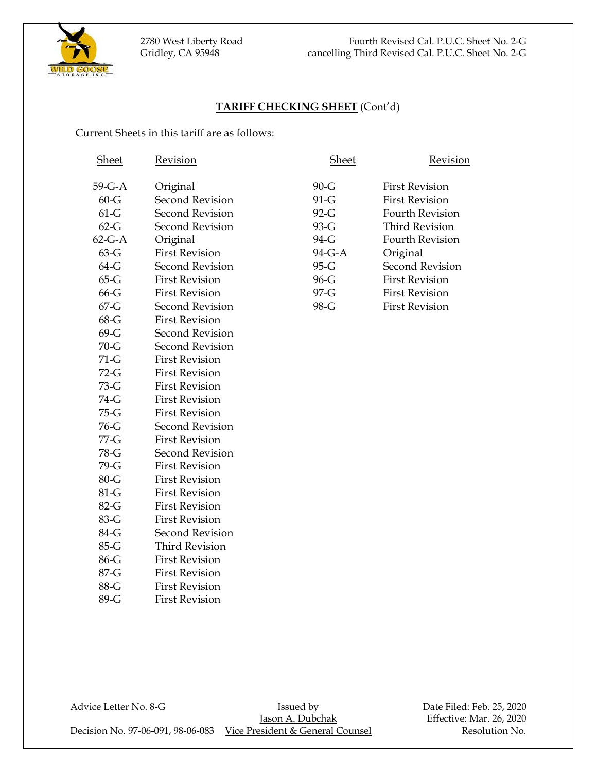

## **TARIFF CHECKING SHEET** (Cont'd)

Current Sheets in this tariff are as follows:

| <b>Sheet</b> | Revision               | <b>Sheet</b> | Revision               |
|--------------|------------------------|--------------|------------------------|
| $59-G-A$     | Original               | $90-G$       | <b>First Revision</b>  |
| $60 - G$     | <b>Second Revision</b> | $91-G$       | <b>First Revision</b>  |
| $61-G$       | <b>Second Revision</b> | $92-G$       | <b>Fourth Revision</b> |
| $62-G$       | <b>Second Revision</b> | 93-G         | <b>Third Revision</b>  |
| $62-G-A$     | Original               | 94-G         | <b>Fourth Revision</b> |
| $63-G$       | <b>First Revision</b>  | 94-G-A       | Original               |
| $64-G$       | <b>Second Revision</b> | 95-G         | <b>Second Revision</b> |
| $65-G$       | <b>First Revision</b>  | 96-G         | <b>First Revision</b>  |
| $66 - G$     | <b>First Revision</b>  | 97-G         | <b>First Revision</b>  |
| $67 - G$     | <b>Second Revision</b> | 98-G         | <b>First Revision</b>  |
| $68-G$       | <b>First Revision</b>  |              |                        |
| $69-G$       | <b>Second Revision</b> |              |                        |
| $70 - G$     | <b>Second Revision</b> |              |                        |
| $71-G$       | <b>First Revision</b>  |              |                        |
| $72-G$       | <b>First Revision</b>  |              |                        |
| $73-G$       | <b>First Revision</b>  |              |                        |
| 74-G         | <b>First Revision</b>  |              |                        |
| $75-G$       | <b>First Revision</b>  |              |                        |
| $76-G$       | <b>Second Revision</b> |              |                        |
| 77-G         | <b>First Revision</b>  |              |                        |
| 78-G         | <b>Second Revision</b> |              |                        |
| 79-G         | <b>First Revision</b>  |              |                        |
| $80 - G$     | <b>First Revision</b>  |              |                        |
| $81-G$       | <b>First Revision</b>  |              |                        |
| 82-G         | <b>First Revision</b>  |              |                        |
| 83-G         | <b>First Revision</b>  |              |                        |
| 84-G         | <b>Second Revision</b> |              |                        |
| $85-G$       | <b>Third Revision</b>  |              |                        |
| 86-G         | <b>First Revision</b>  |              |                        |
| 87-G         | <b>First Revision</b>  |              |                        |
| 88-G         | <b>First Revision</b>  |              |                        |
| 89-G         | <b>First Revision</b>  |              |                        |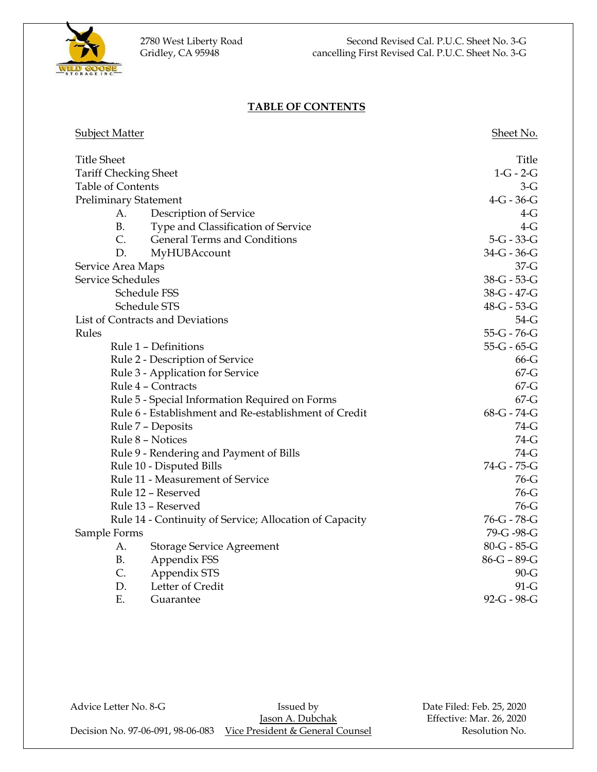

## **TABLE OF CONTENTS**

| <b>Subject Matter</b>        |                                                         | Sheet No.     |
|------------------------------|---------------------------------------------------------|---------------|
| <b>Title Sheet</b>           |                                                         | Title         |
| <b>Tariff Checking Sheet</b> |                                                         | $1-G - 2-G$   |
| Table of Contents            |                                                         | $3-G$         |
| <b>Preliminary Statement</b> |                                                         | $4-G - 36-G$  |
| A.                           | Description of Service                                  | $4-G$         |
| <b>B.</b>                    | Type and Classification of Service                      | $4-G$         |
| $\mathcal{C}$ .              | General Terms and Conditions                            | $5-G - 33-G$  |
| D.                           | MyHUBAccount                                            | $34-G - 36-G$ |
| Service Area Maps            |                                                         | $37 - G$      |
| Service Schedules            |                                                         | 38-G - 53-G   |
|                              | Schedule FSS                                            | 38-G - 47-G   |
|                              | Schedule STS                                            | 48-G - 53-G   |
|                              | List of Contracts and Deviations                        | $54-G$        |
| Rules                        |                                                         | $55-G - 76-G$ |
|                              | Rule 1 - Definitions                                    | $55-G - 65-G$ |
|                              | Rule 2 - Description of Service                         | $66-G$        |
|                              | Rule 3 - Application for Service                        | $67 - G$      |
|                              | Rule 4 - Contracts                                      | $67 - G$      |
|                              | Rule 5 - Special Information Required on Forms          | $67 - G$      |
|                              | Rule 6 - Establishment and Re-establishment of Credit   | 68-G - 74-G   |
|                              | Rule 7 - Deposits                                       | 74-G          |
|                              | Rule 8 - Notices                                        | 74-G          |
|                              | Rule 9 - Rendering and Payment of Bills                 | 74-G          |
|                              | Rule 10 - Disputed Bills                                | 74-G - 75-G   |
|                              | Rule 11 - Measurement of Service                        | $76-G$        |
|                              | Rule 12 - Reserved                                      | $76-G$        |
|                              | Rule 13 - Reserved                                      | $76-G$        |
|                              | Rule 14 - Continuity of Service; Allocation of Capacity | 76-G - 78-G   |
| Sample Forms                 |                                                         | 79-G-98-G     |
| А.                           | <b>Storage Service Agreement</b>                        | $80-G - 85-G$ |
| <b>B.</b>                    | Appendix FSS                                            | $86-G - 89-G$ |
| C.                           | Appendix STS                                            | $90 - G$      |
| D.                           | Letter of Credit                                        | $91-G$        |
| Ε.                           | Guarantee                                               | 92-G - 98-G   |

Advice Letter No. 8-G Issued by Bassued by Date Filed: Feb. 25, 2020<br>Issued by Date Filed: Feb. 25, 2020 Decision No. 97-06-091, 98-06-083 Vice President & General Counsel Resolution No.

Effective: Mar. 26, 2020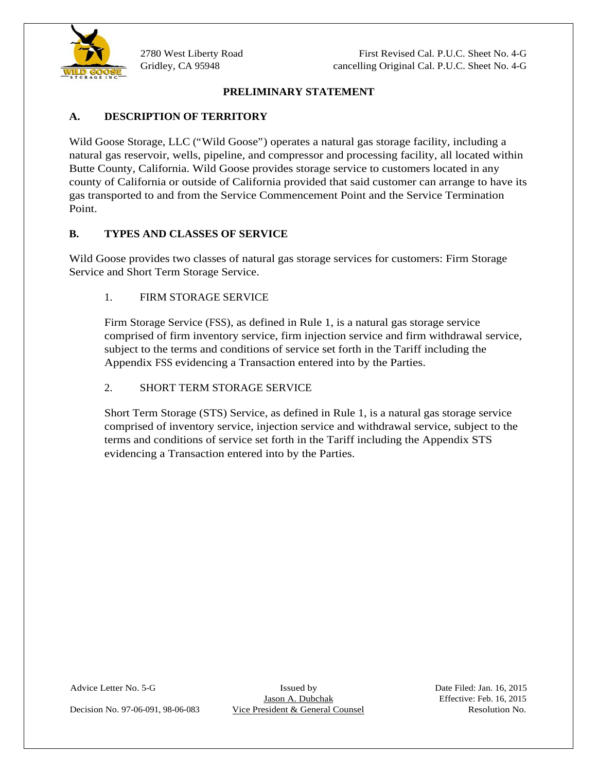

## **PRELIMINARY STATEMENT**

# **A. DESCRIPTION OF TERRITORY**

Wild Goose Storage, LLC ("Wild Goose") operates a natural gas storage facility, including a natural gas reservoir, wells, pipeline, and compressor and processing facility, all located within Butte County, California. Wild Goose provides storage service to customers located in any county of California or outside of California provided that said customer can arrange to have its gas transported to and from the Service Commencement Point and the Service Termination Point.

## **B. TYPES AND CLASSES OF SERVICE**

Wild Goose provides two classes of natural gas storage services for customers: Firm Storage Service and Short Term Storage Service.

## 1. FIRM STORAGE SERVICE

Firm Storage Service (FSS), as defined in Rule 1, is a natural gas storage service comprised of firm inventory service, firm injection service and firm withdrawal service, subject to the terms and conditions of service set forth in the Tariff including the Appendix FSS evidencing a Transaction entered into by the Parties.

## 2. SHORT TERM STORAGE SERVICE

Short Term Storage (STS) Service, as defined in Rule 1, is a natural gas storage service comprised of inventory service, injection service and withdrawal service, subject to the terms and conditions of service set forth in the Tariff including the Appendix STS evidencing a Transaction entered into by the Parties.

Decision No. 97-06-091, 98-06-083 Vice President & General Counsel Resolution No.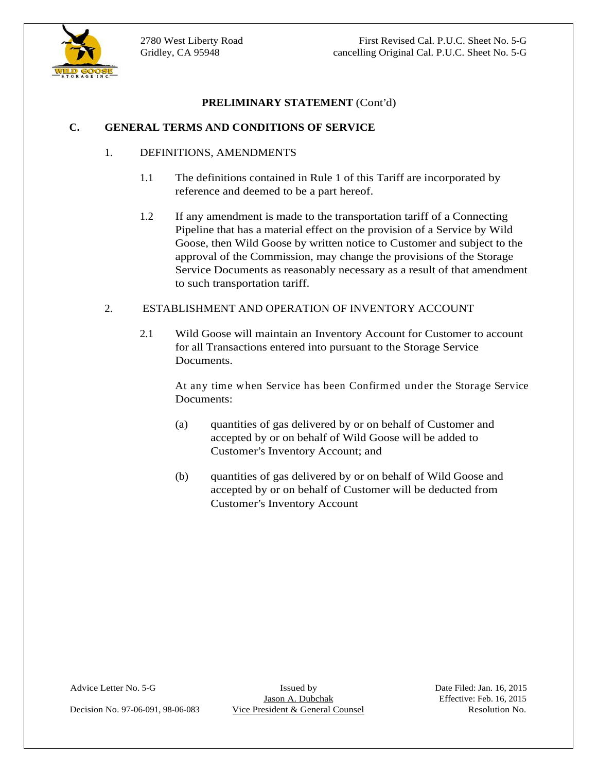

### **C. GENERAL TERMS AND CONDITIONS OF SERVICE**

### 1. DEFINITIONS, AMENDMENTS

- 1.1 The definitions contained in Rule 1 of this Tariff are incorporated by reference and deemed to be a part hereof.
- **EXELUMINARY STATEMENT** (Cont'd)<br>
1. DEFINITIONS, AMEXIMIENTS<br>
1.1 The definitions contained in Rule 1 of this Tariff are incorporated by<br>
refrestors and telemetal the he para brenet<br>
2. Hany amoredness in these president 1.2 If any amendment is made to the transportation tariff of a Connecting Pipeline that has a material effect on the provision of a Service by Wild Goose, then Wild Goose by written notice to Customer and subject to the approval of the Commission, may change the provisions of the Storage Service Documents as reasonably necessary as a result of that amendment to such transportation tariff.

### 2. ESTABLISHMENT AND OPERATION OF INVENTORY ACCOUNT

2.1 Wild Goose will maintain an Inventory Account for Customer to account for all Transactions entered into pursuant to the Storage Service Documents.

At any time when Service has been Confirmed under the Storage Service Documents:

- (a) quantities of gas delivered by or on behalf of Customer and accepted by or on behalf of Wild Goose will be added to Customer's Inventory Account; and
- (b) quantities of gas delivered by or on behalf of Wild Goose and accepted by or on behalf of Customer will be deducted from Customer's Inventory Account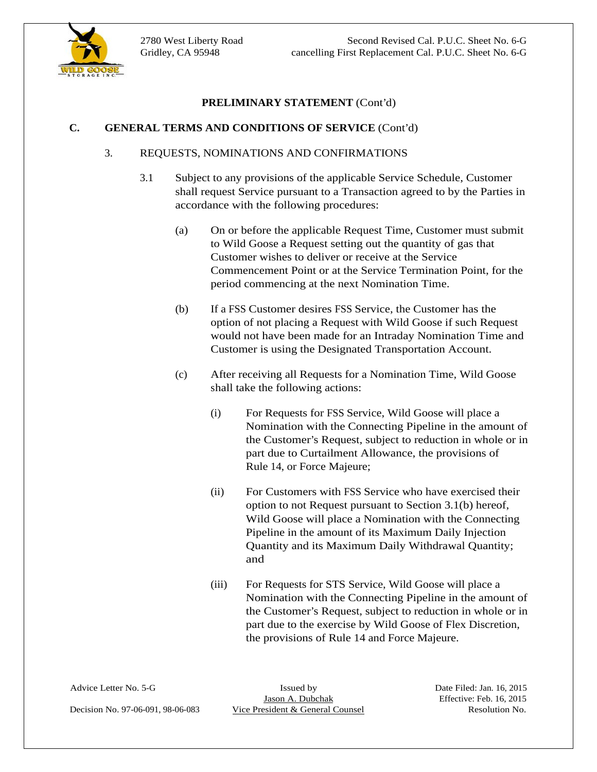



## **C. GENERAL TERMS AND CONDITIONS OF SERVICE** (Cont'd)

## 3. REQUESTS, NOMINATIONS AND CONFIRMATIONS

- 3.1 Subject to any provisions of the applicable Service Schedule, Customer shall request Service pursuant to a Transaction agreed to by the Parties in accordance with the following procedures:
	- (a) On or before the applicable Request Time, Customer must submit to Wild Goose a Request setting out the quantity of gas that Customer wishes to deliver or receive at the Service Commencement Point or at the Service Termination Point, for the period commencing at the next Nomination Time.
	- (b) If a FSS Customer desires FSS Service, the Customer has the option of not placing a Request with Wild Goose if such Request would not have been made for an Intraday Nomination Time and Customer is using the Designated Transportation Account.
	- (c) After receiving all Requests for a Nomination Time, Wild Goose shall take the following actions:
		- (i) For Requests for FSS Service, Wild Goose will place a Nomination with the Connecting Pipeline in the amount of the Customer's Request, subject to reduction in whole or in part due to Curtailment Allowance, the provisions of Rule 14, or Force Majeure;
- **EXELUMINARY STATEMENT** (Cont'd)<br>
3. **REOUESTS. NOMON TONOS AND CONFINEALTICNS**<br>
3. **REOUESTS. NOMON TONOS AND CONFINEALTICNS**<br>
3. **Subject to any provisions of the applicable Service Schedule, Counser<br>
5.1 Subject to any** (ii) For Customers with FSS Service who have exercised their option to not Request pursuant to Section 3.1(b) hereof, Wild Goose will place a Nomination with the Connecting Pipeline in the amount of its Maximum Daily Injection Quantity and its Maximum Daily Withdrawal Quantity; and the contract of the contract of the contract of the contract of the contract of the contract of the contract of the contract of the contract of the contract of the contract of the contract of the contract of the contra
	- (iii) For Requests for STS Service, Wild Goose will place a Nomination with the Connecting Pipeline in the amount of the Customer's Request, subject to reduction in whole or in part due to the exercise by Wild Goose of Flex Discretion, the provisions of Rule 14 and Force Majeure.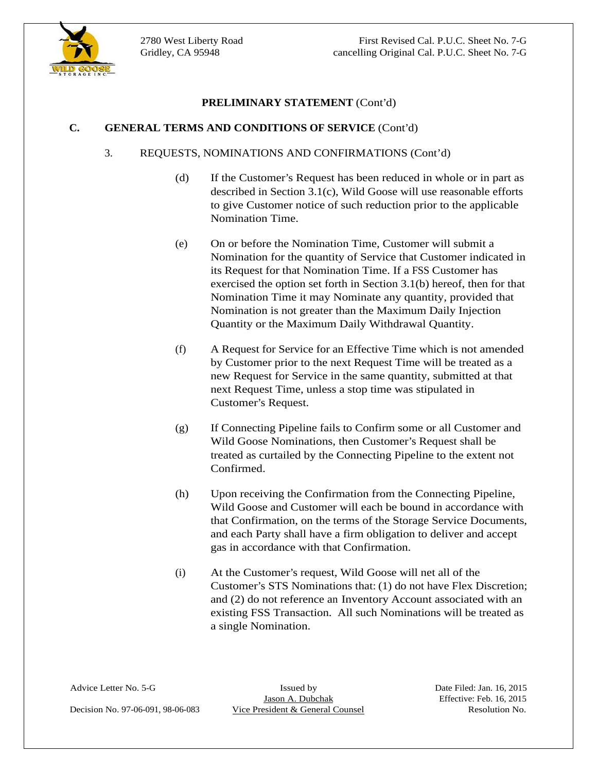

### **C. GENERAL TERMS AND CONDITIONS OF SERVICE** (Cont'd)

### 3. REQUESTS, NOMINATIONS AND CONFIRMATIONS (Cont'd)

- (d) If the Customer's Request has been reduced in whole or in part as described in Section 3.1(c), Wild Goose will use reasonable efforts to give Customer notice of such reduction prior to the applicable Nomination Time.
- (e) On or before the Nomination Time, Customer will submit a Nomination for the quantity of Service that Customer indicated in its Request for that Nomination Time. If a FSS Customer has exercised the option set forth in Section 3.1(b) hereof, then for that Nomination Time it may Nominate any quantity, provided that Nomination is not greater than the Maximum Daily Injection Quantity or the Maximum Daily Withdrawal Quantity.
- (f) A Request for Service for an Effective Time which is not amended by Customer prior to the next Request Time will be treated as a new Request for Service in the same quantity, submitted at that next Request Time, unless a stop time was stipulated in Customer's Request.
- (g) If Connecting Pipeline fails to Confirm some or all Customer and Wild Goose Nominations, then Customer's Request shall be treated as curtailed by the Connecting Pipeline to the extent not Confirmed.
- (h) Upon receiving the Confirmation from the Connecting Pipeline, Wild Goose and Customer will each be bound in accordance with that Confirmation, on the terms of the Storage Service Documents, and each Party shall have a firm obligation to deliver and accept gas in accordance with that Confirmation.
- (i) At the Customer's request, Wild Goose will net all of the Customer's STS Nominations that: (1) do not have Flex Discretion; and (2) do not reference an Inventory Account associated with an existing FSS Transaction. All such Nominations will be treated as a single Nomination.

Advice Letter No. 5-G Issued by Issued by Date Filed: Jan. 16, 2015<br>Jason A. Dubchak Effective: Feb. 16, 2015 Decision No. 97-06-091, 98-06-083 Vice President & General Counsel Resolution No.



 $\overline{a}$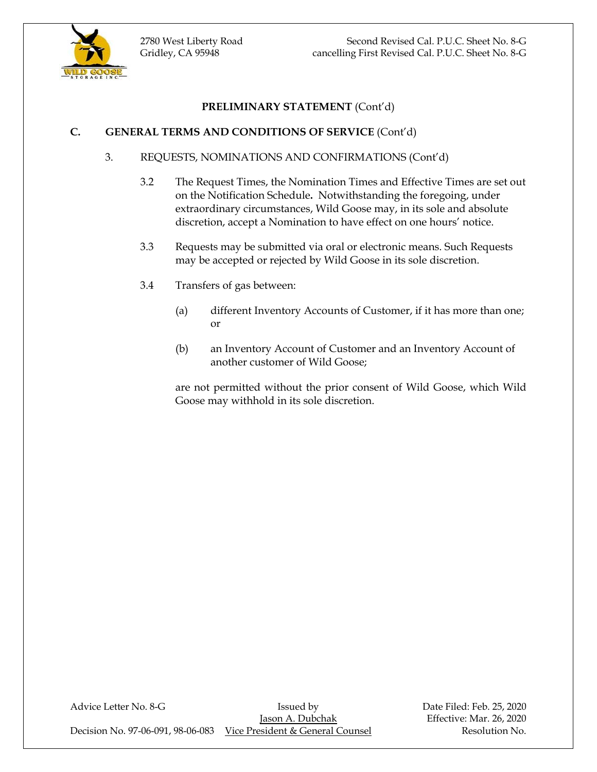

## **C. GENERAL TERMS AND CONDITIONS OF SERVICE** (Cont'd)

- 3. REQUESTS, NOMINATIONS AND CONFIRMATIONS (Cont'd)
	- 3.2 The Request Times, the Nomination Times and Effective Times are set out on the Notification Schedule**.** Notwithstanding the foregoing, under extraordinary circumstances, Wild Goose may, in its sole and absolute discretion, accept a Nomination to have effect on one hours' notice.
	- 3.3 Requests may be submitted via oral or electronic means. Such Requests may be accepted or rejected by Wild Goose in its sole discretion.
	- 3.4 Transfers of gas between:
		- (a) different Inventory Accounts of Customer, if it has more than one; or
		- (b) an Inventory Account of Customer and an Inventory Account of another customer of Wild Goose;

are not permitted without the prior consent of Wild Goose, which Wild Goose may withhold in its sole discretion.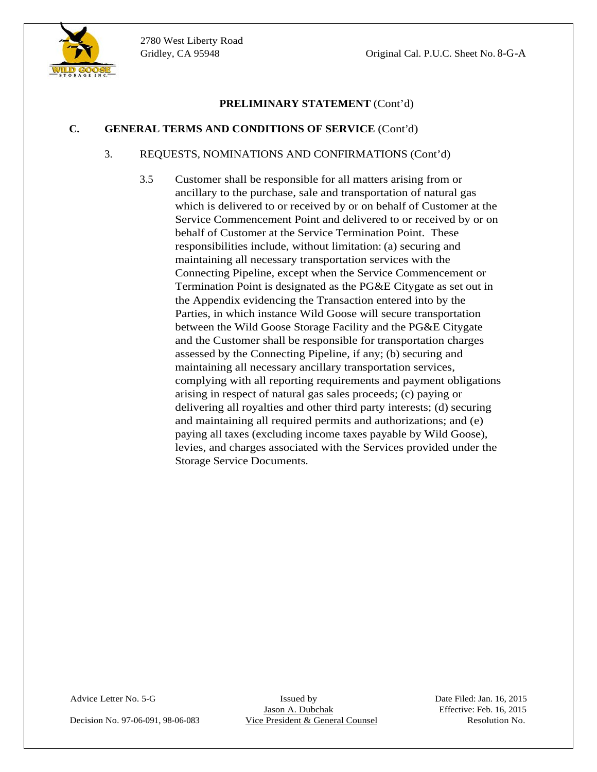

## **C. GENERAL TERMS AND CONDITIONS OF SERVICE** (Cont'd)

### 3. REQUESTS, NOMINATIONS AND CONFIRMATIONS (Cont'd)

3.5 Customer shall be responsible for all matters arising from or ancillary to the purchase, sale and transportation of natural gas which is delivered to or received by or on behalf of Customer at the Service Commencement Point and delivered to or received by or on behalf of Customer at the Service Termination Point. These responsibilities include, without limitation: (a) securing and maintaining all necessary transportation services with the Connecting Pipeline, except when the Service Commencement or Termination Point is designated as the PG&E Citygate as set out in the Appendix evidencing the Transaction entered into by the Parties, in which instance Wild Goose will secure transportation between the Wild Goose Storage Facility and the PG&E Citygate and the Customer shall be responsible for transportation charges assessed by the Connecting Pipeline, if any; (b) securing and maintaining all necessary ancillary transportation services, complying with all reporting requirements and payment obligations arising in respect of natural gas sales proceeds; (c) paying or delivering all royalties and other third party interests; (d) securing and maintaining all required permits and authorizations; and (e) paying all taxes (excluding income taxes payable by Wild Goose), levies, and charges associated with the Services provided under the Storage Service Documents.

Advice Letter No. 5-G Issued by Issued by Date Filed: Jan. 16, 2015<br>Jason A. Dubchak Effective: Feb. 16, 2015 Decision No. 97-06-091, 98-06-083 Vice President & General Counsel Resolution No.

Resolution No.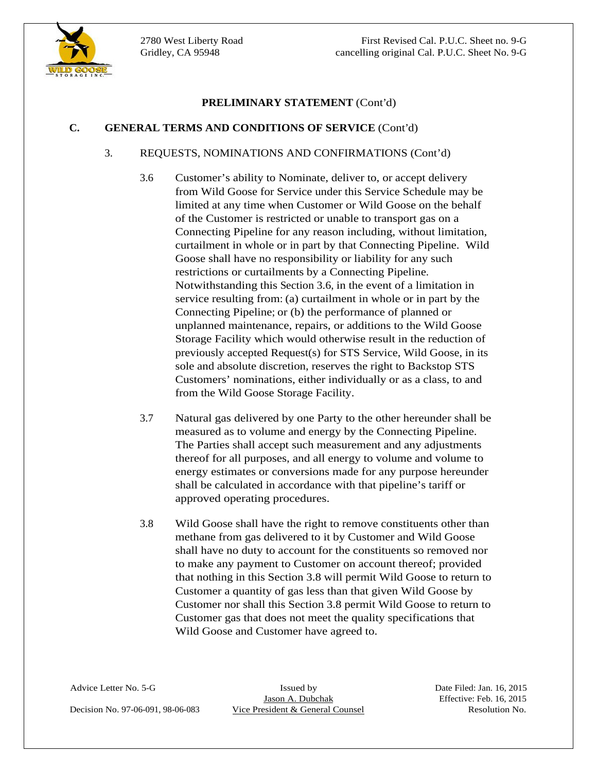# **C. GENERAL TERMS AND CONDITIONS OF SERVICE** (Cont'd)

## 3. REQUESTS, NOMINATIONS AND CONFIRMATIONS (Cont'd)

- **EXELUMINARY STATEMENT** (Cont'd)<br>
3. **REQUESTS. NOMONTITONS AND CONFIRMATIONS** (Cont'd)<br>
3. **REQUESTS. NOMINATIONS AND CONFIRMATIONS** (Cont'd)<br>
3. **Customer's ability to Norminan, deliver to, or accept delivery**<br>
5. **Custo** 3.6 Customer's ability to Nominate, deliver to, or accept delivery from Wild Goose for Service under this Service Schedule may be limited at any time when Customer or Wild Goose on the behalf of the Customer is restricted or unable to transport gas on a Connecting Pipeline for any reason including, without limitation, curtailment in whole or in part by that Connecting Pipeline. Wild Goose shall have no responsibility or liability for any such restrictions or curtailments by a Connecting Pipeline. Notwithstanding this Section 3.6, in the event of a limitation in service resulting from: (a) curtailment in whole or in part by the Connecting Pipeline; or (b) the performance of planned or unplanned maintenance, repairs, or additions to the Wild Goose Storage Facility which would otherwise result in the reduction of previously accepted Request(s) for STS Service, Wild Goose, in its sole and absolute discretion, reserves the right to Backstop STS Customers' nominations, either individually or as a class, to and from the Wild Goose Storage Facility.
	- 3.7 Natural gas delivered by one Party to the other hereunder shall be measured as to volume and energy by the Connecting Pipeline. The Parties shall accept such measurement and any adjustments thereof for all purposes, and all energy to volume and volume to energy estimates or conversions made for any purpose hereunder shall be calculated in accordance with that pipeline's tariff or approved operating procedures.
	- 3.8 Wild Goose shall have the right to remove constituents other than methane from gas delivered to it by Customer and Wild Goose shall have no duty to account for the constituents so removed nor to make any payment to Customer on account thereof; provided that nothing in this Section 3.8 will permit Wild Goose to return to Customer a quantity of gas less than that given Wild Goose by Customer nor shall this Section 3.8 permit Wild Goose to return to Customer gas that does not meet the quality specifications that Wild Goose and Customer have agreed to.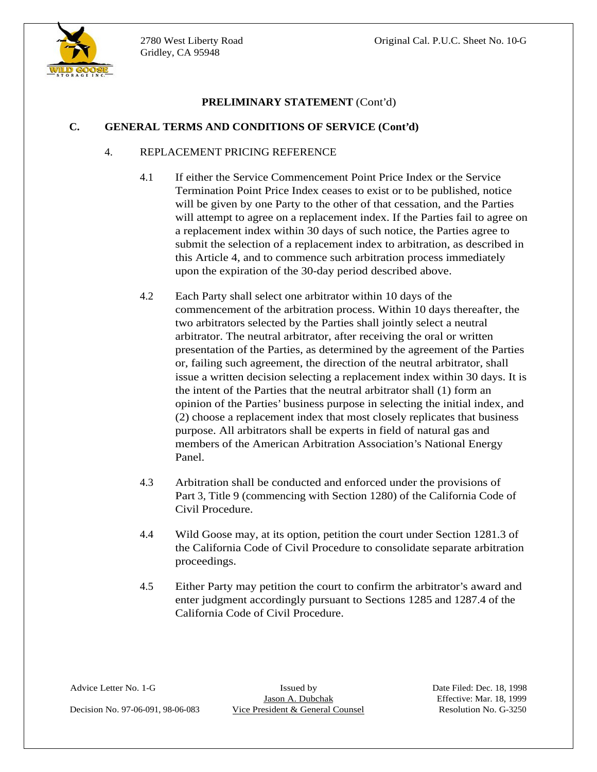

## **C. GENERAL TERMS AND CONDITIONS OF SERVICE (Cont'd)**

## 4. REPLACEMENT PRICING REFERENCE

- 4.1 If either the Service Commencement Point Price Index or the Service Termination Point Price Index ceases to exist or to be published, notice will be given by one Party to the other of that cessation, and the Parties will attempt to agree on a replacement index. If the Parties fail to agree on a replacement index within 30 days of such notice, the Parties agree to submit the selection of a replacement index to arbitration, as described in this Article 4, and to commence such arbitration process immediately upon the expiration of the 30-day period described above.
- Gridley, CA 95948 **FRIELMINARY STATEMENT** (Cont'd)<br>
C. GRAFRIA: **TRIEMS** AND COVIDTITIONS OF SPREVICE (Charity)<br>
4. REPLACEMENT PRICING REFERENCES<br>
1.1 Italian to Savive Commence such a to the published, notice<br>
comment o 4.2 Each Party shall select one arbitrator within 10 days of the commencement of the arbitration process. Within 10 days thereafter, the two arbitrators selected by the Parties shall jointly select a neutral arbitrator. The neutral arbitrator, after receiving the oral or written presentation of the Parties, as determined by the agreement of the Parties or, failing such agreement, the direction of the neutral arbitrator, shall issue a written decision selecting a replacement index within 30 days. It is the intent of the Parties that the neutral arbitrator shall (1) form an opinion of the Parties' business purpose in selecting the initial index, and (2) choose a replacement index that most closely replicates that business purpose. All arbitrators shall be experts in field of natural gas and members of the American Arbitration Association's National Energy Panel.
	- 4.3 Arbitration shall be conducted and enforced under the provisions of Part 3, Title 9 (commencing with Section 1280) of the California Code of Civil Procedure.
	- 4.4 Wild Goose may, at its option, petition the court under Section 1281.3 of the California Code of Civil Procedure to consolidate separate arbitration proceedings.
	- 4.5 Either Party may petition the court to confirm the arbitrator's award and enter judgment accordingly pursuant to Sections 1285 and 1287.4 of the California Code of Civil Procedure.

Decision No. 97-06-091, 98-06-083 Vice President & General Counsel Resolution No. G-3250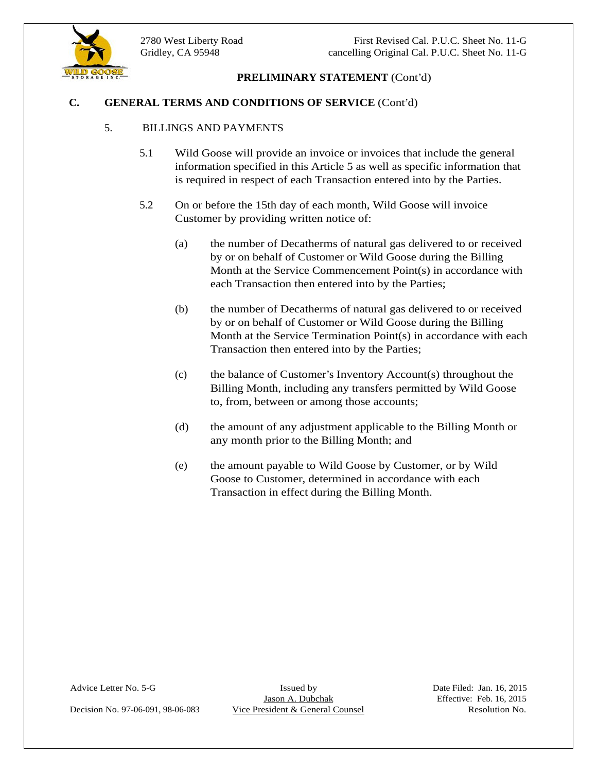



### **C. GENERAL TERMS AND CONDITIONS OF SERVICE** (Cont'd)

### 5. BILLINGS AND PAYMENTS

- 5.1 Wild Goose will provide an invoice or invoices that include the general information specified in this Article 5 as well as specific information that is required in respect of each Transaction entered into by the Parties.
- 5.2 On or before the 15th day of each month, Wild Goose will invoice Customer by providing written notice of:
	- (a) the number of Decatherms of natural gas delivered to or received by or on behalf of Customer or Wild Goose during the Billing Month at the Service Commencement Point(s) in accordance with each Transaction then entered into by the Parties;
	- (b) the number of Decatherms of natural gas delivered to or received by or on behalf of Customer or Wild Goose during the Billing Month at the Service Termination Point(s) in accordance with each Transaction then entered into by the Parties;
	- (c) the balance of Customer's Inventory Account(s) throughout the Billing Month, including any transfers permitted by Wild Goose to, from, between or among those accounts;
	- (d) the amount of any adjustment applicable to the Billing Month or any month prior to the Billing Month; and
	- (e) the amount payable to Wild Goose by Customer, or by Wild Goose to Customer, determined in accordance with each Transaction in effect during the Billing Month.

Advice Letter No. 5-G Issued by Issued by Date Filed: Jan. 16, 2015<br>Jason A. Dubchak Effective: Feb. 16, 2015

Decision No. 97-06-091, 98-06-083 Vice President & General Counsel Resolution No.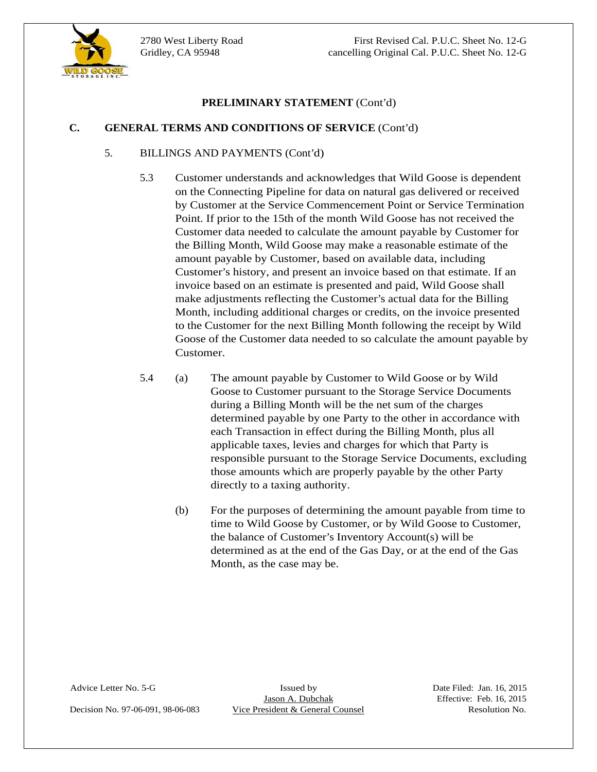

## **C. GENERAL TERMS AND CONDITIONS OF SERVICE** (Cont'd)

### 5. BILLINGS AND PAYMENTS (Cont'd)

- **EXELUMINARY STATEMENT** (Cont'd)<br>
S. **EILINGS AND CANDITYITS Cont'd)**<br>
S. **BILINGS AND CANDITYITS Cont'd)**<br>
S. **Chromer inner-tender and achrossing periodic Torresionel Contenent Counsel Counsel Counsel Counsel Counsel Cou** 5.3 Customer understands and acknowledges that Wild Goose is dependent on the Connecting Pipeline for data on natural gas delivered or received by Customer at the Service Commencement Point or Service Termination Point. If prior to the 15th of the month Wild Goose has not received the Customer data needed to calculate the amount payable by Customer for the Billing Month, Wild Goose may make a reasonable estimate of the amount payable by Customer, based on available data, including Customer's history, and present an invoice based on that estimate. If an invoice based on an estimate is presented and paid, Wild Goose shall make adjustments reflecting the Customer's actual data for the Billing Month, including additional charges or credits, on the invoice presented to the Customer for the next Billing Month following the receipt by Wild Goose of the Customer data needed to so calculate the amount payable by Customer.
	- 5.4 (a) The amount payable by Customer to Wild Goose or by Wild Goose to Customer pursuant to the Storage Service Documents during a Billing Month will be the net sum of the charges determined payable by one Party to the other in accordance with each Transaction in effect during the Billing Month, plus all applicable taxes, levies and charges for which that Party is responsible pursuant to the Storage Service Documents, excluding those amounts which are properly payable by the other Party directly to a taxing authority.
		- (b) For the purposes of determining the amount payable from time to time to Wild Goose by Customer, or by Wild Goose to Customer, the balance of Customer's Inventory Account(s) will be determined as at the end of the Gas Day, or at the end of the Gas Month, as the case may be.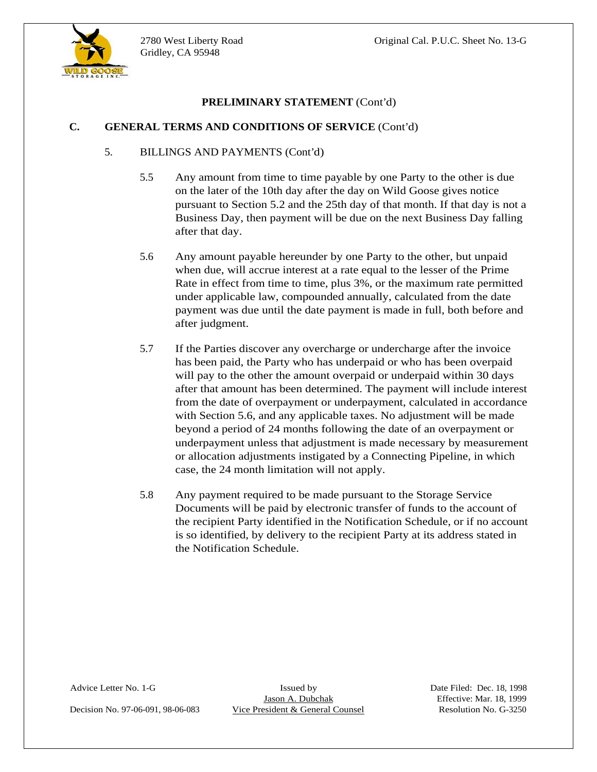

## **C. GENERAL TERMS AND CONDITIONS OF SERVICE** (Cont'd)

### 5. BILLINGS AND PAYMENTS (Cont'd)

- 5.5 Any amount from time to time payable by one Party to the other is due on the later of the 10th day after the day on Wild Goose gives notice pursuant to Section 5.2 and the 25th day of that month. If that day is not a Business Day, then payment will be due on the next Business Day falling after that day.
- 5.6 Any amount payable hereunder by one Party to the other, but unpaid when due, will accrue interest at a rate equal to the lesser of the Prime Rate in effect from time to time, plus 3%, or the maximum rate permitted under applicable law, compounded annually, calculated from the date payment was due until the date payment is made in full, both before and after judgment.
- 5.7 If the Parties discover any overcharge or undercharge after the invoice has been paid, the Party who has underpaid or who has been overpaid will pay to the other the amount overpaid or underpaid within 30 days after that amount has been determined. The payment will include interest from the date of overpayment or underpayment, calculated in accordance with Section 5.6, and any applicable taxes. No adjustment will be made beyond a period of 24 months following the date of an overpayment or underpayment unless that adjustment is made necessary by measurement or allocation adjustments instigated by a Connecting Pipeline, in which case, the 24 month limitation will not apply.
- 5.8 Any payment required to be made pursuant to the Storage Service Documents will be paid by electronic transfer of funds to the account of the recipient Party identified in the Notification Schedule, or if no account is so identified, by delivery to the recipient Party at its address stated in the Notification Schedule.

Decision No. 97-06-091, 98-06-083 Vice President & General Counsel Resolution No. G-3250

Advice Letter No. 1-G Issued by Issued by Date Filed: Dec. 18, 1998<br>Jason A. Dubchak Effective: Mar. 18, 1999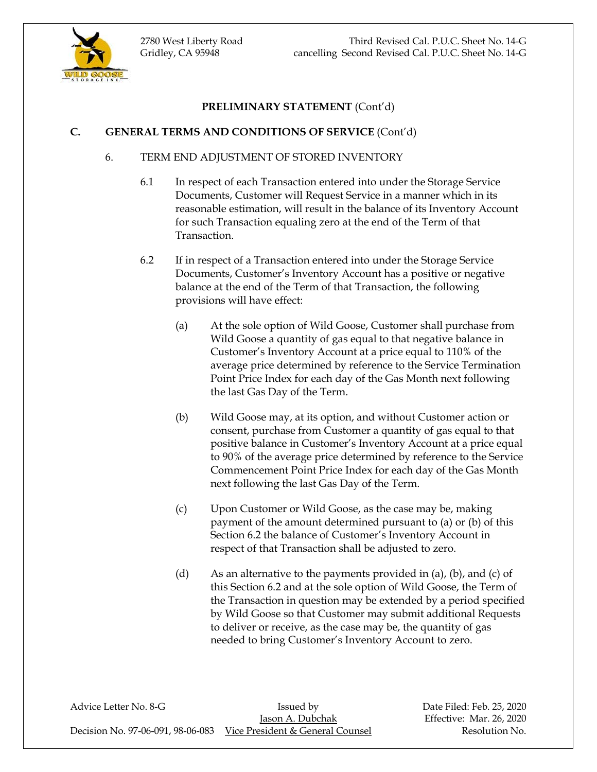



# **C. GENERAL TERMS AND CONDITIONS OF SERVICE** (Cont'd)

# 6. TERM END ADJUSTMENT OF STORED INVENTORY

- 6.1 In respect of each Transaction entered into under the Storage Service Documents, Customer will Request Service in a manner which in its reasonable estimation, will result in the balance of its Inventory Account for such Transaction equaling zero at the end of the Term of that Transaction.
- 6.2 If in respect of a Transaction entered into under the Storage Service Documents, Customer's Inventory Account has a positive or negative balance at the end of the Term of that Transaction, the following provisions will have effect:
	- (a) At the sole option of Wild Goose, Customer shall purchase from Wild Goose a quantity of gas equal to that negative balance in Customer's Inventory Account at a price equal to 110% of the average price determined by reference to the Service Termination Point Price Index for each day of the Gas Month next following the last Gas Day of the Term.
	- (b) Wild Goose may, at its option, and without Customer action or consent, purchase from Customer a quantity of gas equal to that positive balance in Customer's Inventory Account at a price equal to 90% of the average price determined by reference to the Service Commencement Point Price Index for each day of the Gas Month next following the last Gas Day of the Term.
	- (c) Upon Customer or Wild Goose, as the case may be, making payment of the amount determined pursuant to (a) or (b) of this Section 6.2 the balance of Customer's Inventory Account in respect of that Transaction shall be adjusted to zero.
	- (d) As an alternative to the payments provided in  $(a)$ ,  $(b)$ , and  $(c)$  of this Section 6.2 and at the sole option of Wild Goose, the Term of the Transaction in question may be extended by a period specified by Wild Goose so that Customer may submit additional Requests to deliver or receive, as the case may be, the quantity of gas needed to bring Customer's Inventory Account to zero.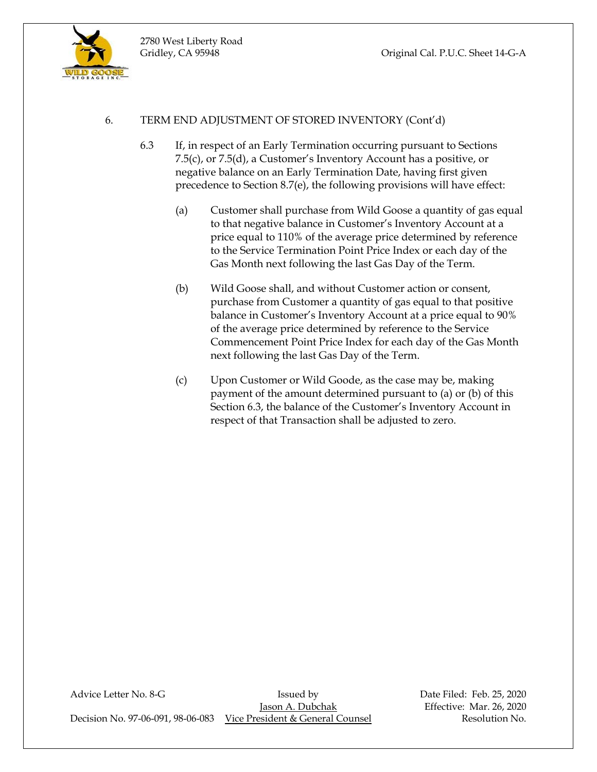

## 6. TERM END ADJUSTMENT OF STORED INVENTORY (Cont'd)

2780 West Liberty Road

- 6.3 If, in respect of an Early Termination occurring pursuant to Sections 7.5(c), or 7.5(d), a Customer's Inventory Account has a positive, or negative balance on an Early Termination Date, having first given precedence to Section 8.7(e), the following provisions will have effect:
	- (a) Customer shall purchase from Wild Goose a quantity of gas equal to that negative balance in Customer's Inventory Account at a price equal to 110% of the average price determined by reference to the Service Termination Point Price Index or each day of the Gas Month next following the last Gas Day of the Term.
	- (b) Wild Goose shall, and without Customer action or consent, purchase from Customer a quantity of gas equal to that positive balance in Customer's Inventory Account at a price equal to 90% of the average price determined by reference to the Service Commencement Point Price Index for each day of the Gas Month next following the last Gas Day of the Term.
	- (c) Upon Customer or Wild Goode, as the case may be, making payment of the amount determined pursuant to (a) or (b) of this Section 6.3, the balance of the Customer's Inventory Account in respect of that Transaction shall be adjusted to zero.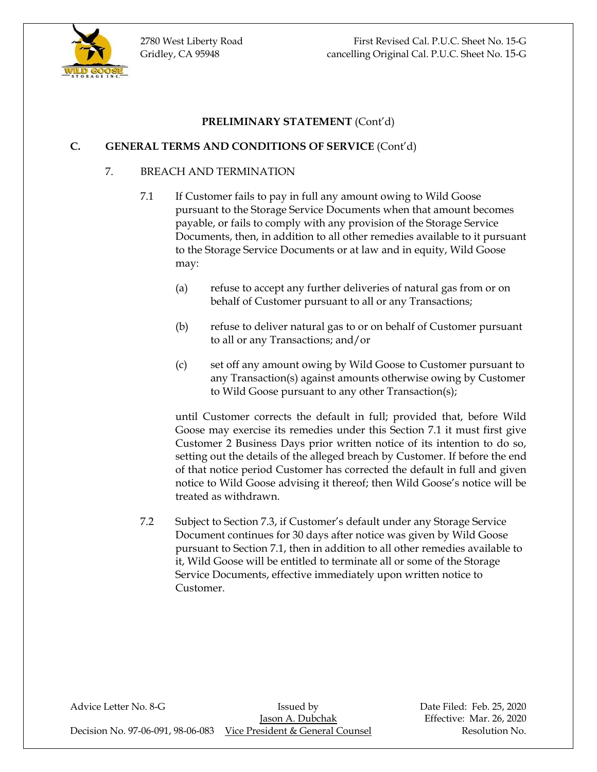

## **C. GENERAL TERMS AND CONDITIONS OF SERVICE** (Cont'd)

### 7. BREACH AND TERMINATION

- 7.1 If Customer fails to pay in full any amount owing to Wild Goose pursuant to the Storage Service Documents when that amount becomes payable, or fails to comply with any provision of the Storage Service Documents, then, in addition to all other remedies available to it pursuant to the Storage Service Documents or at law and in equity, Wild Goose may:
	- (a) refuse to accept any further deliveries of natural gas from or on behalf of Customer pursuant to all or any Transactions;
	- (b) refuse to deliver natural gas to or on behalf of Customer pursuant to all or any Transactions; and/or
	- (c) set off any amount owing by Wild Goose to Customer pursuant to any Transaction(s) against amounts otherwise owing by Customer to Wild Goose pursuant to any other Transaction(s);

until Customer corrects the default in full; provided that, before Wild Goose may exercise its remedies under this Section 7.1 it must first give Customer 2 Business Days prior written notice of its intention to do so, setting out the details of the alleged breach by Customer. If before the end of that notice period Customer has corrected the default in full and given notice to Wild Goose advising it thereof; then Wild Goose's notice will be treated as withdrawn.

7.2 Subject to Section 7.3, if Customer's default under any Storage Service Document continues for 30 days after notice was given by Wild Goose pursuant to Section 7.1, then in addition to all other remedies available to it, Wild Goose will be entitled to terminate all or some of the Storage Service Documents, effective immediately upon written notice to Customer.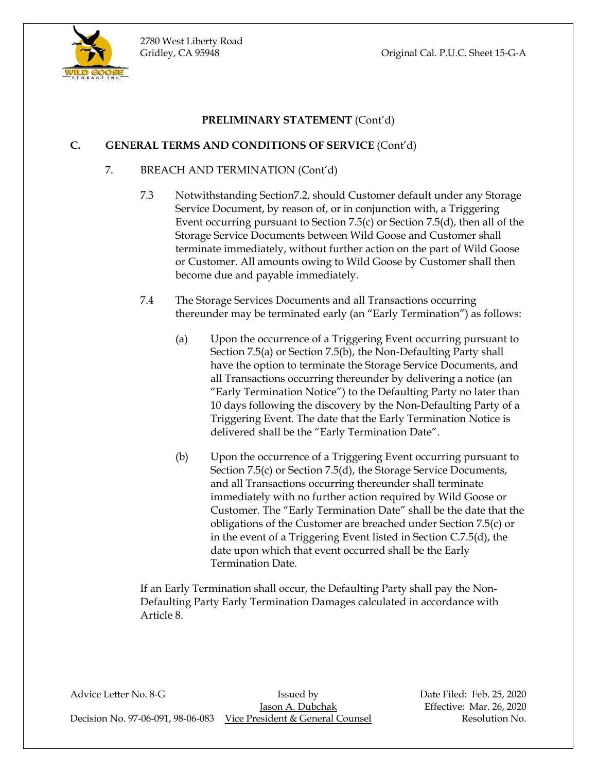

## **C. GENERAL TERMS AND CONDITIONS OF SERVICE** (Cont'd)

### 7. BREACH AND TERMINATION (Cont'd)

2780 West Liberty Road

- 7.3 Notwithstanding Section7.2, should Customer default under any Storage Service Document, by reason of, or in conjunction with, a Triggering Event occurring pursuant to Section 7.5(c) or Section 7.5(d), then all of the Storage Service Documents between Wild Goose and Customer shall terminate immediately, without further action on the part of Wild Goose or Customer. All amounts owing to Wild Goose by Customer shall then become due and payable immediately.
- 7.4 The Storage Services Documents and all Transactions occurring thereunder may be terminated early (an "Early Termination") as follows:
	- (a) Upon the occurrence of a Triggering Event occurring pursuant to Section 7.5(a) or Section 7.5(b), the Non-Defaulting Party shall have the option to terminate the Storage Service Documents, and all Transactions occurring thereunder by delivering a notice (an "Early Termination Notice") to the Defaulting Party no later than 10 days following the discovery by the Non-Defaulting Party of a Triggering Event. The date that the Early Termination Notice is delivered shall be the "Early Termination Date".
	- (b) Upon the occurrence of a Triggering Event occurring pursuant to Section 7.5(c) or Section 7.5(d), the Storage Service Documents, and all Transactions occurring thereunder shall terminate immediately with no further action required by Wild Goose or Customer. The "Early Termination Date" shall be the date that the obligations of the Customer are breached under Section 7.5(c) or in the event of a Triggering Event listed in Section C.7.5(d), the date upon which that event occurred shall be the Early Termination Date.

If an Early Termination shall occur, the Defaulting Party shall pay the Non-Defaulting Party Early Termination Damages calculated in accordance with Article 8.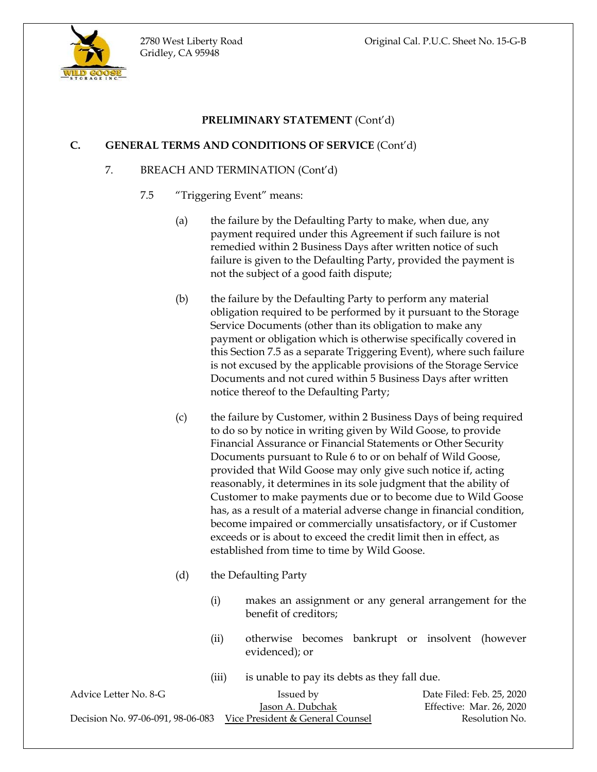

## **C. GENERAL TERMS AND CONDITIONS OF SERVICE** (Cont'd)

## 7. BREACH AND TERMINATION (Cont'd)

- 7.5 "Triggering Event" means:
	- (a) the failure by the Defaulting Party to make, when due, any payment required under this Agreement if such failure is not remedied within 2 Business Days after written notice of such failure is given to the Defaulting Party, provided the payment is not the subject of a good faith dispute;
	- (b) the failure by the Defaulting Party to perform any material obligation required to be performed by it pursuant to the Storage Service Documents (other than its obligation to make any payment or obligation which is otherwise specifically covered in this Section 7.5 as a separate Triggering Event), where such failure is not excused by the applicable provisions of the Storage Service Documents and not cured within 5 Business Days after written notice thereof to the Defaulting Party;
	- (c) the failure by Customer, within 2 Business Days of being required to do so by notice in writing given by Wild Goose, to provide Financial Assurance or Financial Statements or Other Security Documents pursuant to Rule 6 to or on behalf of Wild Goose, provided that Wild Goose may only give such notice if, acting reasonably, it determines in its sole judgment that the ability of Customer to make payments due or to become due to Wild Goose has, as a result of a material adverse change in financial condition, become impaired or commercially unsatisfactory, or if Customer exceeds or is about to exceed the credit limit then in effect, as established from time to time by Wild Goose.
	- (d) the Defaulting Party
		- (i) makes an assignment or any general arrangement for the benefit of creditors;
		- (ii) otherwise becomes bankrupt or insolvent (however evidenced); or
		- (iii) is unable to pay its debts as they fall due.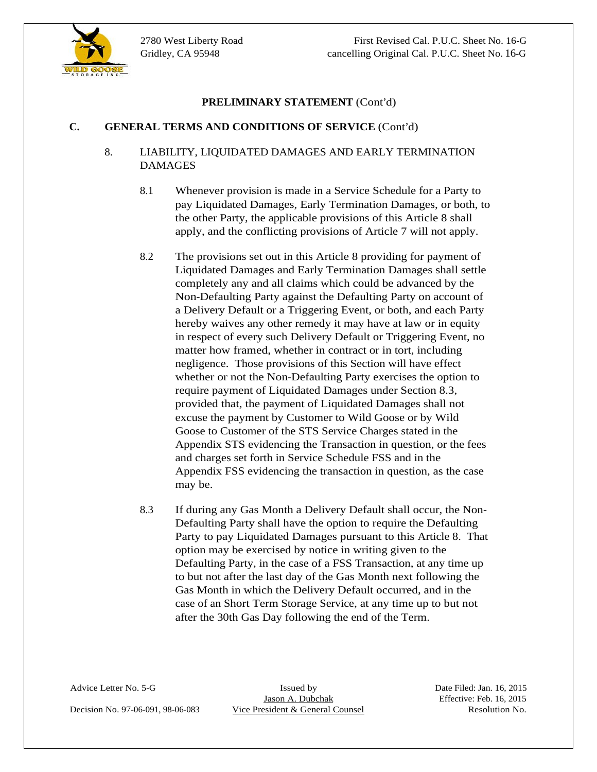

### **C. GENERAL TERMS AND CONDITIONS OF SERVICE** (Cont'd)

# 8. LIABILITY, LIQUIDATED DAMAGES AND EARLY TERMINATION DAMAGES

- 8.1 Whenever provision is made in a Service Schedule for a Party to pay Liquidated Damages, Early Termination Damages, or both, to the other Party, the applicable provisions of this Article 8 shall apply, and the conflicting provisions of Article 7 will not apply.
- **C. CENERAL TEXANS FX TEXANENT** (Cont'd)<br>
8. **LIABILITY.** LEQUIDATED PAMAGES AND EARLY TERMINATION<br>
19. **DAMAGES**<br>
19. **DAMAGES**<br>
19. **DAMAGES**<br>
19. **DOMAGES**<br>
19. **DOMAGES**<br>
19. **DOMAGES**<br>
19. **POSE THE COUNSE AND EARLY** 8.2 The provisions set out in this Article 8 providing for payment of Liquidated Damages and Early Termination Damages shall settle completely any and all claims which could be advanced by the Non-Defaulting Party against the Defaulting Party on account of a Delivery Default or a Triggering Event, or both, and each Party hereby waives any other remedy it may have at law or in equity in respect of every such Delivery Default or Triggering Event, no matter how framed, whether in contract or in tort, including negligence. Those provisions of this Section will have effect whether or not the Non-Defaulting Party exercises the option to require payment of Liquidated Damages under Section 8.3, provided that, the payment of Liquidated Damages shall not excuse the payment by Customer to Wild Goose or by Wild Goose to Customer of the STS Service Charges stated in the Appendix STS evidencing the Transaction in question, or the fees and charges set forth in Service Schedule FSS and in the Appendix FSS evidencing the transaction in question, as the case may be.
	- 8.3 If during any Gas Month a Delivery Default shall occur, the Non- Defaulting Party shall have the option to require the Defaulting Party to pay Liquidated Damages pursuant to this Article 8. That option may be exercised by notice in writing given to the Defaulting Party, in the case of a FSS Transaction, at any time up to but not after the last day of the Gas Month next following the Gas Month in which the Delivery Default occurred, and in the case of an Short Term Storage Service, at any time up to but not after the 30th Gas Day following the end of the Term.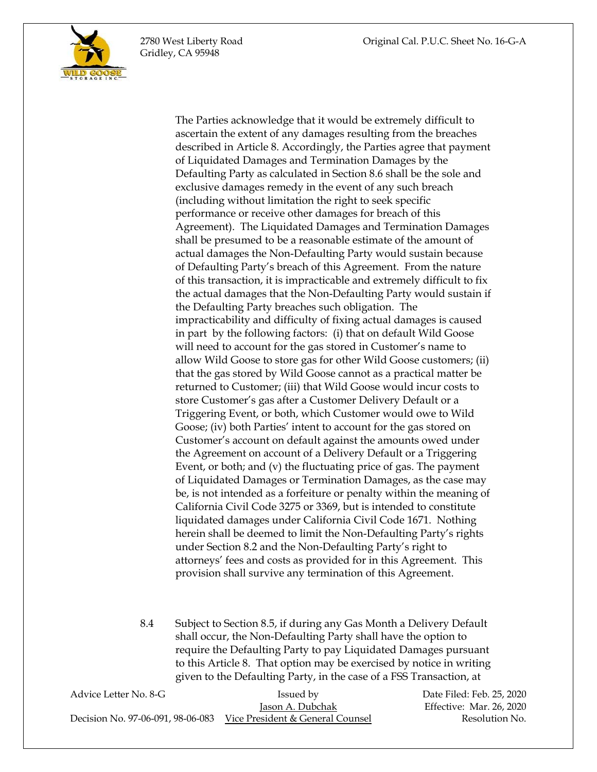Gridley, CA 95948

 The Parties acknowledge that it would be extremely difficult to ascertain the extent of any damages resulting from the breaches described in Article 8. Accordingly, the Parties agree that payment of Liquidated Damages and Termination Damages by the Defaulting Party as calculated in Section 8.6 shall be the sole and exclusive damages remedy in the event of any such breach (including without limitation the right to seek specific performance or receive other damages for breach of this Agreement). The Liquidated Damages and Termination Damages shall be presumed to be a reasonable estimate of the amount of actual damages the Non-Defaulting Party would sustain because of Defaulting Party's breach of this Agreement. From the nature of this transaction, it is impracticable and extremely difficult to fix the actual damages that the Non-Defaulting Party would sustain if the Defaulting Party breaches such obligation. The impracticability and difficulty of fixing actual damages is caused in part by the following factors: (i) that on default Wild Goose will need to account for the gas stored in Customer's name to allow Wild Goose to store gas for other Wild Goose customers; (ii) that the gas stored by Wild Goose cannot as a practical matter be returned to Customer; (iii) that Wild Goose would incur costs to store Customer's gas after a Customer Delivery Default or a Triggering Event, or both, which Customer would owe to Wild Goose; (iv) both Parties' intent to account for the gas stored on Customer's account on default against the amounts owed under the Agreement on account of a Delivery Default or a Triggering Event, or both; and (v) the fluctuating price of gas. The payment of Liquidated Damages or Termination Damages, as the case may be, is not intended as a forfeiture or penalty within the meaning of California Civil Code 3275 or 3369, but is intended to constitute liquidated damages under California Civil Code 1671. Nothing herein shall be deemed to limit the Non-Defaulting Party's rights under Section 8.2 and the Non-Defaulting Party's right to attorneys' fees and costs as provided for in this Agreement. This provision shall survive any termination of this Agreement.

8.4 Subject to Section 8.5, if during any Gas Month a Delivery Default shall occur, the Non-Defaulting Party shall have the option to require the Defaulting Party to pay Liquidated Damages pursuant to this Article 8. That option may be exercised by notice in writing given to the Defaulting Party, in the case of a FSS Transaction, at

| Advice Letter No. 8-G | Issued by                                                          | Date Filed: Feb. 25, 2020 |
|-----------------------|--------------------------------------------------------------------|---------------------------|
|                       | Jason A. Dubchak                                                   | Effective: Mar. 26, 2020  |
|                       | Decision No. 97-06-091, 98-06-083 Vice President & General Counsel | Resolution No.            |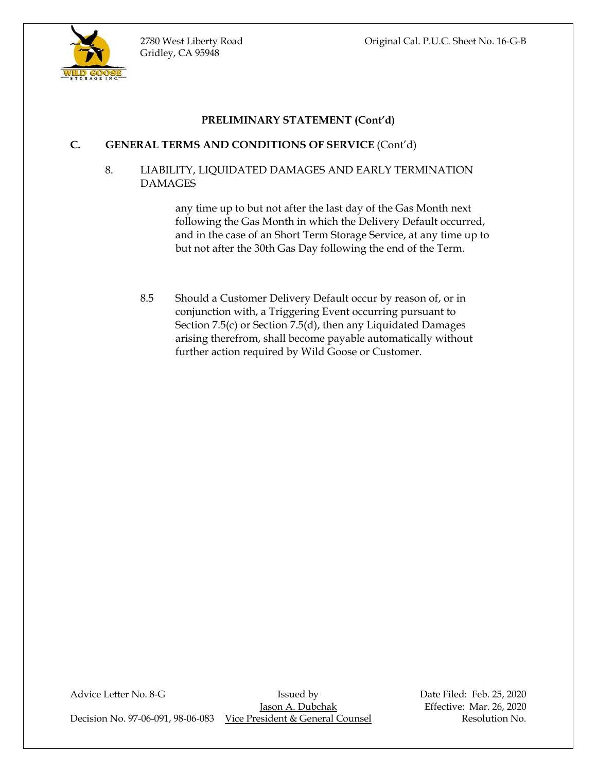

# **C. GENERAL TERMS AND CONDITIONS OF SERVICE** (Cont'd)

8. LIABILITY, LIQUIDATED DAMAGES AND EARLY TERMINATION DAMAGES

> any time up to but not after the last day of the Gas Month next following the Gas Month in which the Delivery Default occurred, and in the case of an Short Term Storage Service, at any time up to but not after the 30th Gas Day following the end of the Term.

8.5 Should a Customer Delivery Default occur by reason of, or in conjunction with, a Triggering Event occurring pursuant to Section 7.5(c) or Section 7.5(d), then any Liquidated Damages arising therefrom, shall become payable automatically without further action required by Wild Goose or Customer.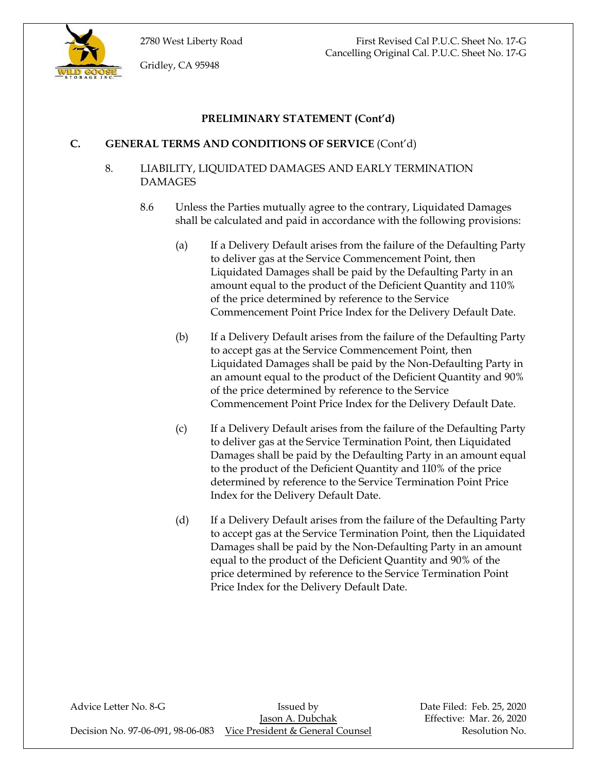

2780 West Liberty Road First Revised Cal P.U.C. Sheet No. 17-G Cancelling Original Cal. P.U.C. Sheet No. 17-G

Gridley, CA 95948

## **PRELIMINARY STATEMENT (Cont'd)**

### **C. GENERAL TERMS AND CONDITIONS OF SERVICE** (Cont'd)

## 8. LIABILITY, LIQUIDATED DAMAGES AND EARLY TERMINATION DAMAGES

- 8.6 Unless the Parties mutually agree to the contrary, Liquidated Damages shall be calculated and paid in accordance with the following provisions:
	- (a) If a Delivery Default arises from the failure of the Defaulting Party to deliver gas at the Service Commencement Point, then Liquidated Damages shall be paid by the Defaulting Party in an amount equal to the product of the Deficient Quantity and 110% of the price determined by reference to the Service Commencement Point Price Index for the Delivery Default Date.
	- (b) If a Delivery Default arises from the failure of the Defaulting Party to accept gas at the Service Commencement Point, then Liquidated Damages shall be paid by the Non-Defaulting Party in an amount equal to the product of the Deficient Quantity and 90% of the price determined by reference to the Service Commencement Point Price Index for the Delivery Default Date.
	- (c) If a Delivery Default arises from the failure of the Defaulting Party to deliver gas at the Service Termination Point, then Liquidated Damages shall be paid by the Defaulting Party in an amount equal to the product of the Deficient Quantity and 1I0% of the price determined by reference to the Service Termination Point Price Index for the Delivery Default Date.
	- (d) If a Delivery Default arises from the failure of the Defaulting Party to accept gas at the Service Termination Point, then the Liquidated Damages shall be paid by the Non-Defaulting Party in an amount equal to the product of the Deficient Quantity and 90% of the price determined by reference to the Service Termination Point Price Index for the Delivery Default Date.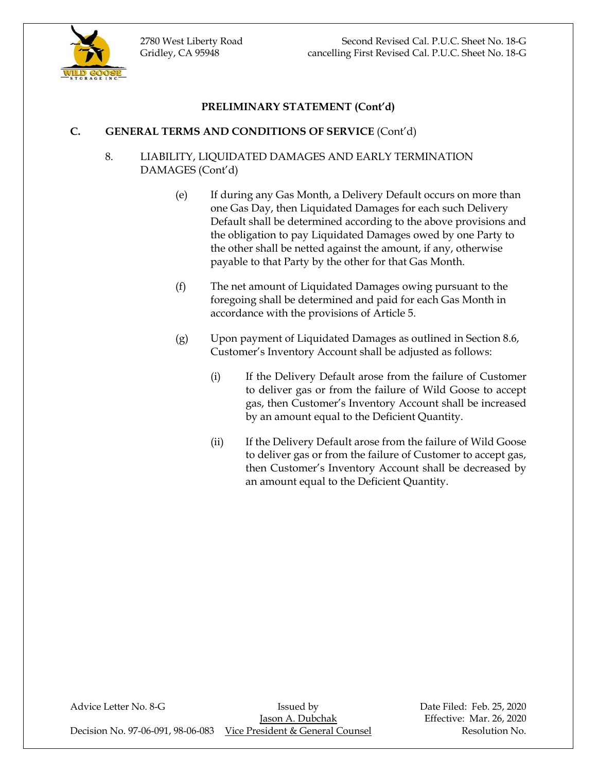

# **C. GENERAL TERMS AND CONDITIONS OF SERVICE** (Cont'd)

# 8. LIABILITY, LIQUIDATED DAMAGES AND EARLY TERMINATION DAMAGES (Cont'd)

- (e) If during any Gas Month, a Delivery Default occurs on more than one Gas Day, then Liquidated Damages for each such Delivery Default shall be determined according to the above provisions and the obligation to pay Liquidated Damages owed by one Party to the other shall be netted against the amount, if any, otherwise payable to that Party by the other for that Gas Month.
- (f) The net amount of Liquidated Damages owing pursuant to the foregoing shall be determined and paid for each Gas Month in accordance with the provisions of Article 5.
- (g) Upon payment of Liquidated Damages as outlined in Section 8.6, Customer's Inventory Account shall be adjusted as follows:
	- (i) If the Delivery Default arose from the failure of Customer to deliver gas or from the failure of Wild Goose to accept gas, then Customer's Inventory Account shall be increased by an amount equal to the Deficient Quantity.
	- (ii) If the Delivery Default arose from the failure of Wild Goose to deliver gas or from the failure of Customer to accept gas, then Customer's Inventory Account shall be decreased by an amount equal to the Deficient Quantity.

| Advice Letter No. 8-G | Issued by                                                          | Date Fi |
|-----------------------|--------------------------------------------------------------------|---------|
|                       | Jason A. Dubchak                                                   | Effecti |
|                       | Decision No. 97-06-091, 98-06-083 Vice President & General Counsel |         |

led: Feb. 25, 2020 ive: Mar. 26, 2020 Resolution No.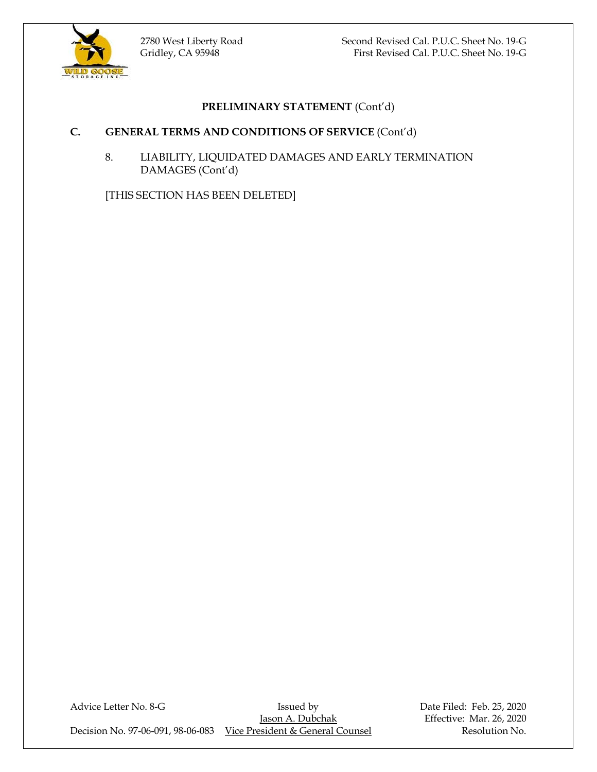

2780 West Liberty Road Second Revised Cal. P.U.C. Sheet No. 19-G Gridley, CA 95948 First Revised Cal. P.U.C. Sheet No. 19-G

# **PRELIMINARY STATEMENT** (Cont'd)

## **C. GENERAL TERMS AND CONDITIONS OF SERVICE** (Cont'd)

8. LIABILITY, LIQUIDATED DAMAGES AND EARLY TERMINATION DAMAGES (Cont'd)

[THIS SECTION HAS BEEN DELETED]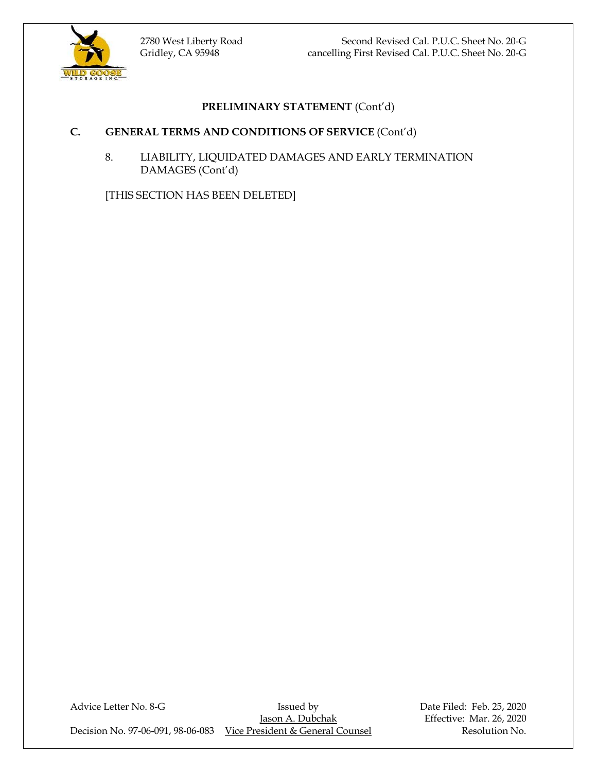



# **C. GENERAL TERMS AND CONDITIONS OF SERVICE** (Cont'd)

8. LIABILITY, LIQUIDATED DAMAGES AND EARLY TERMINATION DAMAGES (Cont'd)

[THIS SECTION HAS BEEN DELETED]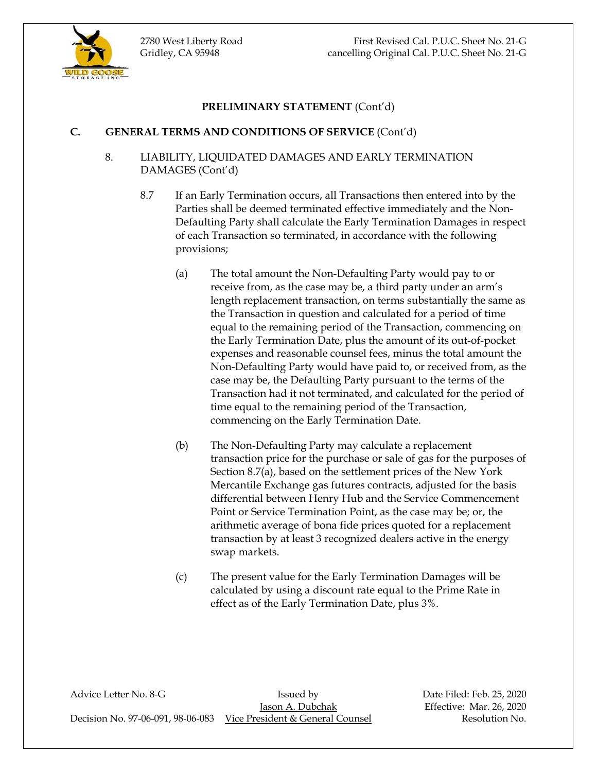

## **C. GENERAL TERMS AND CONDITIONS OF SERVICE** (Cont'd)

## 8. LIABILITY, LIQUIDATED DAMAGES AND EARLY TERMINATION DAMAGES (Cont'd)

- 8.7 If an Early Termination occurs, all Transactions then entered into by the Parties shall be deemed terminated effective immediately and the Non-Defaulting Party shall calculate the Early Termination Damages in respect of each Transaction so terminated, in accordance with the following provisions;
	- (a) The total amount the Non-Defaulting Party would pay to or receive from, as the case may be, a third party under an arm's length replacement transaction, on terms substantially the same as the Transaction in question and calculated for a period of time equal to the remaining period of the Transaction, commencing on the Early Termination Date, plus the amount of its out-of-pocket expenses and reasonable counsel fees, minus the total amount the Non-Defaulting Party would have paid to, or received from, as the case may be, the Defaulting Party pursuant to the terms of the Transaction had it not terminated, and calculated for the period of time equal to the remaining period of the Transaction, commencing on the Early Termination Date.
	- (b) The Non-Defaulting Party may calculate a replacement transaction price for the purchase or sale of gas for the purposes of Section 8.7(a), based on the settlement prices of the New York Mercantile Exchange gas futures contracts, adjusted for the basis differential between Henry Hub and the Service Commencement Point or Service Termination Point, as the case may be; or, the arithmetic average of bona fide prices quoted for a replacement transaction by at least 3 recognized dealers active in the energy swap markets.
	- (c) The present value for the Early Termination Damages will be calculated by using a discount rate equal to the Prime Rate in effect as of the Early Termination Date, plus 3%.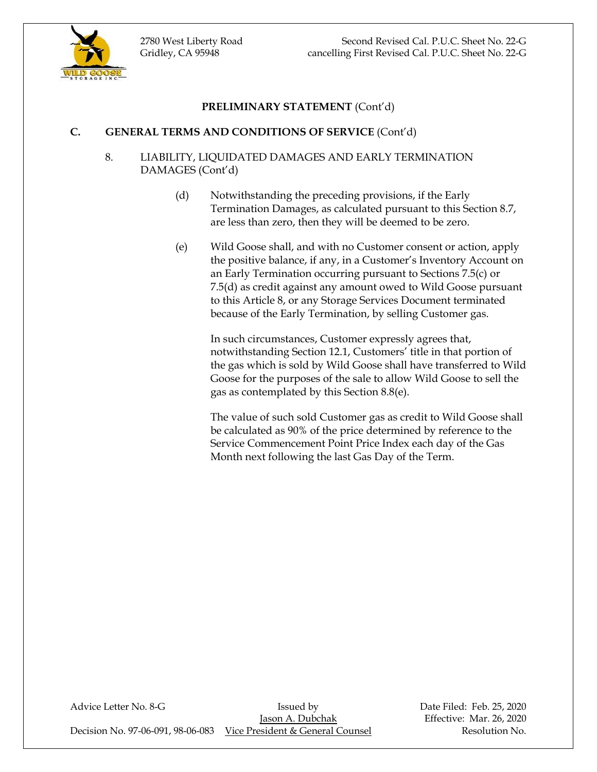

# **C. GENERAL TERMS AND CONDITIONS OF SERVICE** (Cont'd)

# 8. LIABILITY, LIQUIDATED DAMAGES AND EARLY TERMINATION DAMAGES (Cont'd)

- (d) Notwithstanding the preceding provisions, if the Early Termination Damages, as calculated pursuant to this Section 8.7, are less than zero, then they will be deemed to be zero.
- (e) Wild Goose shall, and with no Customer consent or action, apply the positive balance, if any, in a Customer's Inventory Account on an Early Termination occurring pursuant to Sections 7.5(c) or 7.5(d) as credit against any amount owed to Wild Goose pursuant to this Article 8, or any Storage Services Document terminated because of the Early Termination, by selling Customer gas.

In such circumstances, Customer expressly agrees that, notwithstanding Section 12.1, Customers' title in that portion of the gas which is sold by Wild Goose shall have transferred to Wild Goose for the purposes of the sale to allow Wild Goose to sell the gas as contemplated by this Section 8.8(e).

The value of such sold Customer gas as credit to Wild Goose shall be calculated as 90% of the price determined by reference to the Service Commencement Point Price Index each day of the Gas Month next following the last Gas Day of the Term.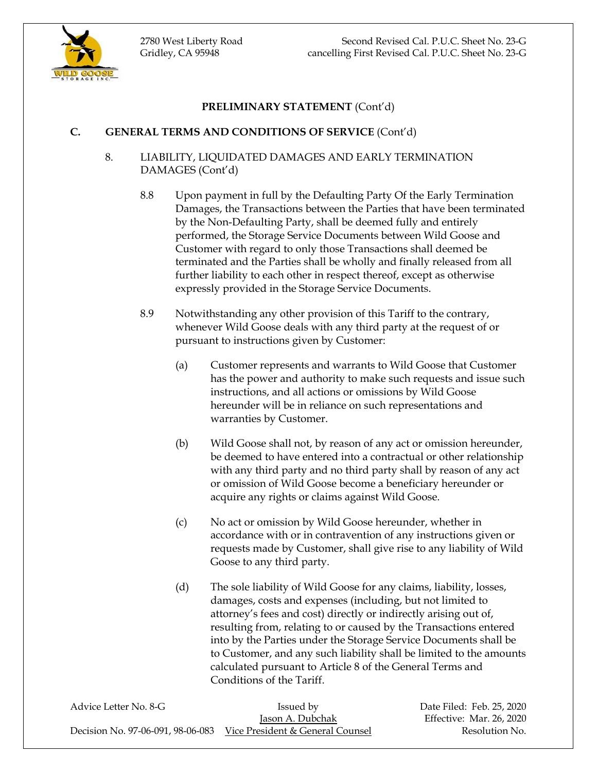

# **C. GENERAL TERMS AND CONDITIONS OF SERVICE** (Cont'd)

- 8. LIABILITY, LIQUIDATED DAMAGES AND EARLY TERMINATION DAMAGES (Cont'd)
	- 8.8 Upon payment in full by the Defaulting Party Of the Early Termination Damages, the Transactions between the Parties that have been terminated by the Non-Defaulting Party, shall be deemed fully and entirely performed, the Storage Service Documents between Wild Goose and Customer with regard to only those Transactions shall deemed be terminated and the Parties shall be wholly and finally released from all further liability to each other in respect thereof, except as otherwise expressly provided in the Storage Service Documents.
	- 8.9 Notwithstanding any other provision of this Tariff to the contrary, whenever Wild Goose deals with any third party at the request of or pursuant to instructions given by Customer:
		- (a) Customer represents and warrants to Wild Goose that Customer has the power and authority to make such requests and issue such instructions, and all actions or omissions by Wild Goose hereunder will be in reliance on such representations and warranties by Customer.
		- (b) Wild Goose shall not, by reason of any act or omission hereunder, be deemed to have entered into a contractual or other relationship with any third party and no third party shall by reason of any act or omission of Wild Goose become a beneficiary hereunder or acquire any rights or claims against Wild Goose.
		- (c) No act or omission by Wild Goose hereunder, whether in accordance with or in contravention of any instructions given or requests made by Customer, shall give rise to any liability of Wild Goose to any third party.
		- (d) The sole liability of Wild Goose for any claims, liability, losses, damages, costs and expenses (including, but not limited to attorney's fees and cost) directly or indirectly arising out of, resulting from, relating to or caused by the Transactions entered into by the Parties under the Storage Service Documents shall be to Customer, and any such liability shall be limited to the amounts calculated pursuant to Article 8 of the General Terms and Conditions of the Tariff.

| Advice Letter No. 8-G | Issued by                                                          | Date Filed: Feb. 25, 2020 |
|-----------------------|--------------------------------------------------------------------|---------------------------|
|                       | Jason A. Dubchak                                                   | Effective: Mar. 26, 2020  |
|                       | Decision No. 97-06-091, 98-06-083 Vice President & General Counsel | Resolution No.            |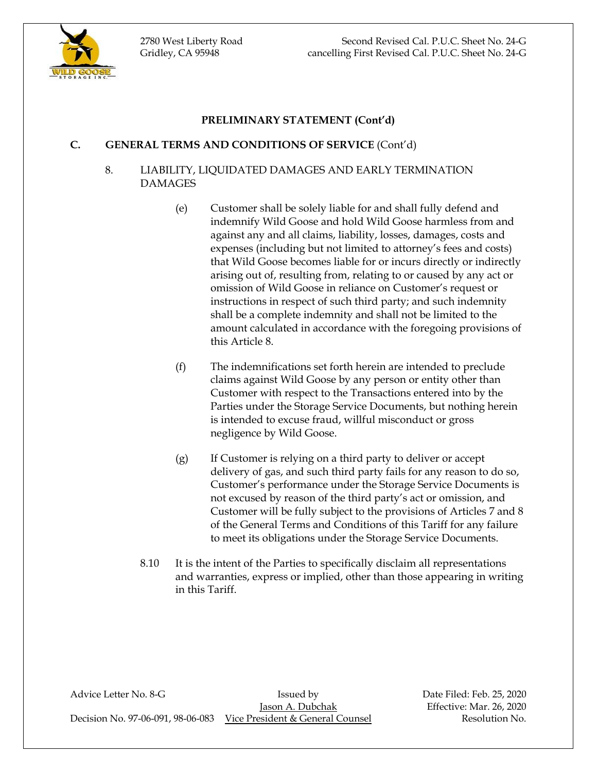

## **C. GENERAL TERMS AND CONDITIONS OF SERVICE** (Cont'd)

## 8. LIABILITY, LIQUIDATED DAMAGES AND EARLY TERMINATION DAMAGES

- (e) Customer shall be solely liable for and shall fully defend and indemnify Wild Goose and hold Wild Goose harmless from and against any and all claims, liability, losses, damages, costs and expenses (including but not limited to attorney's fees and costs) that Wild Goose becomes liable for or incurs directly or indirectly arising out of, resulting from, relating to or caused by any act or omission of Wild Goose in reliance on Customer's request or instructions in respect of such third party; and such indemnity shall be a complete indemnity and shall not be limited to the amount calculated in accordance with the foregoing provisions of this Article 8.
- (f) The indemnifications set forth herein are intended to preclude claims against Wild Goose by any person or entity other than Customer with respect to the Transactions entered into by the Parties under the Storage Service Documents, but nothing herein is intended to excuse fraud, willful misconduct or gross negligence by Wild Goose.
- (g) If Customer is relying on a third party to deliver or accept delivery of gas, and such third party fails for any reason to do so, Customer's performance under the Storage Service Documents is not excused by reason of the third party's act or omission, and Customer will be fully subject to the provisions of Articles 7 and 8 of the General Terms and Conditions of this Tariff for any failure to meet its obligations under the Storage Service Documents.
- 8.10 It is the intent of the Parties to specifically disclaim all representations and warranties, express or implied, other than those appearing in writing in this Tariff.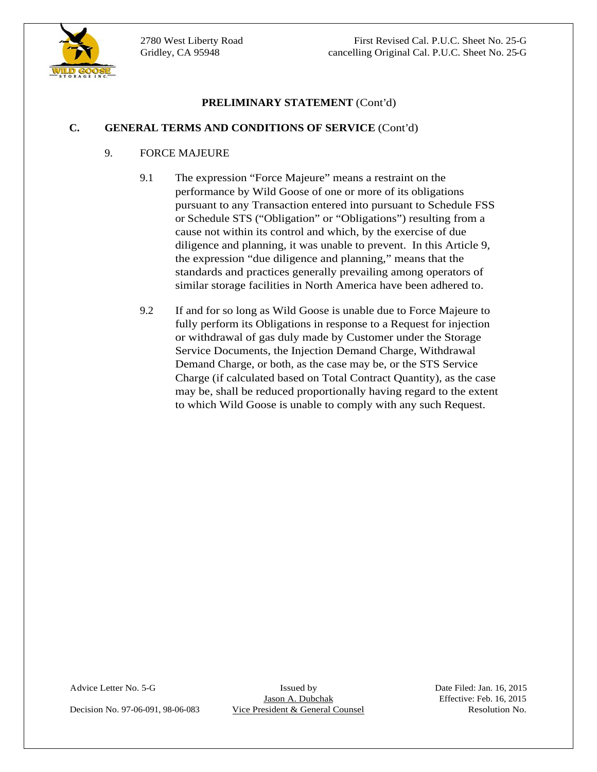

# **C. GENERAL TERMS AND CONDITIONS OF SERVICE** (Cont'd)

# 9. FORCE MAJEURE

- **C. GRYELMINARY STATEMENT** (Cont'd)<br>
9. **POKE MAJCUNE PRESIDENT (Cont'd)**<br>
9. **POKE MAJCUNE PRESIDENT (Cont'd)**<br>
9. **POKE MAJCUNE PRESIDENT (CONTERNATIVE CONTERNATIVE PRESIDENTS)**<br>
2. **PHOTOGET AS AN CONSELUTE PRESIDENT** 9.1 The expression "Force Majeure" means a restraint on the performance by Wild Goose of one or more of its obligations pursuant to any Transaction entered into pursuant to Schedule FSS or Schedule STS ("Obligation" or "Obligations") resulting from a cause not within its control and which, by the exercise of due diligence and planning, it was unable to prevent. In this Article 9, the expression "due diligence and planning," means that the standards and practices generally prevailing among operators of similar storage facilities in North America have been adhered to.
	- 9.2 If and for so long as Wild Goose is unable due to Force Majeure to fully perform its Obligations in response to a Request for injection or withdrawal of gas duly made by Customer under the Storage Service Documents, the Injection Demand Charge, Withdrawal Demand Charge, or both, as the case may be, or the STS Service Charge (if calculated based on Total Contract Quantity), as the case may be, shall be reduced proportionally having regard to the extent to which Wild Goose is unable to comply with any such Request.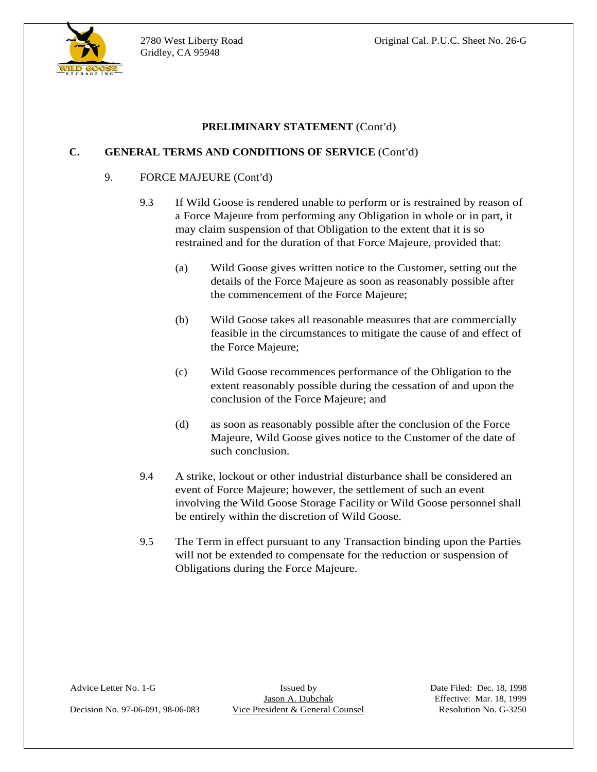

 $\overline{a}$ 

# **PRELIMINARY STATEMENT** (Cont'd)

## **C. GENERAL TERMS AND CONDITIONS OF SERVICE** (Cont'd)

### 9. FORCE MAJEURE (Cont'd)

- Gridley, CA 95984<br>
PHELIMINAARY STATEMICYT (Con'd)<br>
C. GEAERAL TERNS AND CONDITIONS OF SORVICE (Con'd)<br>
9. TOWIN CRIMINAL (Con'd)<br>
9. TOWING Close is non-technique and Objective in the set of the state Film is the set of 9.3 If Wild Goose is rendered unable to perform or is restrained by reason of a Force Majeure from performing any Obligation in whole or in part, it may claim suspension of that Obligation to the extent that it is so restrained and for the duration of that Force Majeure, provided that:
	- (a) Wild Goose gives written notice to the Customer, setting out the details of the Force Majeure as soon as reasonably possible after the commencement of the Force Majeure;
	- (b) Wild Goose takes all reasonable measures that are commercially feasible in the circumstances to mitigate the cause of and effect of the Force Majeure;
	- (c) Wild Goose recommences performance of the Obligation to the extent reasonably possible during the cessation of and upon the conclusion of the Force Majeure; and
	- (d) as soon as reasonably possible after the conclusion of the Force Majeure, Wild Goose gives notice to the Customer of the date of such conclusion.
	- 9.4 A strike, lockout or other industrial disturbance shall be considered an event of Force Majeure; however, the settlement of such an event involving the Wild Goose Storage Facility or Wild Goose personnel shall be entirely within the discretion of Wild Goose.
	- 9.5 The Term in effect pursuant to any Transaction binding upon the Parties will not be extended to compensate for the reduction or suspension of Obligations during the Force Majeure.

Decision No. 97-06-091, 98-06-083 Vice President & General Counsel Resolution No. G-3250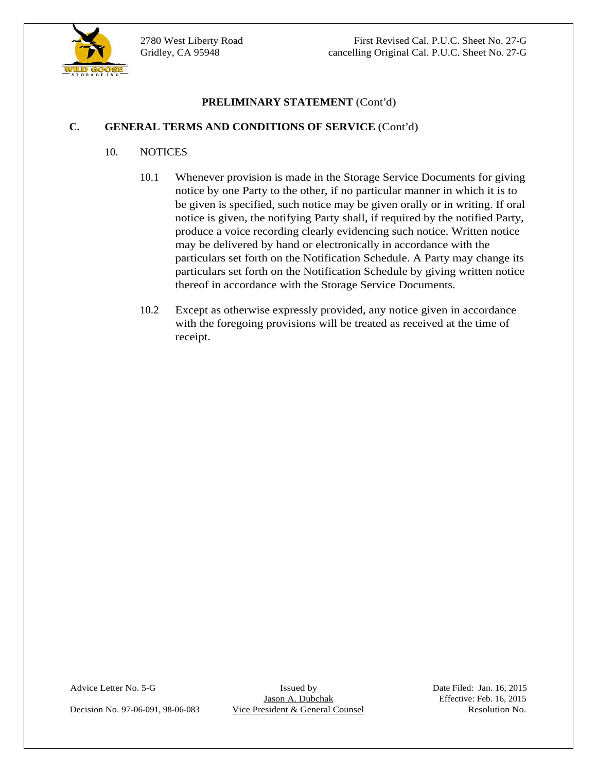

# **C. GENERAL TERMS AND CONDITIONS OF SERVICE** (Cont'd)

- 10. NOTICES
- **C. CENERAL TEXANS STATEMENT** (Cont'd)<br>
10. NOTICES<br>
10.1 Whenever provision is made in the Sturge Service Documents for giving<br>
10.1 Whenever provision is made in the Sturge Service Documents which is to<br>
be given in sp 10.1 Whenever provision is made in the Storage Service Documents for giving notice by one Party to the other, if no particular manner in which it is to be given is specified, such notice may be given orally or in writing. If oral notice is given, the notifying Party shall, if required by the notified Party, produce a voice recording clearly evidencing such notice. Written notice may be delivered by hand or electronically in accordance with the particulars set forth on the Notification Schedule. A Party may change its particulars set forth on the Notification Schedule by giving written notice thereof in accordance with the Storage Service Documents.
	- 10.2 Except as otherwise expressly provided, any notice given in accordance with the foregoing provisions will be treated as received at the time of receipt.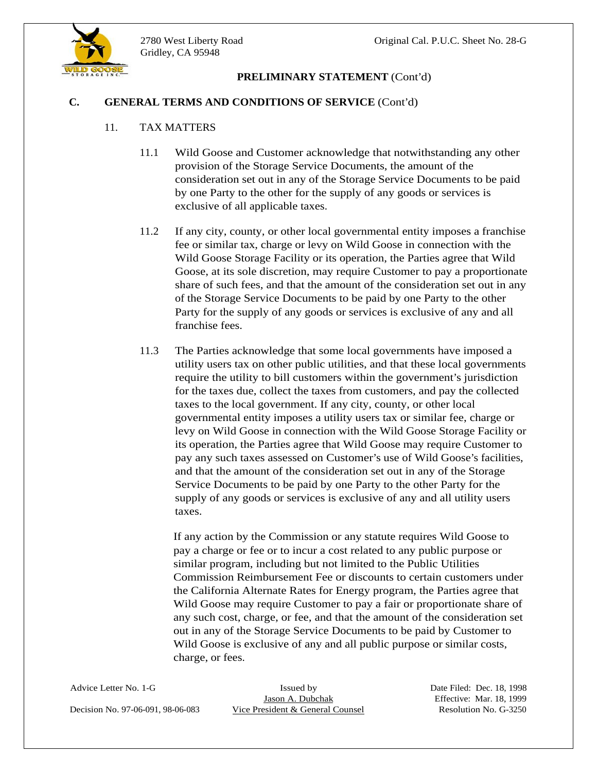

## **C. GENERAL TERMS AND CONDITIONS OF SERVICE** (Cont'd)

## 11. TAX MATTERS

- 11.1 Wild Goose and Customer acknowledge that notwithstanding any other provision of the Storage Service Documents, the amount of the consideration set out in any of the Storage Service Documents to be paid by one Party to the other for the supply of any goods or services is
- exclusive of all applicable taxes.<br>11.2 If any city, county, or other local governmental entity imposes a franchise fee or similar tax, charge or levy on Wild Goose in connection with the Wild Goose Storage Facility or its operation, the Parties agree that Wild Goose, at its sole discretion, may require Customer to pay a proportionate share of such fees, and that the amount of the consideration set out in any of the Storage Service Documents to be paid by one Party to the other Party for the supply of any goods or services is exclusive of any and all franchise fees.
- Gridley, CA 95948 **PELLOINNARY STATEMENT** (Cont'd)<br>
C. **GENERAL TERNS AND CONDITIONS OF SERVICE** CCont'd)<br>
11. TAX MATTERS<br>
11. WAND CONDITIONS OF SERVICE CCont'd)<br>
11. TAX MATTERS<br>
11. WAND CONDITIONS OF SEXUATE CCont<br>
c 11.3 The Parties acknowledge that some local governments have imposed a utility users tax on other public utilities, and that these local governments require the utility to bill customers within the government's jurisdiction for the taxes due, collect the taxes from customers, and pay the collected taxes to the local government. If any city, county, or other local governmental entity imposes a utility users tax or similar fee, charge or levy on Wild Goose in connection with the Wild Goose Storage Facility or its operation, the Parties agree that Wild Goose may require Customer to pay any such taxes assessed on Customer's use of Wild Goose's facilities, and that the amount of the consideration set out in any of the Storage Service Documents to be paid by one Party to the other Party for the supply of any goods or services is exclusive of any and all utility users taxes.

If any action by the Commission or any statute requires Wild Goose to pay a charge or fee or to incur a cost related to any public purpose or similar program, including but not limited to the Public Utilities Commission Reimbursement Fee or discounts to certain customers under the California Alternate Rates for Energy program, the Parties agree that Wild Goose may require Customer to pay a fair or proportionate share of any such cost, charge, or fee, and that the amount of the consideration set out in any of the Storage Service Documents to be paid by Customer to Wild Goose is exclusive of any and all public purpose or similar costs, charge, or fees.

Decision No. 97-06-091, 98-06-083 Vice President & General Counsel Resolution No. G-3250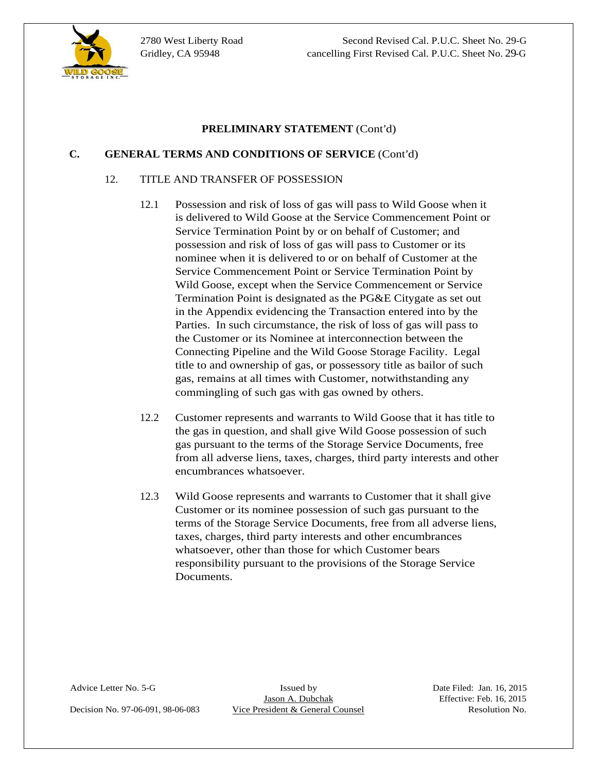

 $\overline{a}$ 

2780 West Liberty Road Second Revised Cal. P.U.C. Sheet No. 29-G Gridley, CA 95948 cancelling First Revised Cal. P.U.C. Sheet No. 29-G

## **PRELIMINARY STATEMENT** (Cont'd)

### **C. GENERAL TERMS AND CONDITIONS OF SERVICE** (Cont'd)

### 12. TITLE AND TRANSFER OF POSSESSION

- 12.1 Possession and risk of loss of gas will pass to Wild Goose when it is delivered to Wild Goose at the Service Commencement Point or Service Termination Point by or on behalf of Customer; and possession and risk of loss of gas will pass to Customer or its nominee when it is delivered to or on behalf of Customer at the Service Commencement Point or Service Termination Point by Wild Goose, except when the Service Commencement or Service Termination Point is designated as the PG&E Citygate as set out in the Appendix evidencing the Transaction entered into by the Parties. In such circumstance, the risk of loss of gas will pass to the Customer or its Nominee at interconnection between the Connecting Pipeline and the Wild Goose Storage Facility. Legal title to and ownership of gas, or possessory title as bailor of such gas, remains at all times with Customer, notwithstanding any commingling of such gas with gas owned by others.
- 12.2 Customer represents and warrants to Wild Goose that it has title to the gas in question, and shall give Wild Goose possession of such gas pursuant to the terms of the Storage Service Documents, free from all adverse liens, taxes, charges, third party interests and other encumbrances whatsoever.
- 12.3 Wild Goose represents and warrants to Customer that it shall give Customer or its nominee possession of such gas pursuant to the terms of the Storage Service Documents, free from all adverse liens, taxes, charges, third party interests and other encumbrances whatsoever, other than those for which Customer bears responsibility pursuant to the provisions of the Storage Service Documents.

Decision No. 97-06-091, 98-06-083 Vice President & General Counsel Resolution No.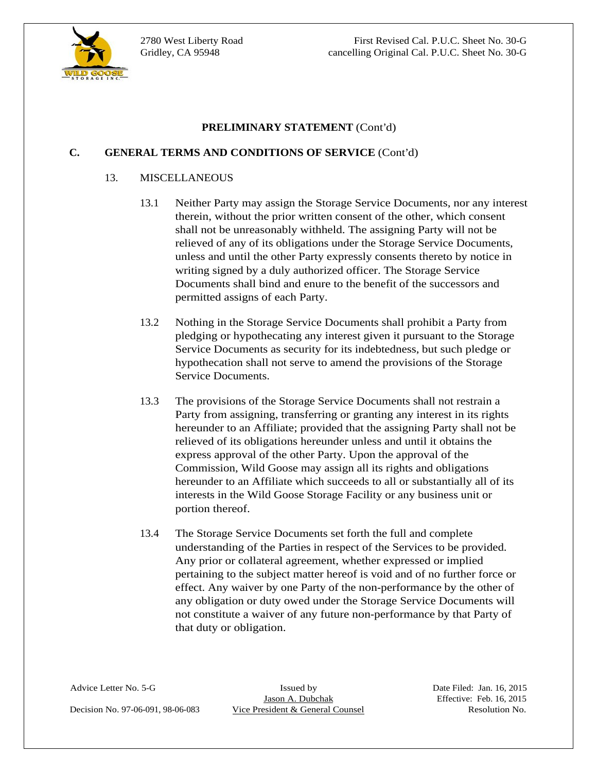

 $\overline{a}$ 

2780 West Liberty Road First Revised Cal. P.U.C. Sheet No. 30-G Gridley, CA 95948 cancelling Original Cal. P.U.C. Sheet No. 30-G

### **PRELIMINARY STATEMENT** (Cont'd)

### **C. GENERAL TERMS AND CONDITIONS OF SERVICE** (Cont'd)

### 13. MISCELLANEOUS

- 13.1 Neither Party may assign the Storage Service Documents, nor any interest therein, without the prior written consent of the other, which consent shall not be unreasonably withheld. The assigning Party will not be relieved of any of its obligations under the Storage Service Documents, unless and until the other Party expressly consents thereto by notice in writing signed by a duly authorized officer. The Storage Service Documents shall bind and enure to the benefit of the successors and permitted assigns of each Party.
- 13.2 Nothing in the Storage Service Documents shall prohibit a Party from pledging or hypothecating any interest given it pursuant to the Storage Service Documents as security for its indebtedness, but such pledge or hypothecation shall not serve to amend the provisions of the Storage Service Documents.
- 13.3 The provisions of the Storage Service Documents shall not restrain a Party from assigning, transferring or granting any interest in its rights hereunder to an Affiliate; provided that the assigning Party shall not be relieved of its obligations hereunder unless and until it obtains the express approval of the other Party. Upon the approval of the Commission, Wild Goose may assign all its rights and obligations hereunder to an Affiliate which succeeds to all or substantially all of its interests in the Wild Goose Storage Facility or any business unit or portion thereof.
- 13.4 The Storage Service Documents set forth the full and complete understanding of the Parties in respect of the Services to be provided. Any prior or collateral agreement, whether expressed or implied pertaining to the subject matter hereof is void and of no further force or effect. Any waiver by one Party of the non-performance by the other of any obligation or duty owed under the Storage Service Documents will not constitute a waiver of any future non-performance by that Party of that duty or obligation.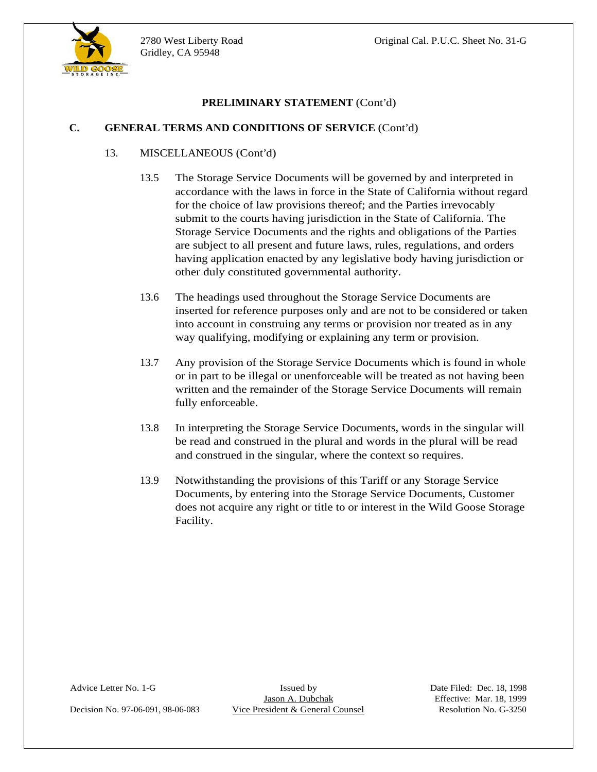

# **PRELIMINARY STATEMENT** (Cont'd)

### **C. GENERAL TERMS AND CONDITIONS OF SERVICE** (Cont'd)

### 13. MISCELLANEOUS (Cont'd)

- Gridley, CA 95948<br> **CREACAL TERANS AND CONDITIONS OF SERVICE** (Cont'd)<br>
13. MISCELLANEOUS (Cont'd)<br>
13. MISCELLANEOUS (Cont'd)<br>
13. MISCELLANEOUS (Cont'd)<br>
accordance with the laws in force in the Stead of California with 13.5 The Storage Service Documents will be governed by and interpreted in accordance with the laws in force in the State of California without regard for the choice of law provisions thereof; and the Parties irrevocably submit to the courts having jurisdiction in the State of California. The Storage Service Documents and the rights and obligations of the Parties are subject to all present and future laws, rules, regulations, and orders having application enacted by any legislative body having jurisdiction or other duly constituted governmental authority.
	- 13.6 The headings used throughout the Storage Service Documents are inserted for reference purposes only and are not to be considered or taken into account in construing any terms or provision nor treated as in any way qualifying, modifying or explaining any term or provision.
	- 13.7 Any provision of the Storage Service Documents which is found in whole or in part to be illegal or unenforceable will be treated as not having been written and the remainder of the Storage Service Documents will remain fully enforceable.
	- 13.8 In interpreting the Storage Service Documents, words in the singular will be read and construed in the plural and words in the plural will be read and construed in the singular, where the context so requires.
	- 13.9 Notwithstanding the provisions of this Tariff or any Storage Service Documents, by entering into the Storage Service Documents, Customer does not acquire any right or title to or interest in the Wild Goose Storage Facility.

Decision No. 97-06-091, 98-06-083 Vice President & General Counsel Resolution No. G-3250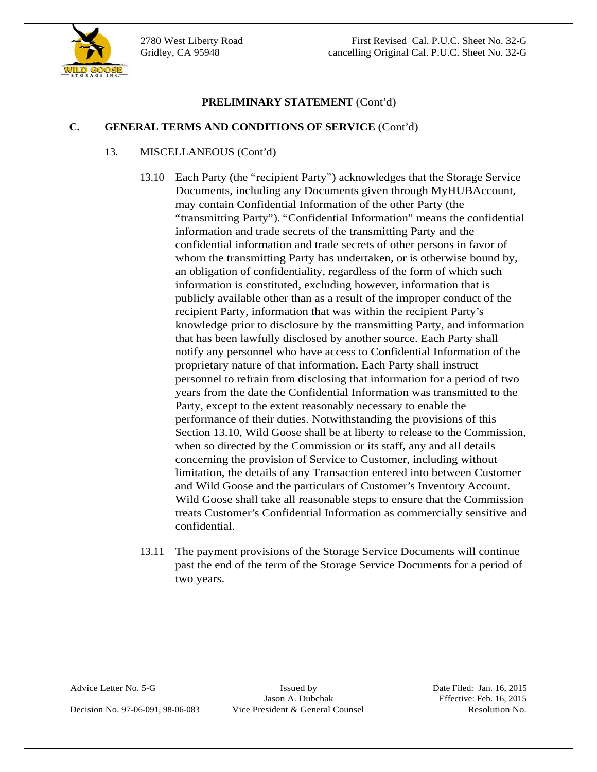

### **C. GENERAL TERMS AND CONDITIONS OF SERVICE** (Cont'd)

#### 13. MISCELLANEOUS (Cont'd)

- **C. CENERAL VICENT (Cont'd)**<br>
13. **MISCELLANEOUS CONTITUATE (Cont'd)**<br>
14. MISCELLANEOUS CONT(DOS) OF SERVICE (Cont'd)<br>
11.10 Faceh Party (the "marpirent Party") acknowledges that the Surrage Service<br>
16.000 Counsels, we 13.10 Each Party (the "recipient Party") acknowledges that the Storage Service Documents, including any Documents given through MyHUBAccount, may contain Confidential Information of the other Party (the "transmitting Party"). "Confidential Information" means the confidential information and trade secrets of the transmitting Party and the confidential information and trade secrets of other persons in favor of whom the transmitting Party has undertaken, or is otherwise bound by, an obligation of confidentiality, regardless of the form of which such information is constituted, excluding however, information that is publicly available other than as a result of the improper conduct of the recipient Party, information that was within the recipient Party's knowledge prior to disclosure by the transmitting Party, and information that has been lawfully disclosed by another source. Each Party shall notify any personnel who have access to Confidential Information of the proprietary nature of that information. Each Party shall instruct personnel to refrain from disclosing that information for a period of two years from the date the Confidential Information was transmitted to the Party, except to the extent reasonably necessary to enable the performance of their duties. Notwithstanding the provisions of this Section 13.10, Wild Goose shall be at liberty to release to the Commission, when so directed by the Commission or its staff, any and all details concerning the provision of Service to Customer, including without limitation, the details of any Transaction entered into between Customer and Wild Goose and the particulars of Customer's Inventory Account. Wild Goose shall take all reasonable steps to ensure that the Commission treats Customer's Confidential Information as commercially sensitive and confidential.
	- 13.11 The payment provisions of the Storage Service Documents will continue past the end of the term of the Storage Service Documents for a period of two years.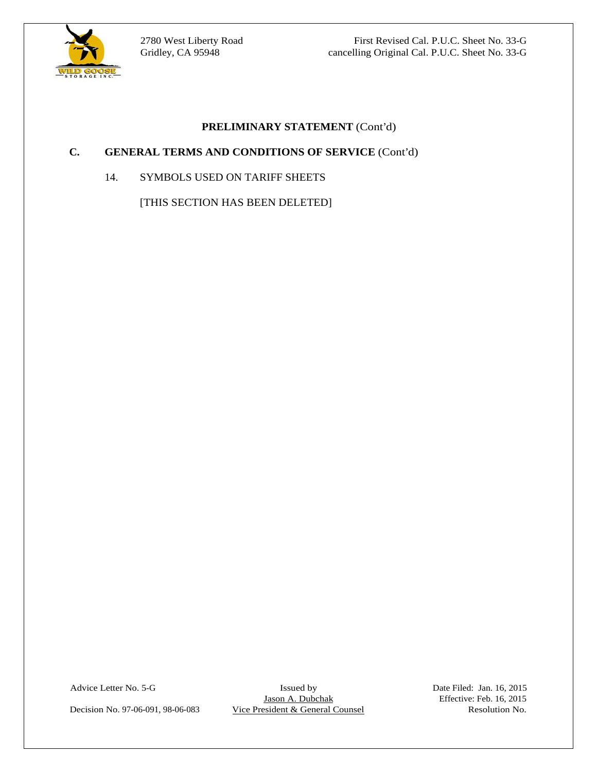

 $\overline{a}$ 

2780 West Liberty Road First Revised Cal. P.U.C. Sheet No. 33-G Gridley, CA 95948 cancelling Original Cal. P.U.C. Sheet No. 33-G

### **PRELIMINARY STATEMENT** (Cont'd)

### **C. GENERAL TERMS AND CONDITIONS OF SERVICE** (Cont'd)

14. SYMBOLS USED ON TARIFF SHEETS

[THIS SECTION HAS BEEN DELETED]

Advice Letter No. 5-G Issued by Issued by Date Filed: Jan. 16, 2015<br>Jason A. Dubchak Effective: Feb. 16, 2015 Decision No. 97-06-091, 98-06-083 Vice President & General Counsel Resolution No.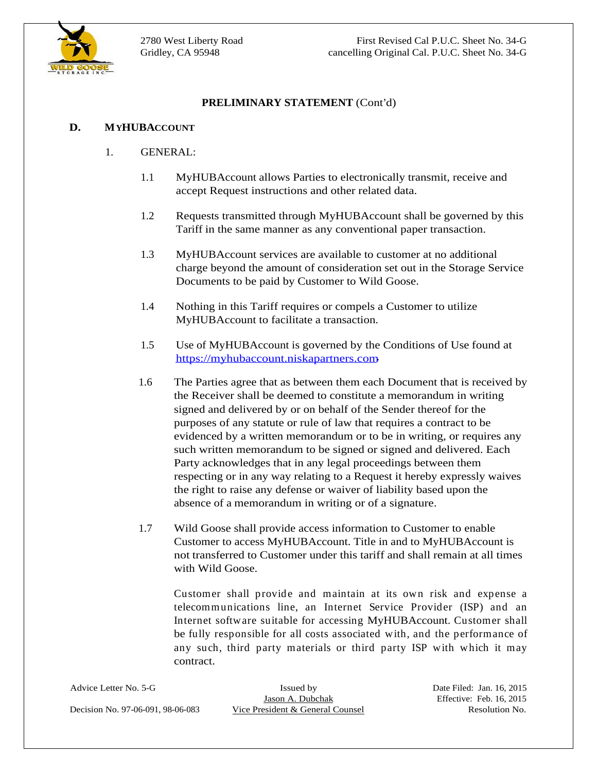

### **D. MYHUBACCOUNT**

- 1. GENERAL:
	- 1.1 MyHUBAccount allows Parties to electronically transmit, receive and accept Request instructions and other related data.
	- 1.2 Requests transmitted through MyHUBAccount shall be governed by this Tariff in the same manner as any conventional paper transaction.
	- 1.3 MyHUBAccount services are available to customer at no additional charge beyond the amount of consideration set out in the Storage Service Documents to be paid by Customer to Wild Goose.
	- 1.4 Nothing in this Tariff requires or compels a Customer to utilize MyHUBAccount to facilitate a transaction.
	- 1.5 Use of MyHUBAccount is governed by the Conditions of Use found at
- **DECIMINARY STATEMENT** (Cont'd)<br>
1. **(GENERAL:**<br>
1.1 **MyHUBAccount allows Parties to electronically transmit, receive and<br>
2.2 <b>Requests interarties)** denote also due c'elebrated due.<br>
1.3 **No. 199-06-08** Maximum and other https://myhubaccount.niskapartners.com.<br>1.6 The Parties agree that as between them each Document that is received by the Receiver shall be deemed to constitute a memorandum in writing signed and delivered by or on behalf of the Sender thereof for the purposes of any statute or rule of law that requires a contract to be evidenced by a written memorandum or to be in writing, or requires any such written memorandum to be signed or signed and delivered. Each Party acknowledges that in any legal proceedings between them respecting or in any way relating to a Request it hereby expressly waives the right to raise any defense or waiver of liability based upon the absence of a memorandum in writing or of a signature.
	- 1.7 Wild Goose shall provide access information to Customer to enable Customer to access MyHUBAccount. Title in and to MyHUBAccount is not transferred to Customer under this tariff and shall remain at all times with Wild Goose.

Customer shall provide and maintain at its own risk and expense a telecommunications line, an Internet Service Provider (ISP) and an Internet software suitable for accessing MyHUBAccount. Customer shall be fully responsible for all costs associated with, and the performance of any such, third party materials or third party ISP with which it may contract.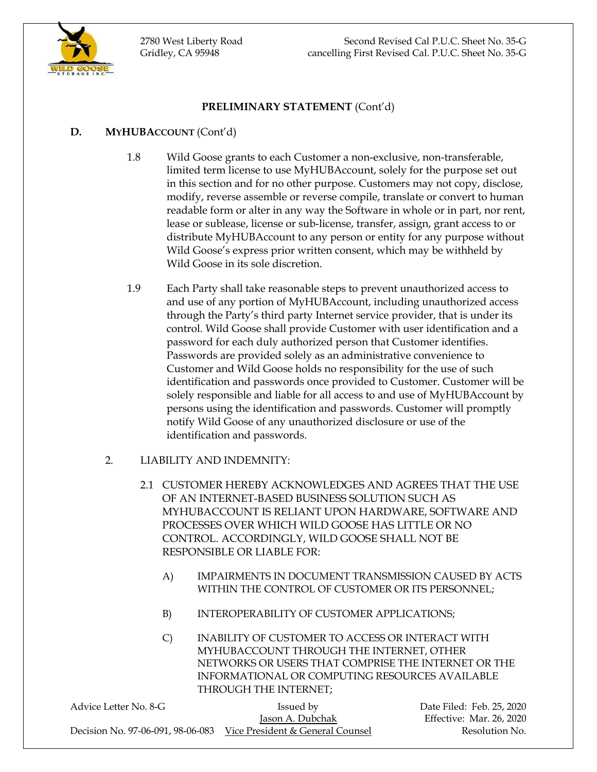

### **PRELIMINARY STATEMENT** (Cont'd)

### **D. MYHUBACCOUNT** (Cont'd)

- 1.8 Wild Goose grants to each Customer a non-exclusive, non-transferable, limited term license to use MyHUBAccount, solely for the purpose set out in this section and for no other purpose. Customers may not copy, disclose, modify, reverse assemble or reverse compile, translate or convert to human readable form or alter in any way the Software in whole or in part, nor rent, lease or sublease, license or sub-license, transfer, assign, grant access to or distribute MyHUBAccount to any person or entity for any purpose without Wild Goose's express prior written consent, which may be withheld by Wild Goose in its sole discretion.
- 1.9 Each Party shall take reasonable steps to prevent unauthorized access to and use of any portion of MyHUBAccount, including unauthorized access through the Party's third party Internet service provider, that is under its control. Wild Goose shall provide Customer with user identification and a password for each duly authorized person that Customer identifies. Passwords are provided solely as an administrative convenience to Customer and Wild Goose holds no responsibility for the use of such identification and passwords once provided to Customer. Customer will be solely responsible and liable for all access to and use of MyHUBAccount by persons using the identification and passwords. Customer will promptly notify Wild Goose of any unauthorized disclosure or use of the identification and passwords.
- 2. LIABILITY AND INDEMNITY:
	- 2.1 CUSTOMER HEREBY ACKNOWLEDGES AND AGREES THAT THE USE OF AN INTERNET-BASED BUSINESS SOLUTION SUCH AS MYHUBACCOUNT IS RELIANT UPON HARDWARE, SOFTWARE AND PROCESSES OVER WHICH WILD GOOSE HAS LITTLE OR NO CONTROL. ACCORDINGLY, WILD GOOSE SHALL NOT BE RESPONSIBLE OR LIABLE FOR:
		- A) IMPAIRMENTS IN DOCUMENT TRANSMISSION CAUSED BY ACTS WITHIN THE CONTROL OF CUSTOMER OR ITS PERSONNEL;
		- B) INTEROPERABILITY OF CUSTOMER APPLICATIONS;
		- C) INABILITY OF CUSTOMER TO ACCESS OR INTERACT WITH MYHUBACCOUNT THROUGH THE INTERNET, OTHER NETWORKS OR USERS THAT COMPRISE THE INTERNET OR THE INFORMATIONAL OR COMPUTING RESOURCES AVAILABLE THROUGH THE INTERNET;

| Advice Letter No. 8-G | Issued by                                                          | Date Filed: Feb. 25, 2020 |
|-----------------------|--------------------------------------------------------------------|---------------------------|
|                       | Jason A. Dubchak                                                   | Effective: Mar. 26, 2020  |
|                       | Decision No. 97-06-091, 98-06-083 Vice President & General Counsel | Resolution No.            |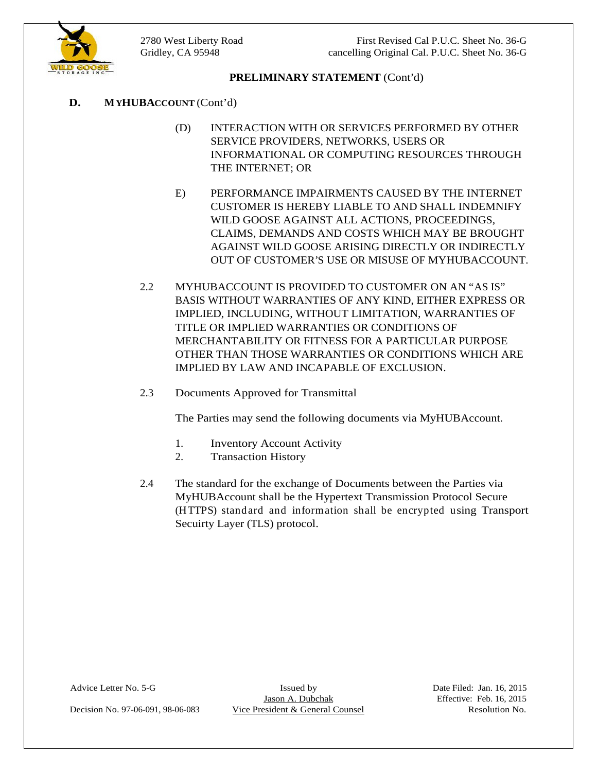

### **PRELIMINARY STATEMENT** (Cont'd)

- **D. MYHUBACCOUNT** (Cont'd)
	- (D) INTERACTION WITH OR SERVICES PERFORMED BY OTHER SERVICE PROVIDERS, NETWORKS, USERS OR INFORMATIONAL OR COMPUTING RESOURCES THROUGH THE INTERNET; OR
	- E) PERFORMANCE IMPAIRMENTS CAUSED BY THE INTERNET CUSTOMER IS HEREBY LIABLE TO AND SHALL INDEMNIFY WILD GOOSE AGAINST ALL ACTIONS, PROCEEDINGS, CLAIMS, DEMANDS AND COSTS WHICH MAY BE BROUGHT AGAINST WILD GOOSE ARISING DIRECTLY OR INDIRECTLY
	- OUT OF CUSTOMER'S USE OR MISUSE OF MYHUBACCOUNT.<br>2.2 MYHUBACCOUNT IS PROVIDED TO CUSTOMER ON AN "AS IS" BASIS WITHOUT WARRANTIES OF ANY KIND, EITHER EXPRESS OR IMPLIED, INCLUDING, WITHOUT LIMITATION, WARRANTIES OF TITLE OR IMPLIED WARRANTIES OR CONDITIONS OF MERCHANTABILITY OR FITNESS FOR A PARTICULAR PURPOSE OTHER THAN THOSE WARRANTIES OR CONDITIONS WHICH ARE IMPLIED BY LAW AND INCAPABLE OF EXCLUSION.
	- 2.3 Documents Approved for Transmittal

The Parties may send the following documents via MyHUBAccount.<br>1. Inventory Account Activity

- 
- 
- 2. Transaction History<br>
2.4 The standard for the exchange of Documents between the Parties via MyHUBAccount shall be the Hypertext Transmission Protocol Secure (HTTPS) standard and information shall be encrypted using Transport Secuirty Layer (TLS) protocol.

Advice Letter No. 5-G Issued by Issued by Date Filed: Jan. 16, 2015<br>Jason A. Dubchak Effective: Feb. 16, 2015

Decision No. 97-06-091, 98-06-083 Vice President & General Counsel Resolution No.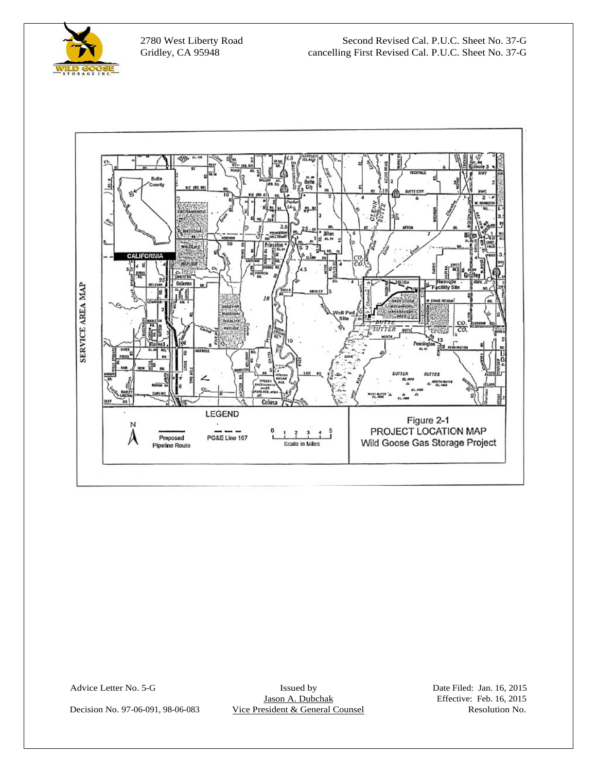

 $\overline{a}$ 

2780 West Liberty Road Second Revised Cal. P.U.C. Sheet No. 37-G Gridley, CA 95948 cancelling First Revised Cal. P.U.C. Sheet No. 37-G



Advice Letter No. 5-G Issued by Issued by Date Filed: Jan. 16, 2015<br>Jason A. Dubchak Effective: Feb. 16, 2015 Decision No. 97-06-091, 98-06-083 Vice President & General Counsel Resolution No.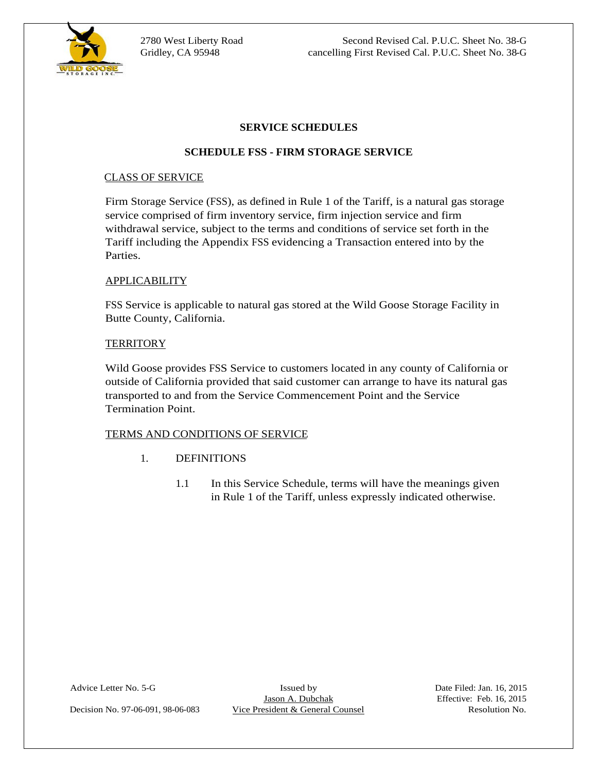

 $\overline{a}$ 

2780 West Liberty Road Second Revised Cal. P.U.C. Sheet No. 38-G Gridley, CA 95948 cancelling First Revised Cal. P.U.C. Sheet No. 38-G

#### **SERVICE SCHEDULES**

### **SCHEDULE FSS - FIRM STORAGE SERVICE**

#### CLASS OF SERVICE

Firm Storage Service (FSS), as defined in Rule 1 of the Tariff, is a natural gas storage service comprised of firm inventory service, firm injection service and firm withdrawal service, subject to the terms and conditions of service set forth in the Tariff including the Appendix FSS evidencing a Transaction entered into by the Parties.

#### APPLICABILITY

FSS Service is applicable to natural gas stored at the Wild Goose Storage Facility in Butte County, California.

#### TERRITORY FOR A SERVICE OF THE SERVICE OF THE SERVICE OF THE SERVICE OF THE SERVICE OF THE SERVICE OF THE SERVICE OF THE SERVICE OF THE SERVICE OF THE SERVICE OF THE SERVICE OF THE SERVICE OF THE SERVICE OF THE SERVICE OF

Wild Goose provides FSS Service to customers located in any county of California or outside of California provided that said customer can arrange to have its natural gas transported to and from the Service Commencement Point and the Service Termination Point.

#### TERMS AND CONDITIONS OF SERVICE

- 1. DEFINITIONS
	- 1.1 In this Service Schedule, terms will have the meanings given in Rule 1 of the Tariff, unless expressly indicated otherwise.

Advice Letter No. 5-G Issued by Issued by Date Filed: Jan. 16, 2015<br>Jason A. Dubchak Effective: Feb. 16, 2015

Decision No. 97-06-091, 98-06-083 Vice President & General Counsel Resolution No.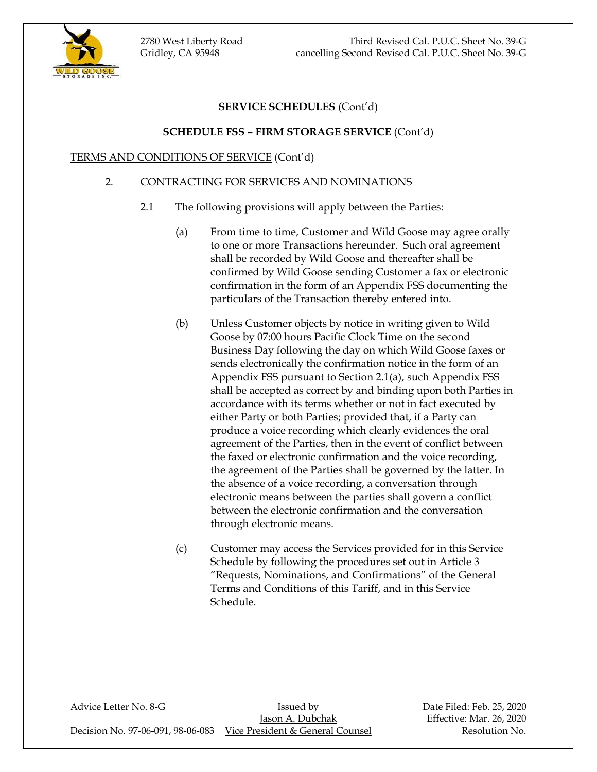2780 West Liberty Road Third Revised Cal. P.U.C. Sheet No. 39-G Gridley, CA 95948 cancelling Second Revised Cal. P.U.C. Sheet No. 39-G



# **SERVICE SCHEDULES** (Cont'd)

### **SCHEDULE FSS – FIRM STORAGE SERVICE** (Cont'd)

### TERMS AND CONDITIONS OF SERVICE (Cont'd)

### 2. CONTRACTING FOR SERVICES AND NOMINATIONS

- 2.1 The following provisions will apply between the Parties:
	- (a) From time to time, Customer and Wild Goose may agree orally to one or more Transactions hereunder. Such oral agreement shall be recorded by Wild Goose and thereafter shall be confirmed by Wild Goose sending Customer a fax or electronic confirmation in the form of an Appendix FSS documenting the particulars of the Transaction thereby entered into.
	- (b) Unless Customer objects by notice in writing given to Wild Goose by 07:00 hours Pacific Clock Time on the second Business Day following the day on which Wild Goose faxes or sends electronically the confirmation notice in the form of an Appendix FSS pursuant to Section 2.1(a), such Appendix FSS shall be accepted as correct by and binding upon both Parties in accordance with its terms whether or not in fact executed by either Party or both Parties; provided that, if a Party can produce a voice recording which clearly evidences the oral agreement of the Parties, then in the event of conflict between the faxed or electronic confirmation and the voice recording, the agreement of the Parties shall be governed by the latter. In the absence of a voice recording, a conversation through electronic means between the parties shall govern a conflict between the electronic confirmation and the conversation through electronic means.
	- (c) Customer may access the Services provided for in this Service Schedule by following the procedures set out in Article 3 "Requests, Nominations, and Confirmations" of the General Terms and Conditions of this Tariff, and in this Service Schedule.

Advice Letter No. 8-G **Issued by** Bate Filed: Feb. 25, 2020 Jason A. Dubchak Effective: Mar. 26, 2020 Decision No. 97-06-091, 98-06-083 Vice President & General Counsel Resolution No.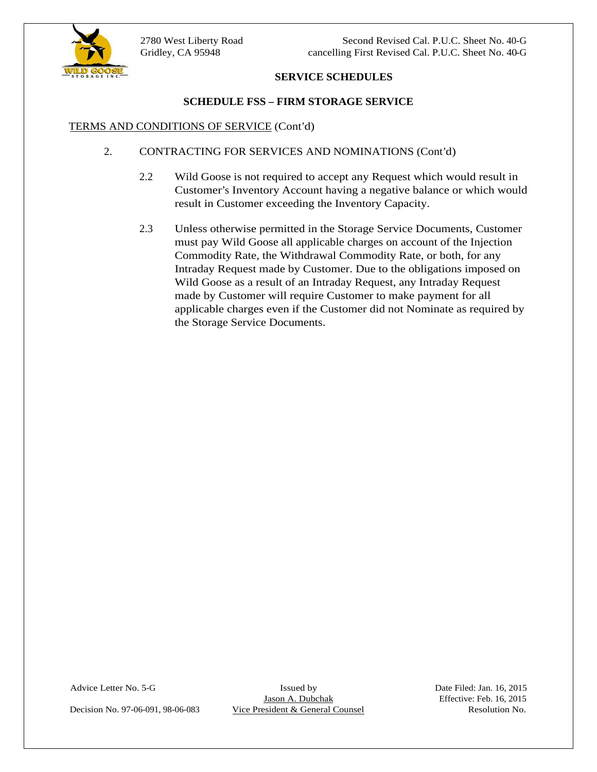### **SERVICE SCHEDULES**

# **SCHEDULE FSS – FIRM STORAGE SERVICE<br>TERMS AND CONDITIONS OF SERVICE (Cont'd)**

- 2. CONTRACTING FOR SERVICES AND NOMINATIONS (Cont'd)
	- 2.2 Wild Goose is not required to accept any Request which would result in Customer's Inventory Account having a negative balance or which would result in Customer exceeding the Inventory Capacity.
	- 2.3 Unless otherwise permitted in the Storage Service Documents, Customer must pay Wild Goose all applicable charges on account of the Injection Commodity Rate, the Withdrawal Commodity Rate, or both, for any Intraday Request made by Customer. Due to the obligations imposed on Wild Goose as a result of an Intraday Request, any Intraday Request made by Customer will require Customer to make payment for all applicable charges even if the Customer did not Nominate as required by the Storage Service Documents.

Decision No. 97-06-091, 98-06-083 Vice President & General Counsel Resolution No.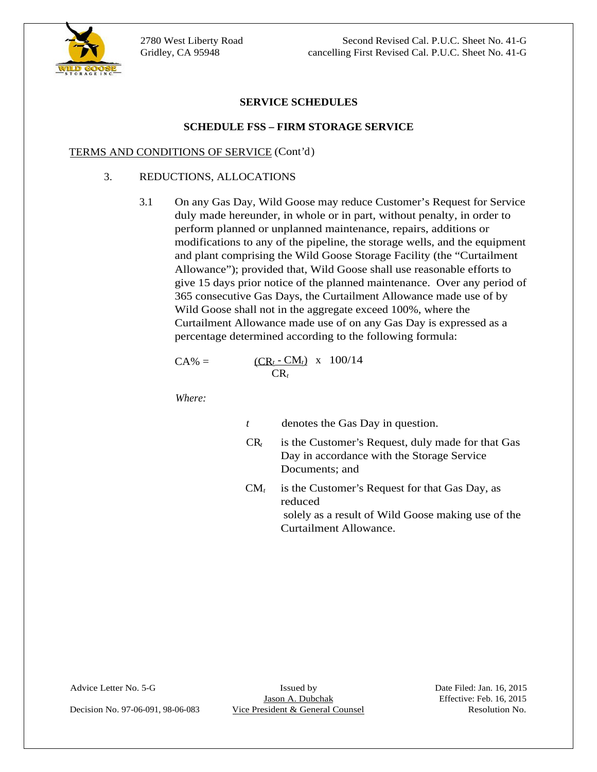



#### **SERVICE SCHEDULES**

#### **SCHEDULE FSS – FIRM STORAGE SERVICE**

#### TERMS AND CONDITIONS OF SERVICE (Cont'd)

### 3. REDUCTIONS, ALLOCATIONS

3.1 On any Gas Day, Wild Goose may reduce Customer's Request for Service duly made hereunder, in whole or in part, without penalty, in order to perform planned or unplanned maintenance, repairs, additions or modifications to any of the pipeline, the storage wells, and the equipment and plant comprising the Wild Goose Storage Facility (the "Curtailment Allowance"); provided that, Wild Goose shall use reasonable efforts to give 15 days prior notice of the planned maintenance. Over any period of 365 consecutive Gas Days, the Curtailment Allowance made use of by Wild Goose shall not in the aggregate exceed 100%, where the Curtailment Allowance made use of on any Gas Day is expressed as a percentage determined according to the following formula:

$$
CA\% = \frac{(CR_t - CM_t) \times 100/14}{CR_t}
$$

*Where:*

| denotes | †he<br>question.<br>- 1 n<br>cas<br>$\boldsymbol{\omega}$ av<br>-uic |  |  |  |
|---------|----------------------------------------------------------------------|--|--|--|
|---------|----------------------------------------------------------------------|--|--|--|

- CR*<sup>t</sup>* is the Customer's Request, duly made for that Gas Day in accordance with the Storage Service Documents; and  $\qquad \qquad$
- $CM_t$  is the Customer's Request for that Gas Day, as reduced<br>solely as a result of Wild Goose making use of the Curtailment Allowance.

Decision No. 97-06-091, 98-06-083 Vice President & General Counsel Resolution No.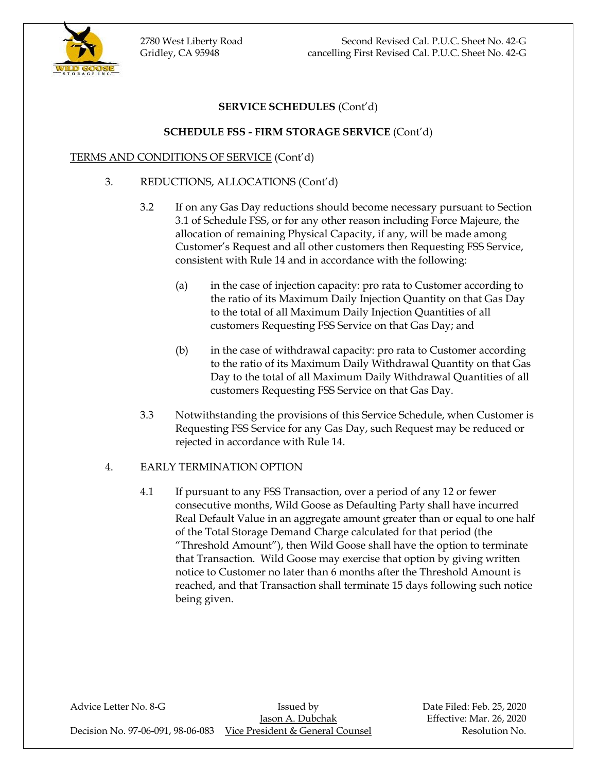2780 West Liberty Road Second Revised Cal. P.U.C. Sheet No. 42-G Gridley, CA 95948 cancelling First Revised Cal. P.U.C. Sheet No. 42-G



# **SERVICE SCHEDULES** (Cont'd)

### **SCHEDULE FSS - FIRM STORAGE SERVICE** (Cont'd)

### TERMS AND CONDITIONS OF SERVICE (Cont'd)

- 3. REDUCTIONS, ALLOCATIONS (Cont'd)
	- 3.2 If on any Gas Day reductions should become necessary pursuant to Section 3.1 of Schedule FSS, or for any other reason including Force Majeure, the allocation of remaining Physical Capacity, if any, will be made among Customer's Request and all other customers then Requesting FSS Service, consistent with Rule 14 and in accordance with the following:
		- (a) in the case of injection capacity: pro rata to Customer according to the ratio of its Maximum Daily Injection Quantity on that Gas Day to the total of all Maximum Daily Injection Quantities of all customers Requesting FSS Service on that Gas Day; and
		- (b) in the case of withdrawal capacity: pro rata to Customer according to the ratio of its Maximum Daily Withdrawal Quantity on that Gas Day to the total of all Maximum Daily Withdrawal Quantities of all customers Requesting FSS Service on that Gas Day.
	- 3.3 Notwithstanding the provisions of this Service Schedule, when Customer is Requesting FSS Service for any Gas Day, such Request may be reduced or rejected in accordance with Rule 14.

### 4. EARLY TERMINATION OPTION

4.1 If pursuant to any FSS Transaction, over a period of any 12 or fewer consecutive months, Wild Goose as Defaulting Party shall have incurred Real Default Value in an aggregate amount greater than or equal to one half of the Total Storage Demand Charge calculated for that period (the "Threshold Amount"), then Wild Goose shall have the option to terminate that Transaction. Wild Goose may exercise that option by giving written notice to Customer no later than 6 months after the Threshold Amount is reached, and that Transaction shall terminate 15 days following such notice being given.

Advice Letter No. 8-G **Issued by** Bate Filed: Feb. 25, 2020 Jason A. Dubchak Effective: Mar. 26, 2020 Decision No. 97-06-091, 98-06-083 Vice President & General Counsel Resolution No.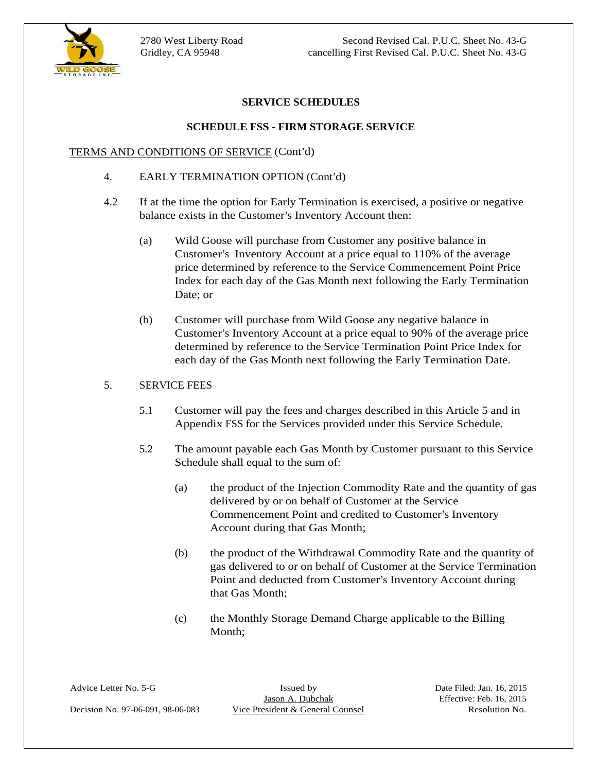

2780 West Liberty Road Second Revised Cal. P.U.C. Sheet No. 43-G Gridley, CA 95948 cancelling First Revised Cal. P.U.C. Sheet No. 43-G

#### **SERVICE SCHEDULES**

#### **SCHEDULE FSS - FIRM STORAGE SERVICE**

#### TERMS AND CONDITIONS OF SERVICE (Cont'd)

- 4. EARLY TERMINATION OPTION (Cont'd)
- 4.2 If at the time the option for Early Termination is exercised, a positive or negative balance exists in the Customer's Inventory Account then:
	- (a) Wild Goose will purchase from Customer any positive balance in Customer's Inventory Account at a price equal to 110% of the average price determined by reference to the Service Commencement Point Price Index for each day of the Gas Month next following the Early Termination Date; or
	- (b) Customer will purchase from Wild Goose any negative balance in Customer's Inventory Account at a price equal to 90% of the average price determined by reference to the Service Termination Point Price Index for each day of the Gas Month next following the Early Termination Date.

#### 5. SERVICE FEES

- 5.1 Customer will pay the fees and charges described in this Article 5 and in Appendix FSS for the Services provided under this Service Schedule.
- 5.2 The amount payable each Gas Month by Customer pursuant to this Service Schedule shall equal to the sum of:
	- (a) the product of the Injection Commodity Rate and the quantity of gas delivered by or on behalf of Customer at the Service Commencement Point and credited to Customer's Inventory Account during that Gas Month;
	- (b) the product of the Withdrawal Commodity Rate and the quantity of gas delivered to or on behalf of Customer at the Service Termination Point and deducted from Customer's Inventory Account during that Gas Month;
	- (c) the Monthly Storage Demand Charge applicable to the Billing Month;

Decision No. 97-06-091, 98-06-083 Vice President & General Counsel Resolution No.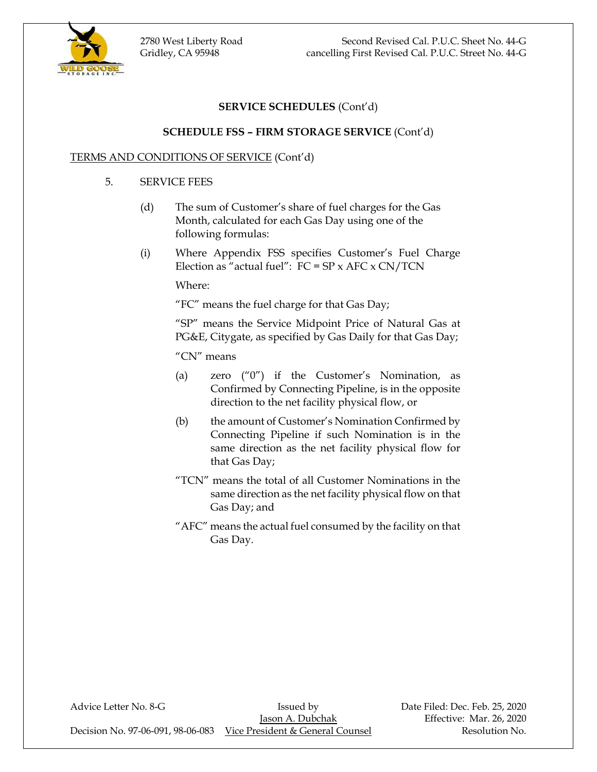2780 West Liberty Road Second Revised Cal. P.U.C. Sheet No. 44-G Gridley, CA 95948 cancelling First Revised Cal. P.U.C. Street No. 44-G



# **SERVICE SCHEDULES** (Cont'd)

### **SCHEDULE FSS – FIRM STORAGE SERVICE** (Cont'd)

### TERMS AND CONDITIONS OF SERVICE (Cont'd)

#### 5. SERVICE FEES

- (d) The sum of Customer's share of fuel charges for the Gas Month, calculated for each Gas Day using one of the following formulas:
- (i) Where Appendix FSS specifies Customer's Fuel Charge Election as "actual fuel":  $FC = SP \times AFC \times CN/TCN$

Where:

"FC" means the fuel charge for that Gas Day;

"SP" means the Service Midpoint Price of Natural Gas at PG&E, Citygate, as specified by Gas Daily for that Gas Day;

"CN" means

- (a) zero ("0") if the Customer's Nomination, as Confirmed by Connecting Pipeline, is in the opposite direction to the net facility physical flow, or
- (b) the amount of Customer's Nomination Confirmed by Connecting Pipeline if such Nomination is in the same direction as the net facility physical flow for that Gas Day;
- "TCN" means the total of all Customer Nominations in the same direction as the net facility physical flow on that Gas Day; and
- "AFC" means the actual fuel consumed by the facility on that Gas Day.

Advice Letter No. 8-G **Issued by** Date Filed: Dec. Feb. 25, 2020 Decision No. 97-06-091, 98-06-083 Vice President & General Counsel Resolution No.

Jason A. Dubchak Effective: Mar. 26, 2020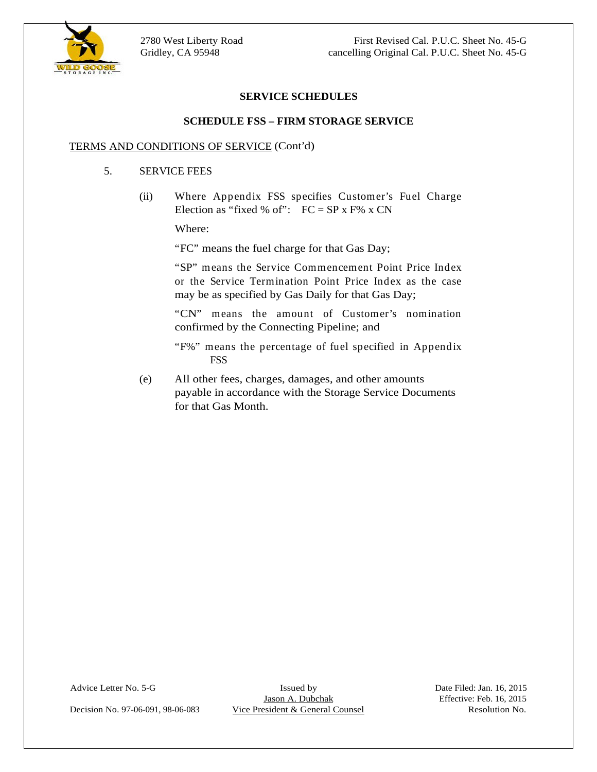

### **SERVICE SCHEDULES**

#### **SCHEDULE FSS – FIRM STORAGE SERVICE**

#### TERMS AND CONDITIONS OF SERVICE (Cont'd)

#### 5. SERVICE FEES

(ii) Where Appendix FSS specifies Customer's Fuel Charge Election as "fixed % of":  $FC = SP x F\% x CN$ 

Where: the contract of the contract of the contract of the contract of the contract of the contract of the contract of the contract of the contract of the contract of the contract of the contract of the contract of the con

"FC" means the fuel charge for that Gas Day;

"SP" means the Service Commencement Point Price Index or the Service Termination Point Price Index as the case may be as specified by Gas Daily for that Gas Day;

"CN" means the amount of Customer's nomination confirmed by the Connecting Pipeline; and

"F%" means the percentage of fuel specified in Appendix FSS FOR THE SECOND SECOND SECOND SECOND SECOND SECOND SECOND SECOND SECOND SECOND SECOND SECOND SECOND SECOND SECOND SECOND SECOND SECOND SECOND SECOND SECOND SECOND SECOND SECOND SECOND SECOND SECOND SECOND SECOND SECOND

(e) All other fees, charges, damages, and other amounts payable in accordance with the Storage Service Documents for that Gas Month.

Decision No. 97-06-091, 98-06-083 Vice President & General Counsel Resolution No.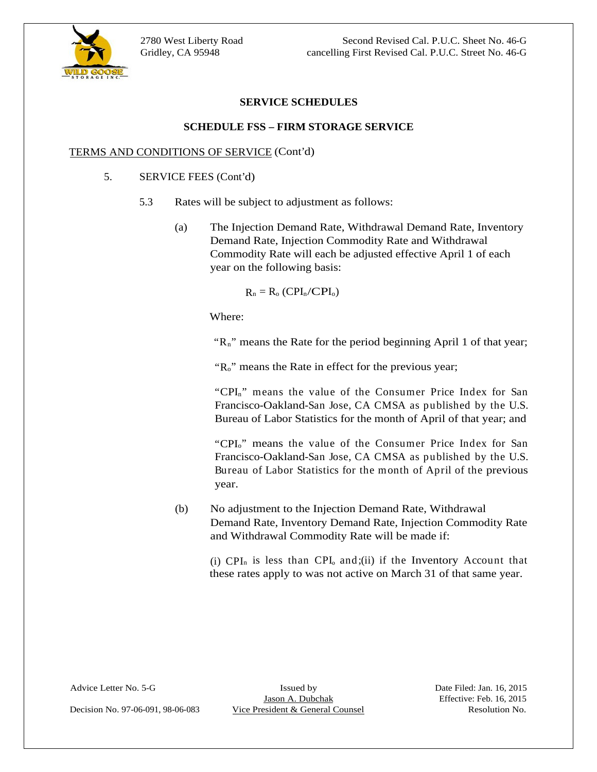

### **SERVICE SCHEDULES**

#### **SCHEDULE FSS – FIRM STORAGE SERVICE**

#### TERMS AND CONDITIONS OF SERVICE (Cont'd)

- 5. SERVICE FEES (Cont'd)
	- 5.3 Rates will be subject to adjustment as follows:
		- (a) The Injection Demand Rate, Withdrawal Demand Rate, Inventory Demand Rate, Injection Commodity Rate and Withdrawal Commodity Rate will each be adjusted effective April 1 of each year on the following basis:

$$
R_n = R_o (CPI_n / CPI_o)
$$

Where:

"Rn" means the Rate for the period beginning April 1 of that year;

" $R_0$ " means the Rate in effect for the previous year;

"CPI<sub>n</sub>" means the value of the Consumer Price Index for San Francisco-Oakland-San Jose, CA CMSA as published by the U.S. Bureau of Labor Statistics for the month of April of that year; and

"CPI<sub>0</sub>" means the value of the Consumer Price Index for San Francisco-Oakland-San Jose, CA CMSA as published by the U.S. Bureau of Labor Statistics for the month of April of the previous year.

(b) No adjustment to the Injection Demand Rate, Withdrawal Demand Rate, Inventory Demand Rate, Injection Commodity Rate and Withdrawal Commodity Rate will be made if:

(i)  $\text{CPI}_n$  is less than  $\text{CPI}_o$  and;(ii) if the Inventory Account that these rates apply to was not active on March 31 of that same year.

Advice Letter No. 5-G Issued by Issued by Date Filed: Jan. 16, 2015<br>Jason A. Dubchak Effective: Feb. 16, 2015 Decision No. 97-06-091, 98-06-083 Vice President & General Counsel Resolution No.

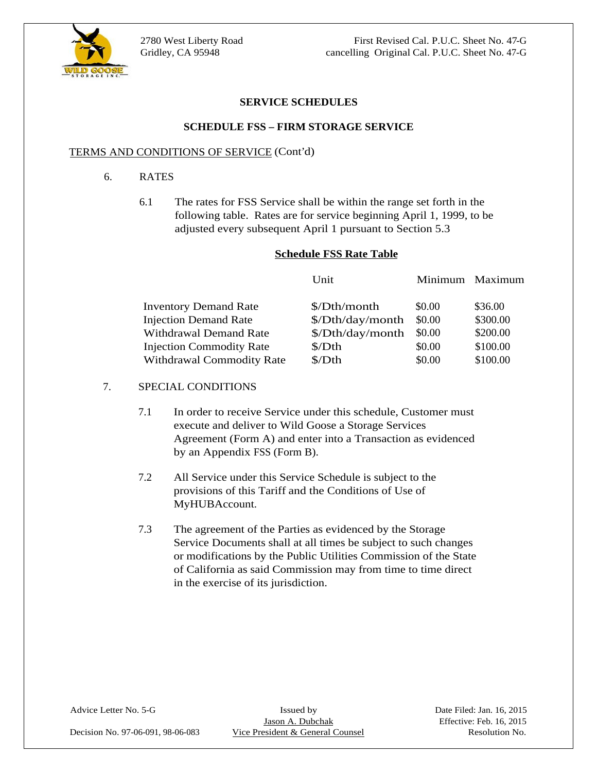

2780 West Liberty Road First Revised Cal. P.U.C. Sheet No. 47-G Gridley, CA 95948 cancelling Original Cal. P.U.C. Sheet No. 47-G

#### **SERVICE SCHEDULES**

#### **SCHEDULE FSS – FIRM STORAGE SERVICE**

#### TERMS AND CONDITIONS OF SERVICE (Cont'd)

#### 6. RATES

6.1 The rates for FSS Service shall be within the range set forth in the following table. Rates are for service beginning April 1, 1999, to be adjusted every subsequent April 1 pursuant to Section 5.3 2780 West Liberty Road<br>
Critaley, CA 95948<br>
Critaley, CA 95948<br>
CRINICE SCHEDULES<br>
SERVICE SCHEDULES<br>
SERVICE SCHEDULES<br>
SERVICE SCHEDULES<br>
SERVICE SCHEDULES<br>
TERMS AND CONDITIONS OF SERVICE (Cont'd)<br>
6. RATES<br>
6.1 The rat

#### **Schedule FSS Rate Table**

|                                  | Unit                                  |        | Minimum Maximum |
|----------------------------------|---------------------------------------|--------|-----------------|
|                                  |                                       |        |                 |
| <b>Inventory Demand Rate</b>     | \$/Dth/month                          | \$0.00 | \$36.00         |
| <b>Injection Demand Rate</b>     | $\Lambda$ Dth/day/month $\delta$ 0.00 |        | \$300.00        |
| Withdrawal Demand Rate           | $\Lambda$ Dth/day/month $\delta$ 0.00 |        | \$200.00        |
| <b>Injection Commodity Rate</b>  | \$/Dth                                | \$0.00 | \$100.00        |
| <b>Withdrawal Commodity Rate</b> | \$/Dth                                | \$0.00 | \$100.00        |
|                                  |                                       |        |                 |
| SPECIAL CONDITIONS               |                                       |        |                 |

- 7.1 In order to receive Service under this schedule, Customer must execute and deliver to Wild Goose a Storage Services Agreement (Form A) and enter into a Transaction as evidenced by an Appendix FSS (Form B).<br>
7.2 All Service under this Service Schedule is subject to the
- provisions of this Tariff and the Conditions of Use of
- MyHUBAccount.<br>
The agreement of the Parties as evidenced by the Storage Service Documents shall at all times be subject to such changes or modifications by the Public Utilities Commission of the State of California as said Commission may from time to time direct in the exercise of its jurisdiction.

Decision No. 97-06-091, 98-06-083 Vice President & General Counsel Resolution No.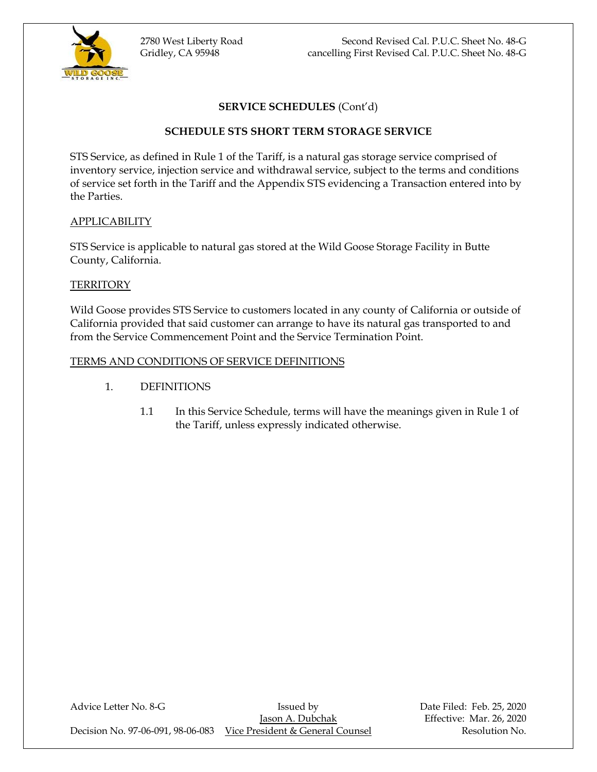

# **SERVICE SCHEDULES** (Cont'd)

### **SCHEDULE STS SHORT TERM STORAGE SERVICE**

STS Service, as defined in Rule 1 of the Tariff, is a natural gas storage service comprised of inventory service, injection service and withdrawal service, subject to the terms and conditions of service set forth in the Tariff and the Appendix STS evidencing a Transaction entered into by the Parties.

#### APPLICABILITY

STS Service is applicable to natural gas stored at the Wild Goose Storage Facility in Butte County, California.

#### **TERRITORY**

Wild Goose provides STS Service to customers located in any county of California or outside of California provided that said customer can arrange to have its natural gas transported to and from the Service Commencement Point and the Service Termination Point.

#### TERMS AND CONDITIONS OF SERVICE DEFINITIONS

- 1. DEFINITIONS
	- 1.1 In this Service Schedule, terms will have the meanings given in Rule 1 of the Tariff, unless expressly indicated otherwise.

Advice Letter No. 8-G **Issued by** Bate Filed: Feb. 25, 2020 Jason A. Dubchak Effective: Mar. 26, 2020 Decision No. 97-06-091, 98-06-083 Vice President & General Counsel Resolution No.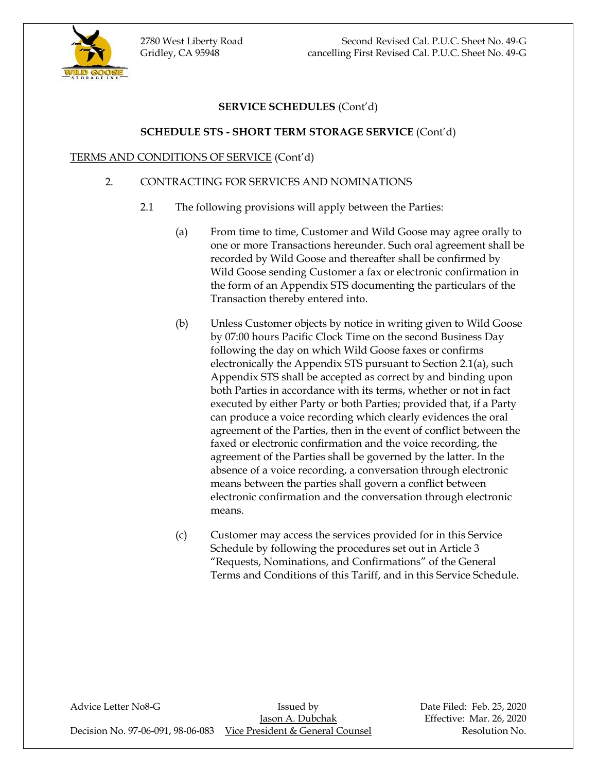2780 West Liberty Road Second Revised Cal. P.U.C. Sheet No. 49-G Gridley, CA 95948 cancelling First Revised Cal. P.U.C. Sheet No. 49-G



### **SERVICE SCHEDULES** (Cont'd)

### **SCHEDULE STS - SHORT TERM STORAGE SERVICE** (Cont'd)

#### TERMS AND CONDITIONS OF SERVICE (Cont'd)

#### 2. CONTRACTING FOR SERVICES AND NOMINATIONS

- 2.1 The following provisions will apply between the Parties:
	- (a) From time to time, Customer and Wild Goose may agree orally to one or more Transactions hereunder. Such oral agreement shall be recorded by Wild Goose and thereafter shall be confirmed by Wild Goose sending Customer a fax or electronic confirmation in the form of an Appendix STS documenting the particulars of the Transaction thereby entered into.
	- (b) Unless Customer objects by notice in writing given to Wild Goose by 07:00 hours Pacific Clock Time on the second Business Day following the day on which Wild Goose faxes or confirms electronically the Appendix STS pursuant to Section 2.1(a), such Appendix STS shall be accepted as correct by and binding upon both Parties in accordance with its terms, whether or not in fact executed by either Party or both Parties; provided that, if a Party can produce a voice recording which clearly evidences the oral agreement of the Parties, then in the event of conflict between the faxed or electronic confirmation and the voice recording, the agreement of the Parties shall be governed by the latter. In the absence of a voice recording, a conversation through electronic means between the parties shall govern a conflict between electronic confirmation and the conversation through electronic means.
	- (c) Customer may access the services provided for in this Service Schedule by following the procedures set out in Article 3 "Requests, Nominations, and Confirmations" of the General Terms and Conditions of this Tariff, and in this Service Schedule.

Advice Letter No8-G **Issued by** Issued by Date Filed: Feb. 25, 2020 Jason A. Dubchak Effective: Mar. 26, 2020 Decision No. 97-06-091, 98-06-083 Vice President & General Counsel Resolution No.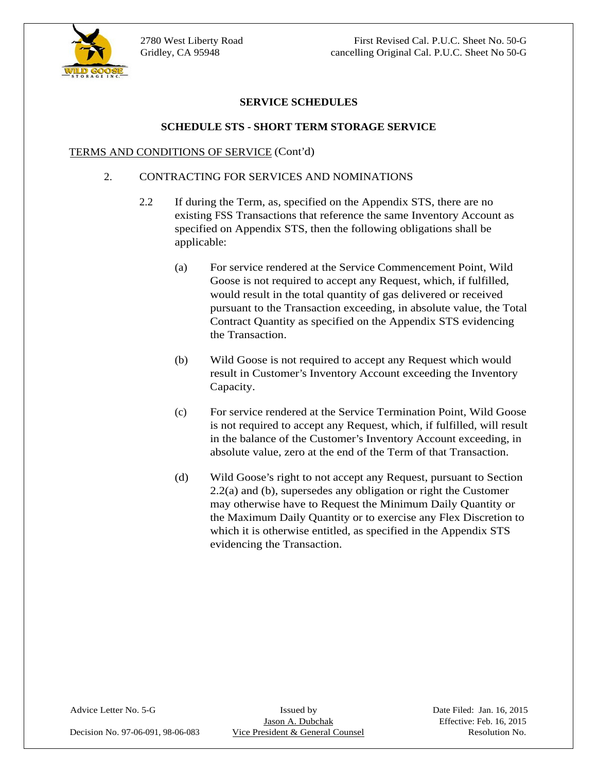

### **SERVICE SCHEDULES**

#### **SCHEDULE STS - SHORT TERM STORAGE SERVICE**

#### TERMS AND CONDITIONS OF SERVICE (Cont'd)

#### 2. CONTRACTING FOR SERVICES AND NOMINATIONS

- 2.2 If during the Term, as, specified on the Appendix STS, there are no existing FSS Transactions that reference the same Inventory Account as specified on Appendix STS, then the following obligations shall be applicable: the contract of the contract of the contract of the contract of the contract of the contract of the contract of the contract of the contract of the contract of the contract of the contract of the contract of th
	- (a) For service rendered at the Service Commencement Point, Wild Goose is not required to accept any Request, which, if fulfilled, would result in the total quantity of gas delivered or received pursuant to the Transaction exceeding, in absolute value, the Total Contract Quantity as specified on the Appendix STS evidencing the Transaction.
	- (b) Wild Goose is not required to accept any Request which would result in Customer's Inventory Account exceeding the Inventory Capacity.
	- (c) For service rendered at the Service Termination Point, Wild Goose is not required to accept any Request, which, if fulfilled, will result in the balance of the Customer's Inventory Account exceeding, in absolute value, zero at the end of the Term of that Transaction.
	- (d) Wild Goose's right to not accept any Request, pursuant to Section 2.2(a) and (b), supersedes any obligation or right the Customer may otherwise have to Request the Minimum Daily Quantity or the Maximum Daily Quantity or to exercise any Flex Discretion to which it is otherwise entitled, as specified in the Appendix STS evidencing the Transaction.

Decision No. 97-06-091, 98-06-083 Vice President & General Counsel Resolution No.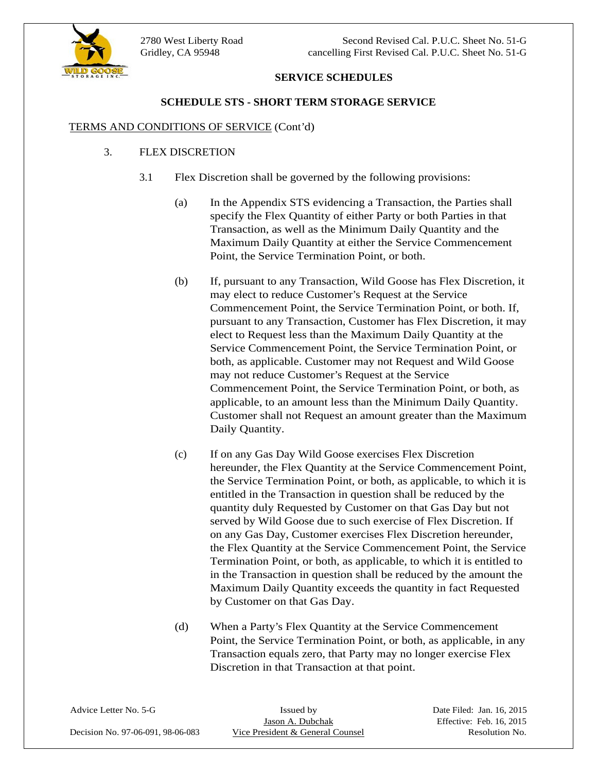2780 West Liberty Road Second Revised Cal. P.U.C. Sheet No. 51-G Gridley, CA 95948 cancelling First Revised Cal. P.U.C. Sheet No. 51-G



### **SERVICE SCHEDULES**

### **SCHEDULE STS - SHORT TERM STORAGE SERVICE**

#### TERMS AND CONDITIONS OF SERVICE (Cont'd)

#### 3. FLEX DISCRETION

- 3.1 Flex Discretion shall be governed by the following provisions:
	- (a) In the Appendix STS evidencing a Transaction, the Parties shall specify the Flex Quantity of either Party or both Parties in that Transaction, as well as the Minimum Daily Quantity and the Maximum Daily Quantity at either the Service Commencement Point, the Service Termination Point, or both.
	- (b) If, pursuant to any Transaction, Wild Goose has Flex Discretion, it may elect to reduce Customer's Request at the Service Commencement Point, the Service Termination Point, or both. If, pursuant to any Transaction, Customer has Flex Discretion, it may elect to Request less than the Maximum Daily Quantity at the Service Commencement Point, the Service Termination Point, or both, as applicable. Customer may not Request and Wild Goose may not reduce Customer's Request at the Service Commencement Point, the Service Termination Point, or both, as applicable, to an amount less than the Minimum Daily Quantity. Customer shall not Request an amount greater than the Maximum Daily Quantity.
	- (c) If on any Gas Day Wild Goose exercises Flex Discretion hereunder, the Flex Quantity at the Service Commencement Point, the Service Termination Point, or both, as applicable, to which it is entitled in the Transaction in question shall be reduced by the quantity duly Requested by Customer on that Gas Day but not served by Wild Goose due to such exercise of Flex Discretion. If on any Gas Day, Customer exercises Flex Discretion hereunder, the Flex Quantity at the Service Commencement Point, the Service Termination Point, or both, as applicable, to which it is entitled to in the Transaction in question shall be reduced by the amount the Maximum Daily Quantity exceeds the quantity in fact Requested by Customer on that Gas Day.
	- (d) When a Party's Flex Quantity at the Service Commencement Point, the Service Termination Point, or both, as applicable, in any Transaction equals zero, that Party may no longer exercise Flex Discretion in that Transaction at that point.

| Advice Letter No. 5-G             | ssued by                      | Date Filed: Jan. 16, 2015 |
|-----------------------------------|-------------------------------|---------------------------|
|                                   | A. Dubchal                    | Effective: Feb. 16, 2015  |
|                                   |                               |                           |
| Decision No. 97-06-091, 98-06-083 | e President & General Counsel | Resolution No.            |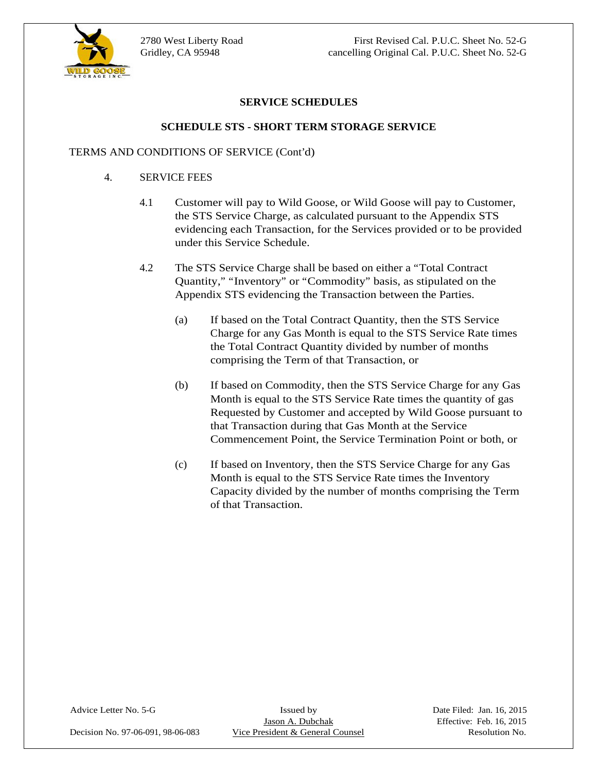

### **SERVICE SCHEDULES**

#### **SCHEDULE STS - SHORT TERM STORAGE SERVICE**

#### TERMS AND CONDITIONS OF SERVICE (Cont'd)

- 4. SERVICE FEES
	- 4.1 Customer will pay to Wild Goose, or Wild Goose will pay to Customer, the STS Service Charge, as calculated pursuant to the Appendix STS evidencing each Transaction, for the Services provided or to be provided under this Service Schedule.
	- 4.2 The STS Service Charge shall be based on either a "Total Contract Quantity," "Inventory" or "Commodity" basis, as stipulated on the Appendix STS evidencing the Transaction between the Parties.
		- (a) If based on the Total Contract Quantity, then the STS Service Charge for any Gas Month is equal to the STS Service Rate times the Total Contract Quantity divided by number of months comprising the Term of that Transaction, or<br>
		(b) If based on Commodity, then the STS Service Charge for any Gas
		- Month is equal to the STS Service Rate times the quantity of gas Requested by Customer and accepted by Wild Goose pursuant to that Transaction during that Gas Month at the Service Commencement Point, the Service Termination Point or both, or
		- (c) If based on Inventory, then the STS Service Charge for any Gas Month is equal to the STS Service Rate times the Inventory Capacity divided by the number of months comprising the Term of that Transaction.

Advice Letter No. 5-G Issued by Issued by Date Filed: Jan. 16, 2015<br>Jason A. Dubchak Effective: Feb. 16, 2015 Decision No. 97-06-091, 98-06-083 Vice President & General Counsel Resolution No.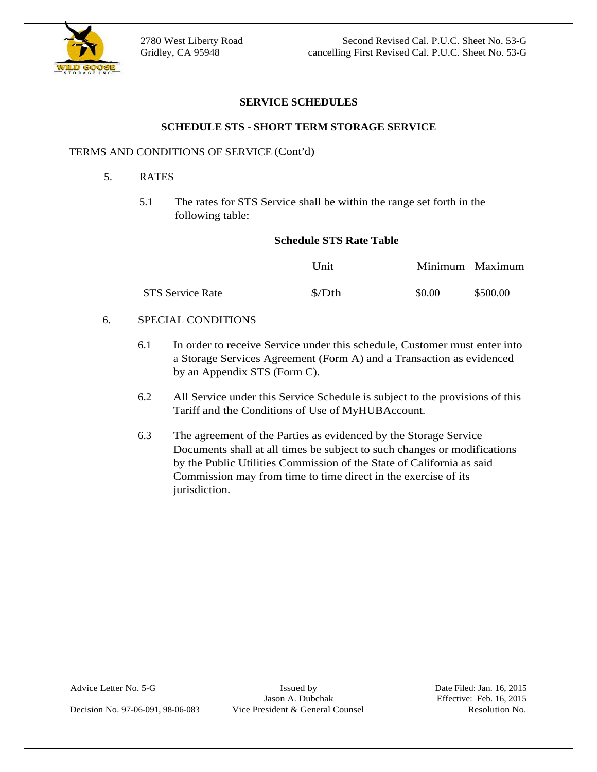

### **SERVICE SCHEDULES**

#### **SCHEDULE STS - SHORT TERM STORAGE SERVICE**

#### TERMS AND CONDITIONS OF SERVICE (Cont'd)

- 5. RATES
	- 5.1 The rates for STS Service shall be within the range set forth in the following table:

#### **Schedule STS Rate Table**

|            | 2780 West Liberty Road                                                                       |                          | Second Revised Cal. P.U.C. Sheet No. 53-G           |
|------------|----------------------------------------------------------------------------------------------|--------------------------|-----------------------------------------------------|
| WILD GOOSE | Gridley, CA 95948                                                                            |                          | cancelling First Revised Cal. P.U.C. Sheet No. 53-G |
|            |                                                                                              | <b>SERVICE SCHEDULES</b> |                                                     |
|            | <b>SCHEDULE STS - SHORT TERM STORAGE SERVICE</b>                                             |                          |                                                     |
|            | <b>TERMS AND CONDITIONS OF SERVICE (Cont'd)</b>                                              |                          |                                                     |
|            | <b>RATES</b>                                                                                 |                          |                                                     |
|            | 5.1 The rates for STS Service shall be within the range set forth in the<br>following table: |                          |                                                     |
|            | <b>Schedule STS Rate Table</b>                                                               |                          |                                                     |
|            |                                                                                              | Unit                     | Minimum Maximum                                     |
|            | STS Service Rate                                                                             | $\Lambda$                | \$0.00<br>\$500.00                                  |
| 6.         | SPECIAL CONDITIONS                                                                           |                          |                                                     |

- 6.1 In order to receive Service under this schedule, Customer must enter into a Storage Services Agreement (Form A) and a Transaction as evidenced by an Appendix STS (Form C).
- 6.2 All Service under this Service Schedule is subject to the provisions of this Tariff and the Conditions of Use of MyHUBAccount.<br>6.3 The agreement of the Parties as evidenced by the Storage Service
- Documents shall at all times be subject to such changes or modifications by the Public Utilities Commission of the State of California as said Commission may from time to time direct in the exercise of its jurisdiction.

Decision No. 97-06-091, 98-06-083 Vice President & General Counsel Resolution No.

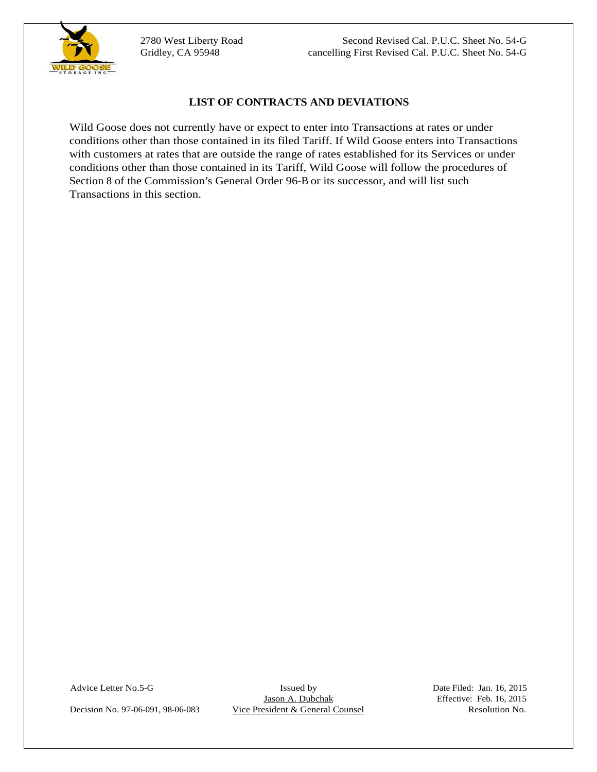

UNIA Gloose does not currently have or expect to earn in the Transactions at rates or under<br>
with case ones at rates than the unit of the IR of The TWI Of Counsel Counsel Resolution Counsel Resolution<br>
with case ones at ra Wild Goose does not currently have or expect to enter into Transactions at rates or under conditions other than those contained in its filed Tariff. If Wild Goose enters into Transactions with customers at rates that are outside the range of rates established for its Services or under conditions other than those contained in its Tariff, Wild Goose will follow the procedures of Section 8 of the Commission's General Order 96-B or its successor, and will list such Transactions in this section.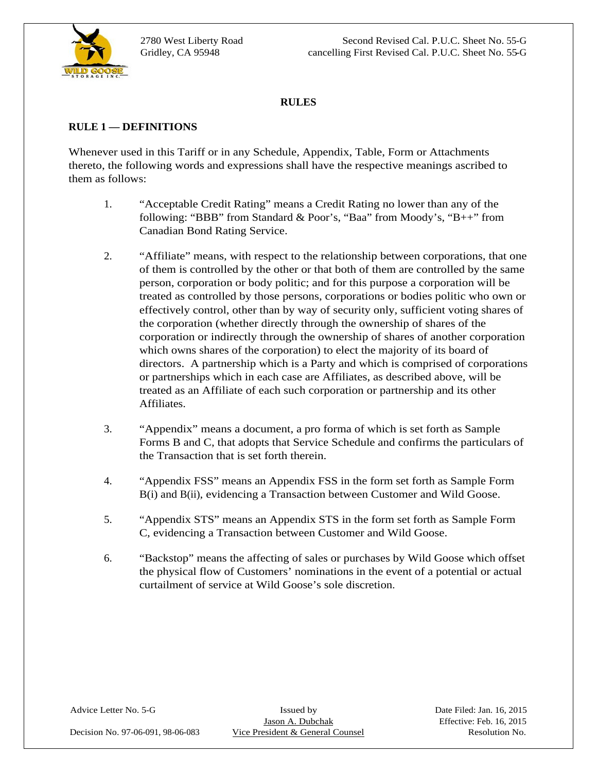

2780 West Liberty Road Second Revised Cal. P.U.C. Sheet No. 55-G Gridley, CA 95948 cancelling First Revised Cal. P.U.C. Sheet No. 55-G

#### **RULES**

### **RULE 1 — DEFINITIONS**

Whenever used in this Tariff or in any Schedule, Appendix, Table, Form or Attachments thereto, the following words and expressions shall have the respective meanings ascribed to them as follows:

- 1. "Acceptable Credit Rating" means a Credit Rating no lower than any of the following: "BBB" from Standard & Poor's, "Baa" from Moody's, "B++" from Canadian Bond Rating Service.
- 2. "Affiliate" means, with respect to the relationship between corporations, that one of them is controlled by the other or that both of them are controlled by the same person, corporation or body politic; and for this purpose a corporation will be treated as controlled by those persons, corporations or bodies politic who own or effectively control, other than by way of security only, sufficient voting shares of the corporation (whether directly through the ownership of shares of the corporation or indirectly through the ownership of shares of another corporation which owns shares of the corporation) to elect the majority of its board of directors. A partnership which is a Party and which is comprised of corporations or partnerships which in each case are Affiliates, as described above, will be treated as an Affiliate of each such corporation or partnership and its other Affiliates.
- 3. "Appendix" means a document, a pro forma of which is set forth as Sample Forms B and C, that adopts that Service Schedule and confirms the particulars of the Transaction that is set forth therein.
- 4. "Appendix FSS" means an Appendix FSS in the form set forth as Sample Form B(i) and B(ii), evidencing a Transaction between Customer and Wild Goose.
- 5. "Appendix STS" means an Appendix STS in the form set forth as Sample Form C, evidencing a Transaction between Customer and Wild Goose.
- 6. "Backstop" means the affecting of sales or purchases by Wild Goose which offset the physical flow of Customers' nominations in the event of a potential or actual curtailment of service at Wild Goose's sole discretion.

Decision No. 97-06-091, 98-06-083 Vice President & General Counsel Resolution No.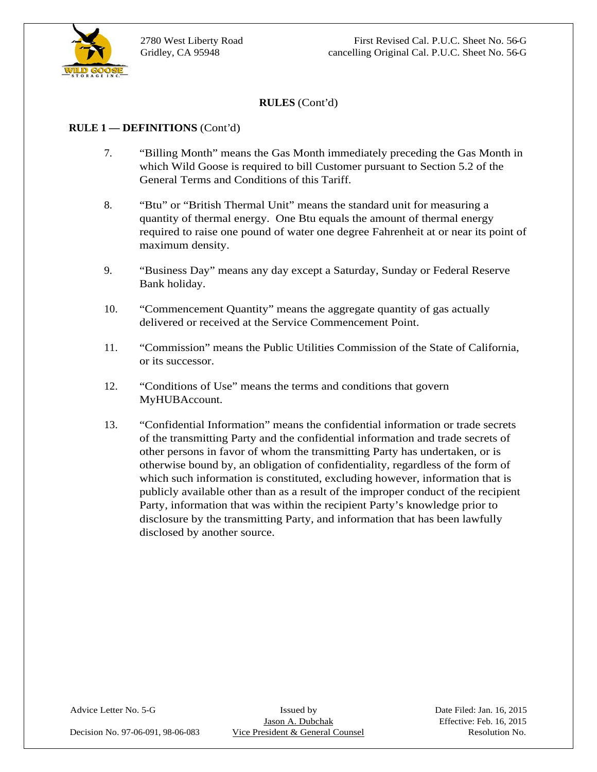

### **RULE 1 — DEFINITIONS** (Cont'd)

- 7. "Billing Month" means the Gas Month immediately preceding the Gas Month in which Wild Goose is required to bill Customer pursuant to Section 5.2 of the General Terms and Conditions of this Tariff.<br>8. "Btu" or "British Thermal Unit" means the standard unit for measuring a
- quantity of thermal energy. One Btu equals the amount of thermal energy required to raise one pound of water one degree Fahrenheit at or near its point of maximum density.
- 9. "Business Day" means any day except a Saturday, Sunday or Federal Reserve Bank holiday.
- 10. "Commencement Quantity" means the aggregate quantity of gas actually delivered or received at the Service Commencement Point.
- 11. "Commission" means the Public Utilities Commission of the State of California, or its successor.
- 12. "Conditions of Use" means the terms and conditions that govern MyHUBAccount.
- 13. "Confidential Information" means the confidential information or trade secrets of the transmitting Party and the confidential information and trade secrets of other persons in favor of whom the transmitting Party has undertaken, or is otherwise bound by, an obligation of confidentiality, regardless of the form of which such information is constituted, excluding however, information that is publicly available other than as a result of the improper conduct of the recipient Party, information that was within the recipient Party's knowledge prior to disclosure by the transmitting Party, and information that has been lawfully disclosed by another source.

Decision No. 97-06-091, 98-06-083 Vice President & General Counsel Resolution No.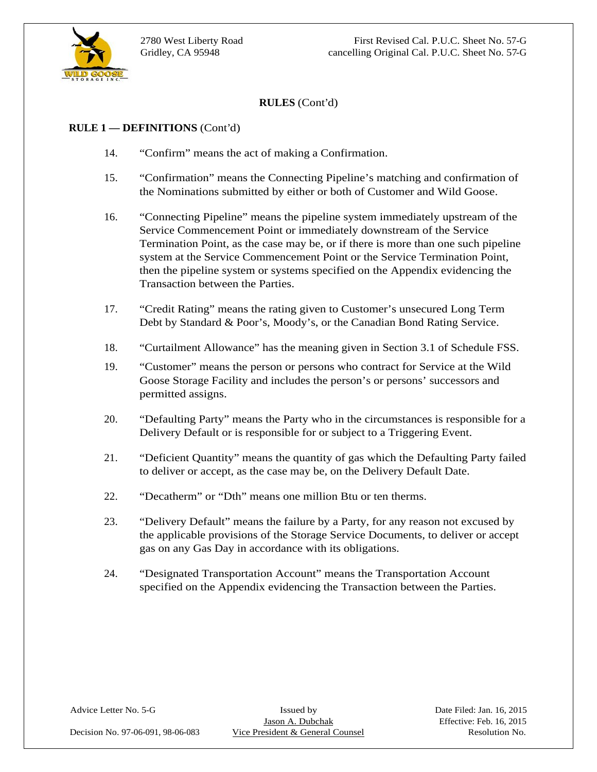

#### **RULE 1 — DEFINITIONS** (Cont'd)

- 14. "Confirm" means the act of making a Confirmation.
- 15. "Confirmation" means the Connecting Pipeline's matching and confirmation of the Nominations submitted by either or both of Customer and Wild Goose.
- 16. "Connecting Pipeline" means the pipeline system immediately upstream of the Service Commencement Point or immediately downstream of the Service Termination Point, as the case may be, or if there is more than one such pipeline system at the Service Commencement Point or the Service Termination Point, then the pipeline system or systems specified on the Appendix evidencing the Transaction between the Parties.
- 17. "Credit Rating" means the rating given to Customer's unsecured Long Term Debt by Standard & Poor's, Moody's, or the Canadian Bond Rating Service.
- 18. "Curtailment Allowance" has the meaning given in Section 3.1 of Schedule FSS.
- 19. "Customer" means the person or persons who contract for Service at the Wild Goose Storage Facility and includes the person's or persons' successors and permitted assigns.
- 20. "Defaulting Party" means the Party who in the circumstances is responsible for a Delivery Default or is responsible for or subject to a Triggering Event.
- 21. "Deficient Quantity" means the quantity of gas which the Defaulting Party failed to deliver or accept, as the case may be, on the Delivery Default Date.
- 22. "Decatherm" or "Dth" means one million Btu or ten therms.
- 23. "Delivery Default" means the failure by a Party, for any reason not excused by the applicable provisions of the Storage Service Documents, to deliver or accept gas on any Gas Day in accordance with its obligations.
- 24. "Designated Transportation Account" means the Transportation Account specified on the Appendix evidencing the Transaction between the Parties.

Advice Letter No. 5-G Issued by Issued by Date Filed: Jan. 16, 2015<br>Jason A. Dubchak Effective: Feb. 16, 2015 Decision No. 97-06-091, 98-06-083 Vice President & General Counsel Resolution No.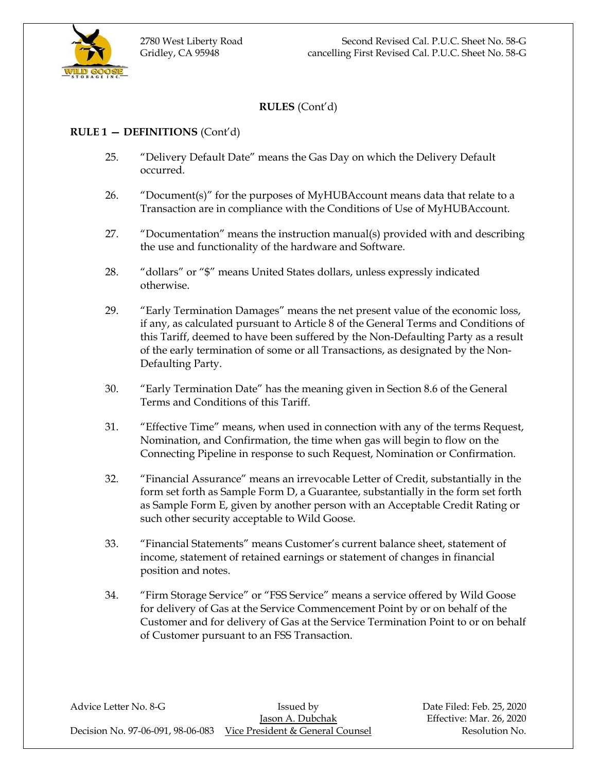

### **RULE 1 — DEFINITIONS** (Cont'd)

- 25. "Delivery Default Date" means the Gas Day on which the Delivery Default occurred.
- 26. "Document(s)" for the purposes of MyHUBAccount means data that relate to a Transaction are in compliance with the Conditions of Use of MyHUBAccount.
- 27. "Documentation" means the instruction manual(s) provided with and describing the use and functionality of the hardware and Software.
- 28. "dollars" or "\$" means United States dollars, unless expressly indicated otherwise.
- 29. "Early Termination Damages" means the net present value of the economic loss, if any, as calculated pursuant to Article 8 of the General Terms and Conditions of this Tariff, deemed to have been suffered by the Non-Defaulting Party as a result of the early termination of some or all Transactions, as designated by the Non-Defaulting Party.
- 30. "Early Termination Date" has the meaning given in Section 8.6 of the General Terms and Conditions of this Tariff.
- 31. "Effective Time" means, when used in connection with any of the terms Request, Nomination, and Confirmation, the time when gas will begin to flow on the Connecting Pipeline in response to such Request, Nomination or Confirmation.
- 32. "Financial Assurance" means an irrevocable Letter of Credit, substantially in the form set forth as Sample Form D, a Guarantee, substantially in the form set forth as Sample Form E, given by another person with an Acceptable Credit Rating or such other security acceptable to Wild Goose.
- 33. "Financial Statements" means Customer's current balance sheet, statement of income, statement of retained earnings or statement of changes in financial position and notes.
- 34. "Firm Storage Service" or "FSS Service" means a service offered by Wild Goose for delivery of Gas at the Service Commencement Point by or on behalf of the Customer and for delivery of Gas at the Service Termination Point to or on behalf of Customer pursuant to an FSS Transaction.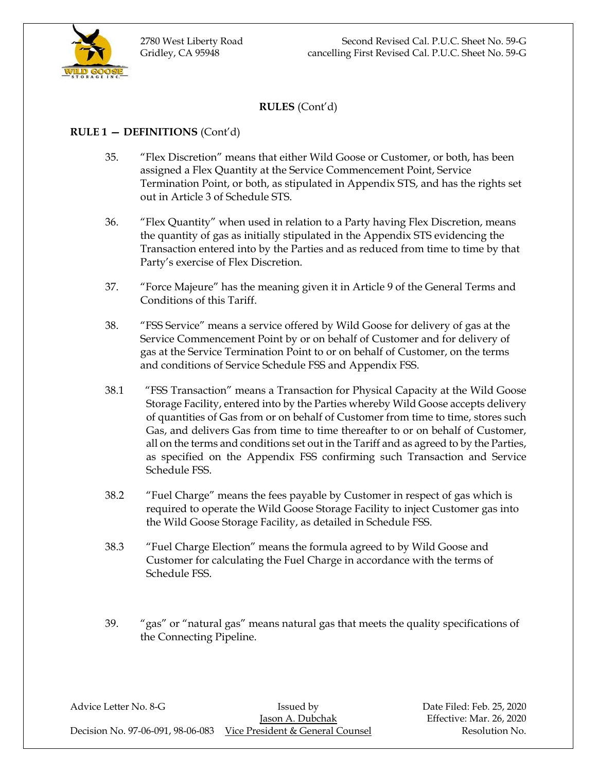

### **RULE 1 — DEFINITIONS** (Cont'd)

- 35. "Flex Discretion" means that either Wild Goose or Customer, or both, has been assigned a Flex Quantity at the Service Commencement Point, Service Termination Point, or both, as stipulated in Appendix STS, and has the rights set out in Article 3 of Schedule STS.
- 36. "Flex Quantity" when used in relation to a Party having Flex Discretion, means the quantity of gas as initially stipulated in the Appendix STS evidencing the Transaction entered into by the Parties and as reduced from time to time by that Party's exercise of Flex Discretion.
- 37. "Force Majeure" has the meaning given it in Article 9 of the General Terms and Conditions of this Tariff.
- 38. "FSS Service" means a service offered by Wild Goose for delivery of gas at the Service Commencement Point by or on behalf of Customer and for delivery of gas at the Service Termination Point to or on behalf of Customer, on the terms and conditions of Service Schedule FSS and Appendix FSS.
- 38.1 "FSS Transaction" means a Transaction for Physical Capacity at the Wild Goose Storage Facility, entered into by the Parties whereby Wild Goose accepts delivery of quantities of Gas from or on behalf of Customer from time to time, stores such Gas, and delivers Gas from time to time thereafter to or on behalf of Customer, all on the terms and conditions set out in the Tariff and as agreed to by the Parties, as specified on the Appendix FSS confirming such Transaction and Service Schedule FSS.
- 38.2 "Fuel Charge" means the fees payable by Customer in respect of gas which is required to operate the Wild Goose Storage Facility to inject Customer gas into the Wild Goose Storage Facility, as detailed in Schedule FSS.
- 38.3 "Fuel Charge Election" means the formula agreed to by Wild Goose and Customer for calculating the Fuel Charge in accordance with the terms of Schedule FSS.
- 39. "gas" or "natural gas" means natural gas that meets the quality specifications of the Connecting Pipeline.

Advice Letter No. 8-G **Issued by** Issued by Date Filed: Feb. 25, 2020 Jason A. Dubchak Effective: Mar. 26, 2020 Decision No. 97-06-091, 98-06-083 Vice President & General Counsel Resolution No.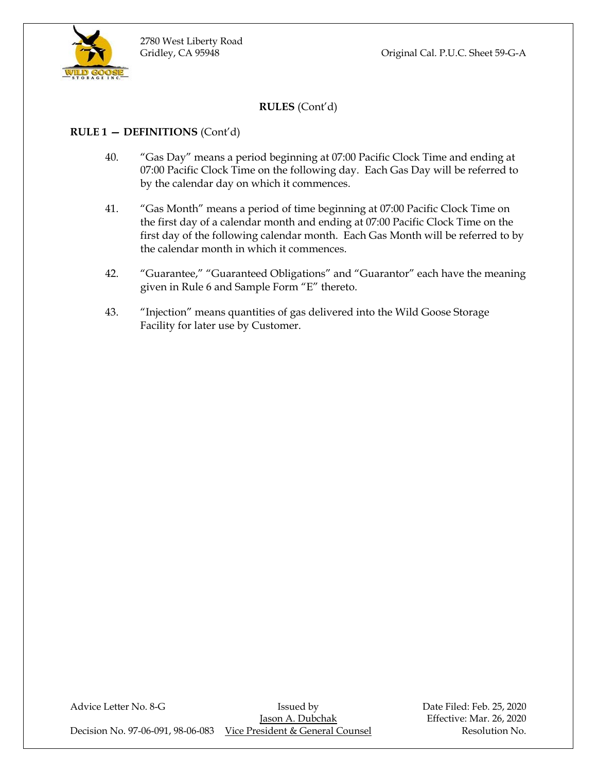

### **RULE 1 — DEFINITIONS** (Cont'd)

- 40. "Gas Day" means a period beginning at 07:00 Pacific Clock Time and ending at 07:00 Pacific Clock Time on the following day. Each Gas Day will be referred to by the calendar day on which it commences.
- 41. "Gas Month" means a period of time beginning at 07:00 Pacific Clock Time on the first day of a calendar month and ending at 07:00 Pacific Clock Time on the first day of the following calendar month. Each Gas Month will be referred to by the calendar month in which it commences.
- 42. "Guarantee," "Guaranteed Obligations" and "Guarantor" each have the meaning given in Rule 6 and Sample Form "E" thereto.
- 43. "Injection" means quantities of gas delivered into the Wild Goose Storage Facility for later use by Customer.

Advice Letter No. 8-G **Issued by** Bate Filed: Feb. 25, 2020 Jason A. Dubchak Effective: Mar. 26, 2020 Decision No. 97-06-091, 98-06-083 Vice President & General Counsel Resolution No.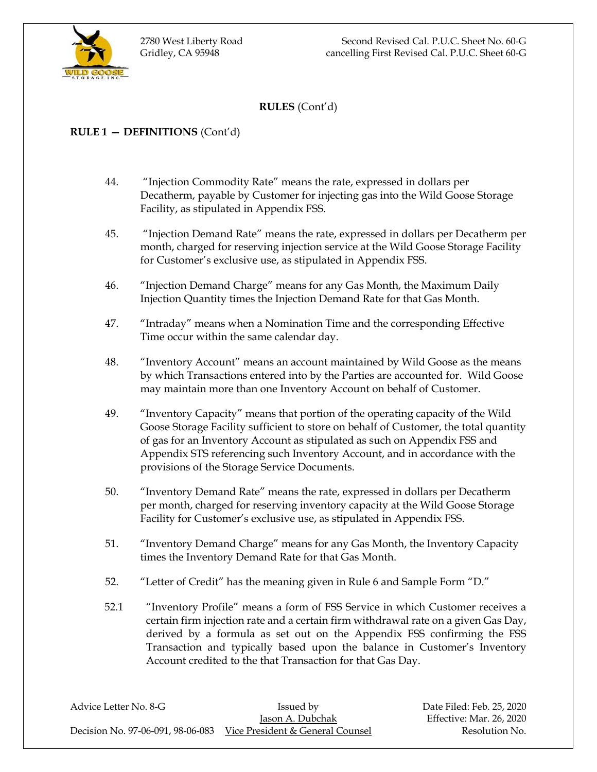

### **RULE 1 — DEFINITIONS** (Cont'd)

- 44. "Injection Commodity Rate" means the rate, expressed in dollars per Decatherm, payable by Customer for injecting gas into the Wild Goose Storage Facility, as stipulated in Appendix FSS.
- 45. "Injection Demand Rate" means the rate, expressed in dollars per Decatherm per month, charged for reserving injection service at the Wild Goose Storage Facility for Customer's exclusive use, as stipulated in Appendix FSS.
- 46. "Injection Demand Charge" means for any Gas Month, the Maximum Daily Injection Quantity times the Injection Demand Rate for that Gas Month.
- 47. "Intraday" means when a Nomination Time and the corresponding Effective Time occur within the same calendar day.
- 48. "Inventory Account" means an account maintained by Wild Goose as the means by which Transactions entered into by the Parties are accounted for. Wild Goose may maintain more than one Inventory Account on behalf of Customer.
- 49. "Inventory Capacity" means that portion of the operating capacity of the Wild Goose Storage Facility sufficient to store on behalf of Customer, the total quantity of gas for an Inventory Account as stipulated as such on Appendix FSS and Appendix STS referencing such Inventory Account, and in accordance with the provisions of the Storage Service Documents.
- 50. "Inventory Demand Rate" means the rate, expressed in dollars per Decatherm per month, charged for reserving inventory capacity at the Wild Goose Storage Facility for Customer's exclusive use, as stipulated in Appendix FSS.
- 51. "Inventory Demand Charge" means for any Gas Month, the Inventory Capacity times the Inventory Demand Rate for that Gas Month.
- 52. "Letter of Credit" has the meaning given in Rule 6 and Sample Form "D."
- 52.1 "Inventory Profile" means a form of FSS Service in which Customer receives a certain firm injection rate and a certain firm withdrawal rate on a given Gas Day, derived by a formula as set out on the Appendix FSS confirming the FSS Transaction and typically based upon the balance in Customer's Inventory Account credited to the that Transaction for that Gas Day.

| Advice Letter No. 8-G | Issued by                                                          |
|-----------------------|--------------------------------------------------------------------|
|                       | Jason A. Dubchak                                                   |
|                       | Decision No. 97-06-091, 98-06-083 Vice President & General Counsel |

Date Filed: Feb. 25, 2020 Effective: Mar. 26, 2020 Resolution No.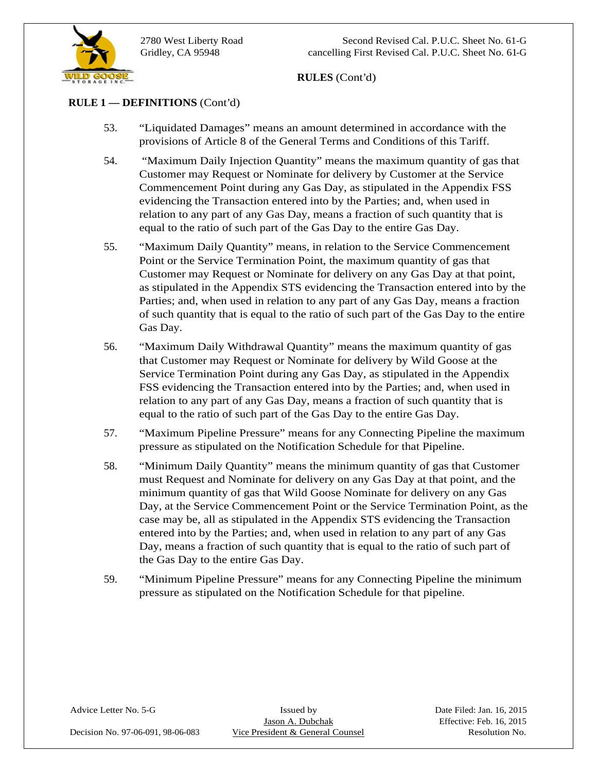

2780 West Liberty Road Second Revised Cal. P.U.C. Sheet No. 61-G Gridley, CA 95948 cancelling First Revised Cal. P.U.C. Sheet No. 61-G

**RULES** (Cont'd)

### **RULE 1 — DEFINITIONS** (Cont'd)

- 53. "Liquidated Damages" means an amount determined in accordance with the provisions of Article 8 of the General Terms and Conditions of this Tariff.<br>54. "Maximum Daily Injection Quantity" means the maximum quantity of gas that
- Customer may Request or Nominate for delivery by Customer at the Service Commencement Point during any Gas Day, as stipulated in the Appendix FSS evidencing the Transaction entered into by the Parties; and, when used in relation to any part of any Gas Day, means a fraction of such quantity that is equal to the ratio of such part of the Gas Day to the entire Gas Day.
- 55. "Maximum Daily Quantity" means, in relation to the Service Commencement Point or the Service Termination Point, the maximum quantity of gas that Customer may Request or Nominate for delivery on any Gas Day at that point, as stipulated in the Appendix STS evidencing the Transaction entered into by the Parties; and, when used in relation to any part of any Gas Day, means a fraction of such quantity that is equal to the ratio of such part of the Gas Day to the entire Gas Day.
- 56. "Maximum Daily Withdrawal Quantity" means the maximum quantity of gas that Customer may Request or Nominate for delivery by Wild Goose at the Service Termination Point during any Gas Day, as stipulated in the Appendix FSS evidencing the Transaction entered into by the Parties; and, when used in relation to any part of any Gas Day, means a fraction of such quantity that is equal to the ratio of such part of the Gas Day to the entire Gas Day.
- 57. "Maximum Pipeline Pressure" means for any Connecting Pipeline the maximum pressure as stipulated on the Notification Schedule for that Pipeline.
- 58. "Minimum Daily Quantity" means the minimum quantity of gas that Customer must Request and Nominate for delivery on any Gas Day at that point, and the minimum quantity of gas that Wild Goose Nominate for delivery on any Gas Day, at the Service Commencement Point or the Service Termination Point, as the case may be, all as stipulated in the Appendix STS evidencing the Transaction entered into by the Parties; and, when used in relation to any part of any Gas Day, means a fraction of such quantity that is equal to the ratio of such part of the Gas Day to the entire Gas Day.
- 59. "Minimum Pipeline Pressure" means for any Connecting Pipeline the minimum pressure as stipulated on the Notification Schedule for that pipeline.

Advice Letter No. 5-G Issued by Issued by Date Filed: Jan. 16, 2015<br>Jason A. Dubchak Effective: Feb. 16, 2015 Decision No. 97-06-091, 98-06-083 Vice President & General Counsel Resolution No.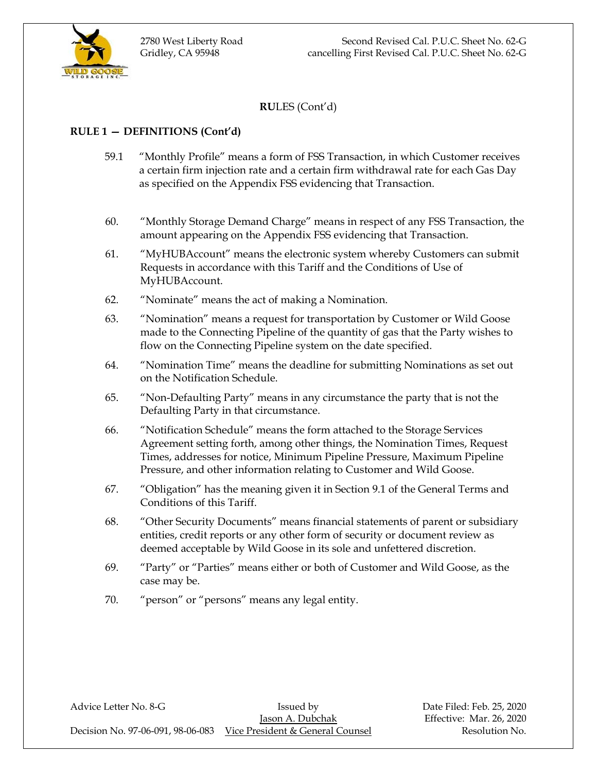

# **RULE 1 — DEFINITIONS (Cont'd)**

- 59.1 "Monthly Profile" means a form of FSS Transaction, in which Customer receives a certain firm injection rate and a certain firm withdrawal rate for each Gas Day as specified on the Appendix FSS evidencing that Transaction.
- 60. "Monthly Storage Demand Charge" means in respect of any FSS Transaction, the amount appearing on the Appendix FSS evidencing that Transaction.
- 61. "MyHUBAccount" means the electronic system whereby Customers can submit Requests in accordance with this Tariff and the Conditions of Use of MyHUBAccount.
- 62. "Nominate" means the act of making a Nomination.
- 63. "Nomination" means a request for transportation by Customer or Wild Goose made to the Connecting Pipeline of the quantity of gas that the Party wishes to flow on the Connecting Pipeline system on the date specified.
- 64. "Nomination Time" means the deadline for submitting Nominations as set out on the Notification Schedule.
- 65. "Non-Defaulting Party" means in any circumstance the party that is not the Defaulting Party in that circumstance.
- 66. "Notification Schedule" means the form attached to the Storage Services Agreement setting forth, among other things, the Nomination Times, Request Times, addresses for notice, Minimum Pipeline Pressure, Maximum Pipeline Pressure, and other information relating to Customer and Wild Goose.
- 67. "Obligation" has the meaning given it in Section 9.1 of the General Terms and Conditions of this Tariff.
- 68. "Other Security Documents" means financial statements of parent or subsidiary entities, credit reports or any other form of security or document review as deemed acceptable by Wild Goose in its sole and unfettered discretion.
- 69. "Party" or "Parties" means either or both of Customer and Wild Goose, as the case may be.
- 70. "person" or "persons" means any legal entity.

Advice Letter No. 8-G **Issued by** Bate Filed: Feb. 25, 2020 Jason A. Dubchak Effective: Mar. 26, 2020

Decision No. 97-06-091, 98-06-083 Vice President & General Counsel Resolution No.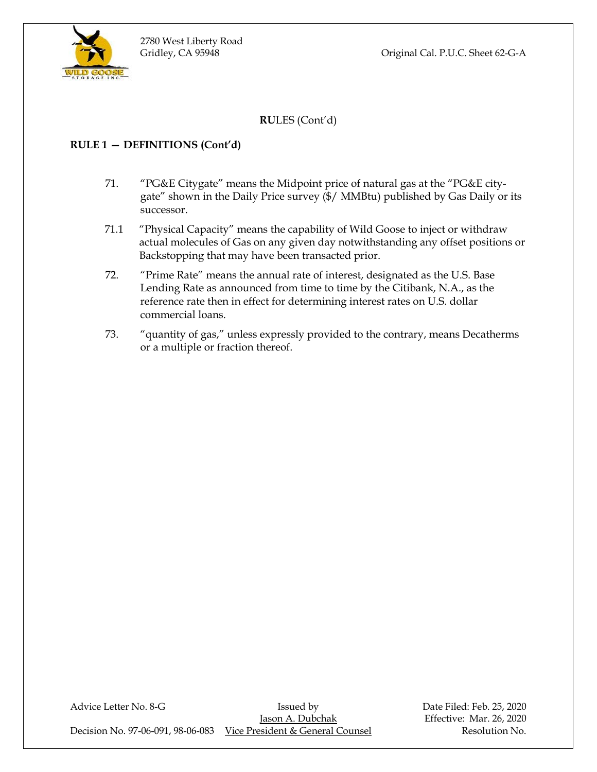Gridley, CA 95948 Original Cal. P.U.C. Sheet 62-G-A

**RU**LES (Cont'd)

# **RULE 1 — DEFINITIONS (Cont'd)**

- 71. "PG&E Citygate" means the Midpoint price of natural gas at the "PG&E citygate" shown in the Daily Price survey (\$/ MMBtu) published by Gas Daily or its successor.
- 71.1 "Physical Capacity" means the capability of Wild Goose to inject or withdraw actual molecules of Gas on any given day notwithstanding any offset positions or Backstopping that may have been transacted prior.
- 72. "Prime Rate" means the annual rate of interest, designated as the U.S. Base Lending Rate as announced from time to time by the Citibank, N.A., as the reference rate then in effect for determining interest rates on U.S. dollar commercial loans.
- 73. "quantity of gas," unless expressly provided to the contrary, means Decatherms or a multiple or fraction thereof.

Advice Letter No. 8-G **Issued by** Bate Filed: Feb. 25, 2020 Jason A. Dubchak Effective: Mar. 26, 2020 Decision No. 97-06-091, 98-06-083 Vice President & General Counsel Resolution No.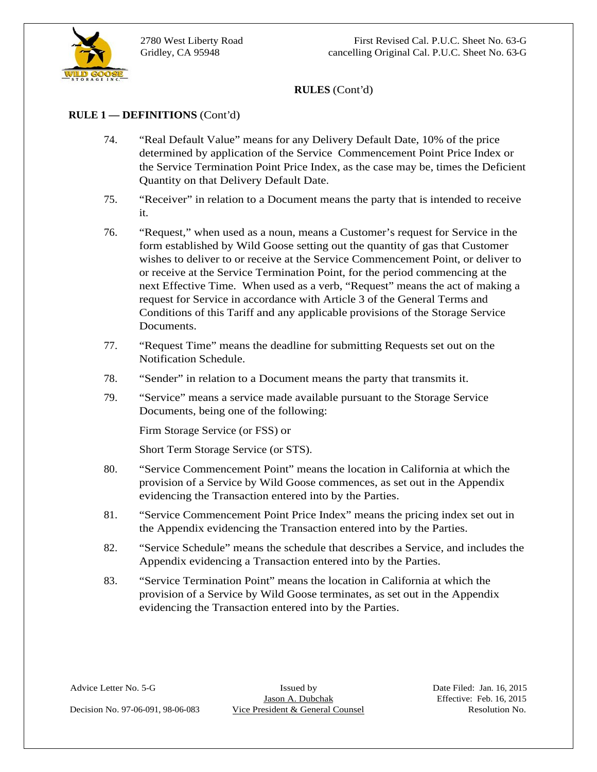

### **RULE 1 — DEFINITIONS** (Cont'd)

- 74. "Real Default Value" means for any Delivery Default Date, 10% of the price determined by application of the Service Commencement Point Price Index or the Service Termination Point Price Index, as the case may be, times the Deficient Quantity on that Delivery Default Date.<br>
75. "Receiver" in relation to a Document means the party that is intended to receive
- it.
- **RULES** (Cont'd)<br>
74. **•• Real Detait Value**<sup>2</sup> means for any Delivery Detisit Pare, 10% of the prior<br>
distributed by application of the Stevice Commencement Parine Index or<br>
distributed by application Altic Exterior Coun 76. "Request," when used as a noun, means a Customer's request for Service in the form established by Wild Goose setting out the quantity of gas that Customer wishes to deliver to or receive at the Service Commencement Point, or deliver to or receive at the Service Termination Point, for the period commencing at the next Effective Time. When used as a verb, "Request" means the act of making a request for Service in accordance with Article 3 of the General Terms and Conditions of this Tariff and any applicable provisions of the Storage Service Documents.
	- 77. "Request Time" means the deadline for submitting Requests set out on the Notification Schedule.
	- 78. "Sender" in relation to a Document means the party that transmits it.
	- 79. "Service" means a service made available pursuant to the Storage Service Documents, being one of the following:

Firm Storage Service (or FSS) or

- Short Term Storage Service (or STS). 80. "Service Commencement Point" means the location in California at which the provision of a Service by Wild Goose commences, as set out in the Appendix evidencing the Transaction entered into by the Parties.
- 81. "Service Commencement Point Price Index" means the pricing index set out in the Appendix evidencing the Transaction entered into by the Parties.
- 82. "Service Schedule" means the schedule that describes a Service, and includes the Appendix evidencing a Transaction entered into by the Parties.
- 83. "Service Termination Point" means the location in California at which the provision of a Service by Wild Goose terminates, as set out in the Appendix evidencing the Transaction entered into by the Parties.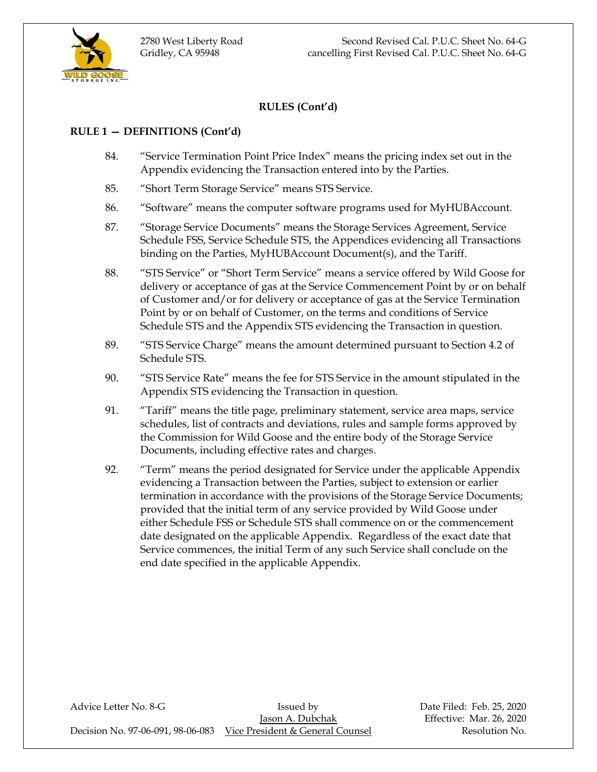

### **RULE 1 — DEFINITIONS (Cont'd)**

- 84. "Service Termination Point Price Index" means the pricing index set out in the Appendix evidencing the Transaction entered into by the Parties.
- 85. "Short Term Storage Service" means STS Service.
- 86. "Software" means the computer software programs used for MyHUBAccount.
- 87. "Storage Service Documents" means the Storage Services Agreement, Service Schedule FSS, Service Schedule STS, the Appendices evidencing all Transactions binding on the Parties, MyHUBAccount Document(s), and the Tariff.
- 88. "STS Service" or "Short Term Service" means a service offered by Wild Goose for delivery or acceptance of gas at the Service Commencement Point by or on behalf of Customer and/or for delivery or acceptance of gas at the Service Termination Point by or on behalf of Customer, on the terms and conditions of Service Schedule STS and the Appendix STS evidencing the Transaction in question.
- 89. "STS Service Charge" means the amount determined pursuant to Section 4.2 of Schedule STS.
- 90. "STS Service Rate" means the fee for STS Service in the amount stipulated in the Appendix STS evidencing the Transaction in question.
- 91. "Tariff" means the title page, preliminary statement, service area maps, service schedules, list of contracts and deviations, rules and sample forms approved by the Commission for Wild Goose and the entire body of the Storage Service Documents, including effective rates and charges.
- 92. "Term" means the period designated for Service under the applicable Appendix evidencing a Transaction between the Parties, subject to extension or earlier termination in accordance with the provisions of the Storage Service Documents; provided that the initial term of any service provided by Wild Goose under either Schedule FSS or Schedule STS shall commence on or the commencement date designated on the applicable Appendix. Regardless of the exact date that Service commences, the initial Term of any such Service shall conclude on the end date specified in the applicable Appendix.

Advice Letter No. 8-G **Issued by** Issued by Date Filed: Feb. 25, 2020 Jason A. Dubchak Effective: Mar. 26, 2020 Decision No. 97-06-091, 98-06-083 Vice President & General Counsel Resolution No.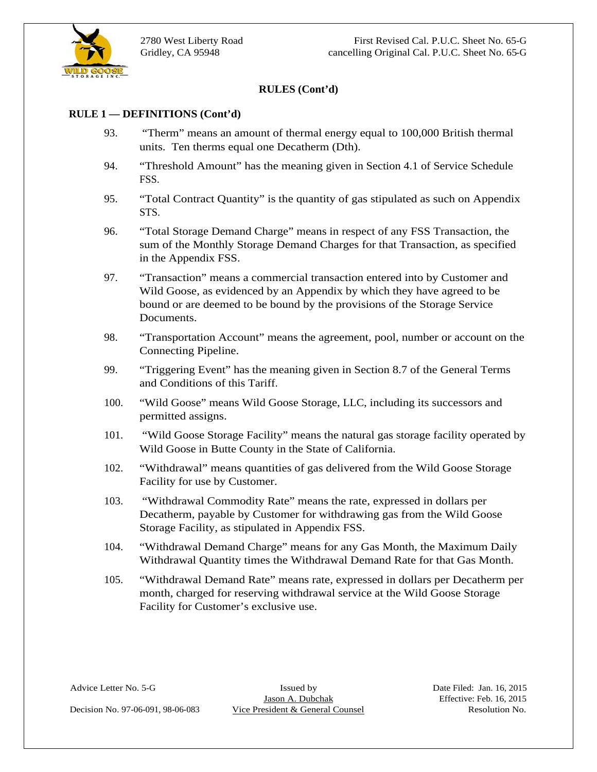

#### **RULE 1 — DEFINITIONS (Cont'd)**

- 93. "Therm" means an amount of thermal energy equal to 100,000 British thermal units. Ten therms equal one Decatherm (Dth).
- 94. "Threshold Amount" has the meaning given in Section 4.1 of Service Schedule FSS.
- 95. "Total Contract Quantity" is the quantity of gas stipulated as such on Appendix STS.
- 96. "Total Storage Demand Charge" means in respect of any FSS Transaction, the sum of the Monthly Storage Demand Charges for that Transaction, as specified in the Appendix FSS.
- **EXELES (Cont'd)**<br>
23. Them<sup>1</sup> means an amount of thermal energy equal to 100,000 British thermal<br>
23. Them<sup>1</sup> means equal one Decision Dob.<br>
25. Thus Host Resolution No. 1991, and Counsel Counsel Resolution No. 1991,<br>
25. 97. "Transaction" means a commercial transaction entered into by Customer and Wild Goose, as evidenced by an Appendix by which they have agreed to be bound or are deemed to be bound by the provisions of the Storage Service Documents.
	- 98. "Transportation Account" means the agreement, pool, number or account on the Connecting Pipeline.
	- 99. "Triggering Event" has the meaning given in Section 8.7 of the General Terms and Conditions of this Tariff.<br>
	100. "Wild Goose" means Wild Goose Storage, LLC, including its successors and
	- permitted assigns.
	- 101. "Wild Goose Storage Facility" means the natural gas storage facility operated by Wild Goose in Butte County in the State of California.
	- 102. "Withdrawal" means quantities of gas delivered from the Wild Goose Storage Facility for use by Customer.
	- 103. "Withdrawal Commodity Rate" means the rate, expressed in dollars per Decatherm, payable by Customer for withdrawing gas from the Wild Goose Storage Facility, as stipulated in Appendix FSS.
	- 104. "Withdrawal Demand Charge" means for any Gas Month, the Maximum Daily Withdrawal Quantity times the Withdrawal Demand Rate for that Gas Month.
	- 105. "Withdrawal Demand Rate" means rate, expressed in dollars per Decatherm per month, charged for reserving withdrawal service at the Wild Goose Storage Facility for Customer's exclusive use.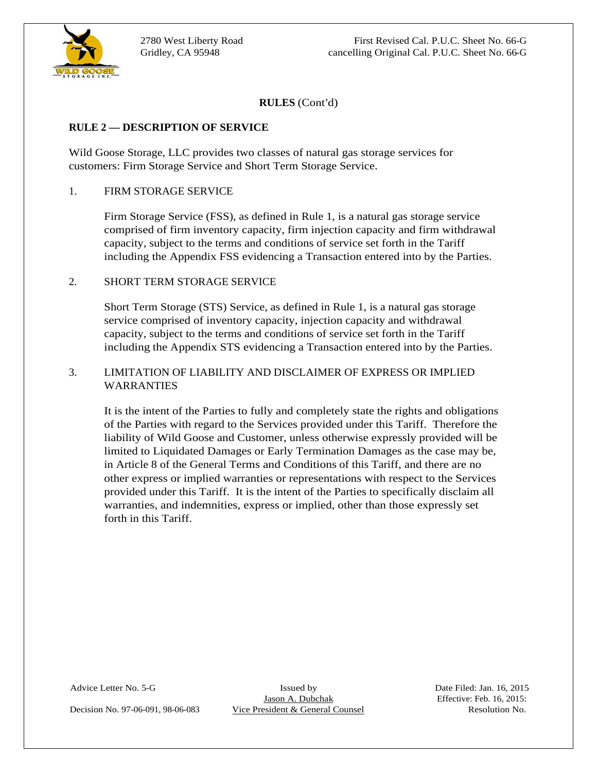

#### **RULE 2 — DESCRIPTION OF SERVICE**

Wild Goose Storage, LLC provides two classes of natural gas storage services for customers: Firm Storage Service and Short Term Storage Service.

#### 1. FIRM STORAGE SERVICE

Firm Storage Service (FSS), as defined in Rule 1, is a natural gas storage service comprised of firm inventory capacity, firm injection capacity and firm withdrawal capacity, subject to the terms and conditions of service set forth in the Tariff including the Appendix FSS evidencing a Transaction entered into by the Parties.

#### 2. SHORT TERM STORAGE SERVICE

Short Term Storage (STS) Service, as defined in Rule 1, is a natural gas storage service comprised of inventory capacity, injection capacity and withdrawal capacity, subject to the terms and conditions of service set forth in the Tariff including the Appendix STS evidencing a Transaction entered into by the Parties.

# 3. LIMITATION OF LIABILITY AND DISCLAIMER OF EXPRESS OR IMPLIED WARRANTIES

**RULES** (Cont'd)<br>
Wild Gones Storage, LLC, provides two classes of natural gas slonge services for<br>
Wild Gones Storage, LLC, provides two classes of natural gas slonge services for<br>
1-HMM STORAGE-SHAVCE.<br>
Time Storage Ser It is the intent of the Parties to fully and completely state the rights and obligations of the Parties with regard to the Services provided under this Tariff. Therefore the liability of Wild Goose and Customer, unless otherwise expressly provided will be limited to Liquidated Damages or Early Termination Damages as the case may be, in Article 8 of the General Terms and Conditions of this Tariff, and there are no other express or implied warranties or representations with respect to the Services provided under this Tariff. It is the intent of the Parties to specifically disclaim all warranties, and indemnities, express or implied, other than those expressly set forth in this Tariff.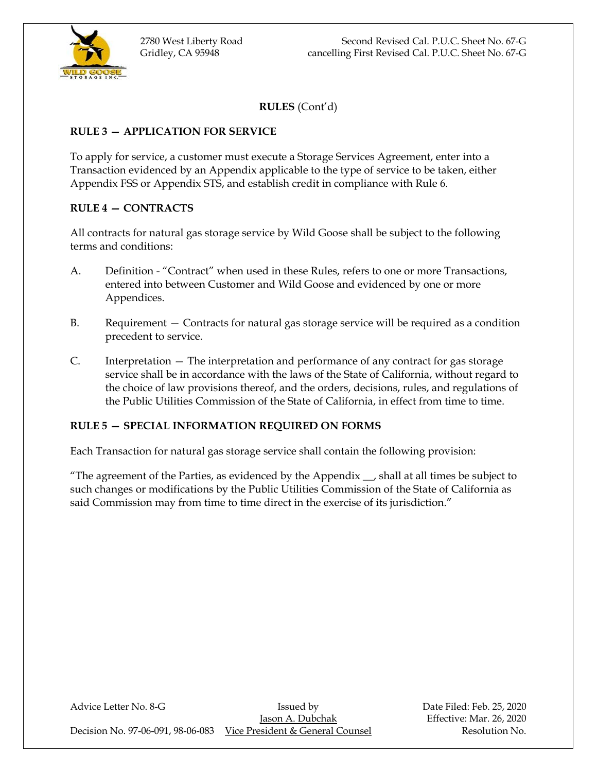

# **RULE 3 — APPLICATION FOR SERVICE**

To apply for service, a customer must execute a Storage Services Agreement, enter into a Transaction evidenced by an Appendix applicable to the type of service to be taken, either Appendix FSS or Appendix STS, and establish credit in compliance with Rule 6.

# **RULE 4 — CONTRACTS**

All contracts for natural gas storage service by Wild Goose shall be subject to the following terms and conditions:

- A. Definition "Contract" when used in these Rules, refers to one or more Transactions, entered into between Customer and Wild Goose and evidenced by one or more Appendices.
- B. Requirement Contracts for natural gas storage service will be required as a condition precedent to service.
- C. Interpretation The interpretation and performance of any contract for gas storage service shall be in accordance with the laws of the State of California, without regard to the choice of law provisions thereof, and the orders, decisions, rules, and regulations of the Public Utilities Commission of the State of California, in effect from time to time.

# **RULE 5 — SPECIAL INFORMATION REQUIRED ON FORMS**

Each Transaction for natural gas storage service shall contain the following provision:

"The agreement of the Parties, as evidenced by the Appendix \_\_, shall at all times be subject to such changes or modifications by the Public Utilities Commission of the State of California as said Commission may from time to time direct in the exercise of its jurisdiction."

| Advice Letter No. 8-G             | Issued by                        | Date Filed: Feb. 25, 2020 |
|-----------------------------------|----------------------------------|---------------------------|
|                                   | Jason A. Dubchak                 | Effective: Mar. 26, 2020  |
| Decision No. 97-06-091, 98-06-083 | Vice President & General Counsel | Resolution No.            |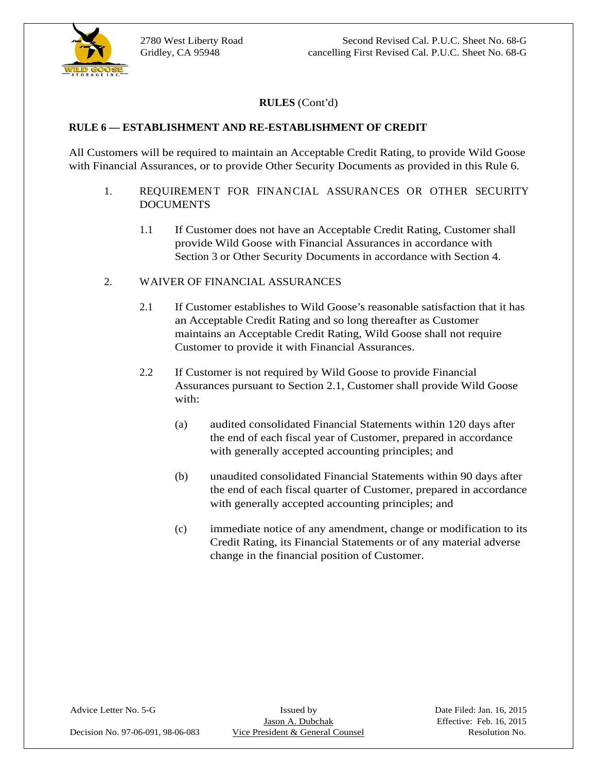

#### **RULE 6 — ESTABLISHMENT AND RE-ESTABLISHMENT OF CREDIT**

All Customers will be required to maintain an Acceptable Credit Rating, to provide Wild Goose with Financial Assurances, or to provide Other Security Documents as provided in this Rule 6.

- 1. REQUIREMENT FOR FINANCIAL ASSURANCES OR OTHER SECURITY DOCUMENTS
- 1.1 If Customer does not have an Acceptable Credit Rating, Customer shall provide Wild Goose with Financial Assurances in accordance with Section 3 or Other Security Documents in accordance with Section 4.<br>2. WAIVER OF FINANCIAL ASSURANCES
- - 2.1 If Customer establishes to Wild Goose's reasonable satisfaction that it has an Acceptable Credit Rating and so long thereafter as Customer maintains an Acceptable Credit Rating, Wild Goose shall not require Customer to provide it with Financial Assurances.
	- 2.2 If Customer is not required by Wild Goose to provide Financial Assurances pursuant to Section 2.1, Customer shall provide Wild Goose with: with:  $\blacksquare$ 
		- (a) audited consolidated Financial Statements within 120 days after the end of each fiscal year of Customer, prepared in accordance with generally accepted accounting principles; and
		- (b) unaudited consolidated Financial Statements within 90 days after the end of each fiscal quarter of Customer, prepared in accordance with generally accepted accounting principles; and
		- (c) immediate notice of any amendment, change or modification to its Credit Rating, its Financial Statements or of any material adverse change in the financial position of Customer.

Decision No. 97-06-091, 98-06-083 Vice President & General Counsel Resolution No.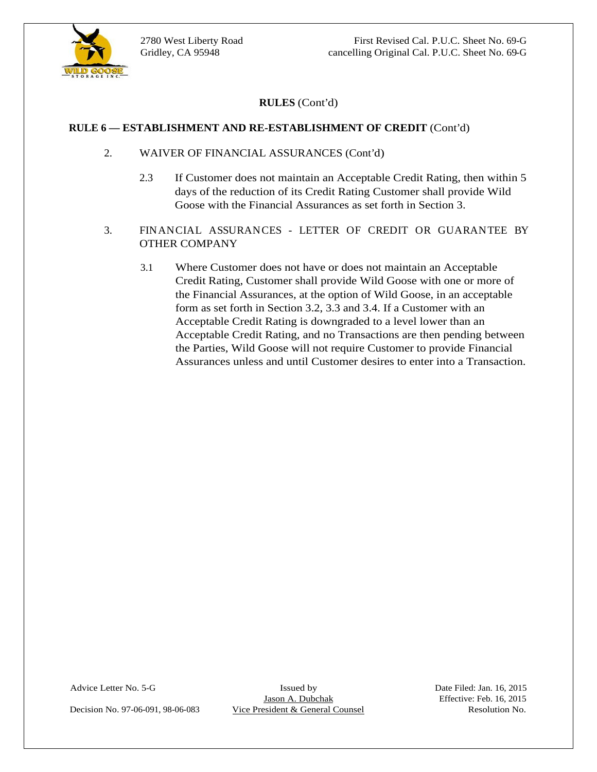

- 2. WAIVER OF FINANCIAL ASSURANCES (Cont'd)
	- 2.3 If Customer does not maintain an Acceptable Credit Rating, then within 5 days of the reduction of its Credit Rating Customer shall provide Wild Goose with the Financial Assurances as set forth in Section 3.
- 3. FINANCIAL ASSURANCES LETTER OF CREDIT OR GUARANTEE BY OTHER COMPANY
- **RULES** (Cont'd)<br>
2. WAIVER OF FINANCIAL ASSURANCES (Cont'd)<br>
2.3 If Customer does not multiatation an Acceptable Credit Rating, then within 5<br>
dogs of the relation of its Cecili Rating Counser shall provide Wild<br>
4.3 IF 3.1 Where Customer does not have or does not maintain an Acceptable Credit Rating, Customer shall provide Wild Goose with one or more of the Financial Assurances, at the option of Wild Goose, in an acceptable form as set forth in Section 3.2, 3.3 and 3.4. If a Customer with an Acceptable Credit Rating is downgraded to a level lower than an Acceptable Credit Rating, and no Transactions are then pending between the Parties, Wild Goose will not require Customer to provide Financial Assurances unless and until Customer desires to enter into a Transaction.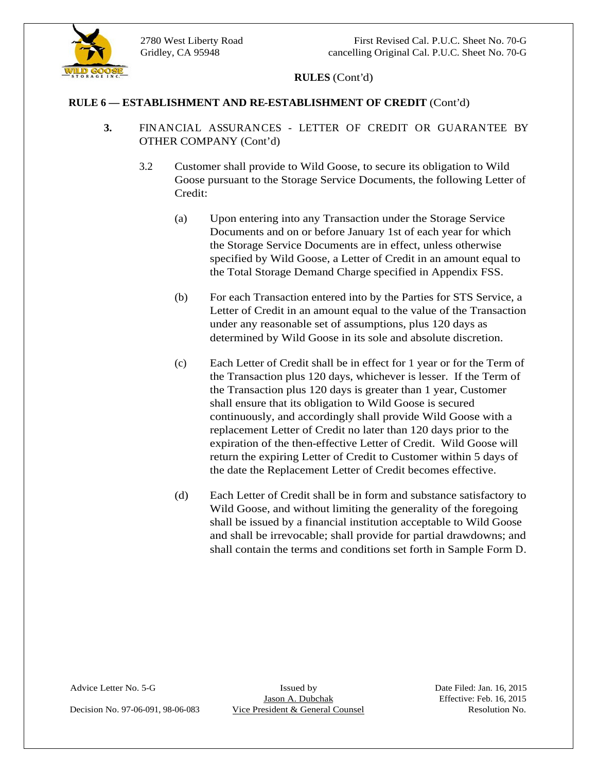

- **3.** FINANCIAL ASSURANCES LETTER OF CREDIT OR GUARANTEE BY OTHER COMPANY (Cont'd)
	- 3.2 Customer shall provide to Wild Goose, to secure its obligation to Wild Goose pursuant to the Storage Service Documents, the following Letter of Credit:
		- (a) Upon entering into any Transaction under the Storage Service Documents and on or before January 1st of each year for which the Storage Service Documents are in effect, unless otherwise specified by Wild Goose, a Letter of Credit in an amount equal to the Total Storage Demand Charge specified in Appendix FSS.
		- (b) For each Transaction entered into by the Parties for STS Service, a Letter of Credit in an amount equal to the value of the Transaction under any reasonable set of assumptions, plus 120 days as determined by Wild Goose in its sole and absolute discretion.
- **RULES** (Cont'd)<br> **RULES ESTABLISHMENT AND RE-ESTABLISHMENT OF CREDIT** (Cont'd)<br>
FNANCIAL ASSLEAN-VCGo<sup>2</sup> 1. LETTER OF CREDIT OR GUARANTEE BY<br>
OTHER COMPANY (Coord'd)<br>
2.2 Constant and provide to Wild Goose, to secure (c) Each Letter of Credit shall be in effect for 1 year or for the Term of the Transaction plus 120 days, whichever is lesser. If the Term of the Transaction plus 120 days is greater than 1 year, Customer shall ensure that its obligation to Wild Goose is secured continuously, and accordingly shall provide Wild Goose with a replacement Letter of Credit no later than 120 days prior to the expiration of the then-effective Letter of Credit. Wild Goose will return the expiring Letter of Credit to Customer within 5 days of the date the Replacement Letter of Credit becomes effective.
	- (d) Each Letter of Credit shall be in form and substance satisfactory to Wild Goose, and without limiting the generality of the foregoing shall be issued by a financial institution acceptable to Wild Goose and shall be irrevocable; shall provide for partial drawdowns; and shall contain the terms and conditions set forth in Sample Form D.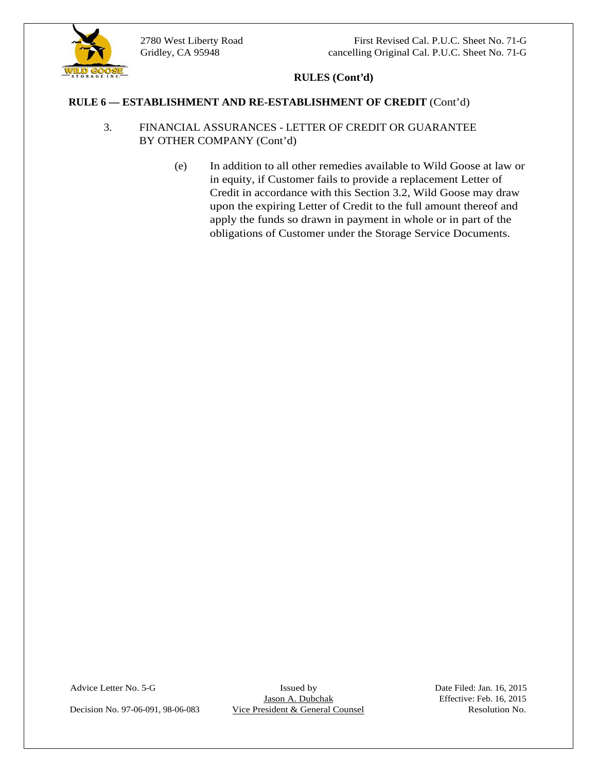

- 3. FINANCIAL ASSURANCES LETTER OF CREDIT OR GUARANTEE BY OTHER COMPANY (Cont'd)
- **RULES (Cont'd)**<br> **RULES CONDENSY AND REGISTARISHES OF CRIDIT (C COUNS NATT!)**<br>
BY OTHER COMPANY (Cont'd)<br>
(b) In statistic of Counsel Resolution Associated Resolution No. 197-1976 (Counsel Resolution No. 2014)<br>
(b) In sta (e) In addition to all other remedies available to Wild Goose at law or in equity, if Customer fails to provide a replacement Letter of Credit in accordance with this Section 3.2, Wild Goose may draw upon the expiring Letter of Credit to the full amount thereof and apply the funds so drawn in payment in whole or in part of the obligations of Customer under the Storage Service Documents.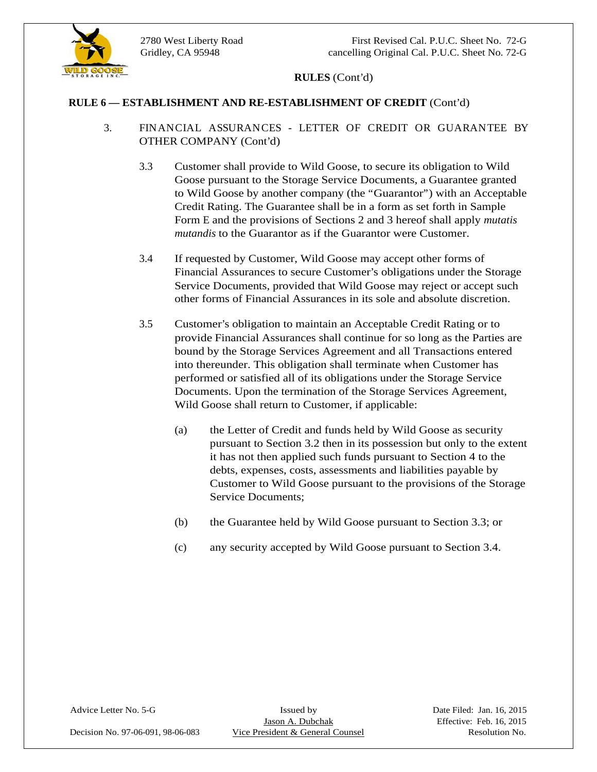

#### **RULE 6 — ESTABLISHMENT AND RE-ESTABLISHMENT OF CREDIT** (Cont'd)

- 3. FINANCIAL ASSURANCES LETTER OF CREDIT OR GUARANTEE BY OTHER COMPANY (Cont'd)
	- 3.3 Customer shall provide to Wild Goose, to secure its obligation to Wild Goose pursuant to the Storage Service Documents, a Guarantee granted to Wild Goose by another company (the "Guarantor") with an Acceptable Credit Rating. The Guarantee shall be in a form as set forth in Sample Form E and the provisions of Sections 2 and 3 hereof shall apply *mutatis mutandis* to the Guarantor as if the Guarantor were Customer.
	- 3.4 If requested by Customer, Wild Goose may accept other forms of Financial Assurances to secure Customer's obligations under the Storage Service Documents, provided that Wild Goose may reject or accept such other forms of Financial Assurances in its sole and absolute discretion.
	- 3.5 Customer's obligation to maintain an Acceptable Credit Rating or to provide Financial Assurances shall continue for so long as the Parties are bound by the Storage Services Agreement and all Transactions entered into thereunder. This obligation shall terminate when Customer has performed or satisfied all of its obligations under the Storage Service Documents. Upon the termination of the Storage Services Agreement, Wild Goose shall return to Customer, if applicable:
		- (a) the Letter of Credit and funds held by Wild Goose as security pursuant to Section 3.2 then in its possession but only to the extent it has not then applied such funds pursuant to Section 4 to the debts, expenses, costs, assessments and liabilities payable by Customer to Wild Goose pursuant to the provisions of the Storage Service Documents;
		- (b) the Guarantee held by Wild Goose pursuant to Section 3.3; or
		- (c) any security accepted by Wild Goose pursuant to Section 3.4.

Decision No. 97-06-091, 98-06-083 Vice President & General Counsel Resolution No.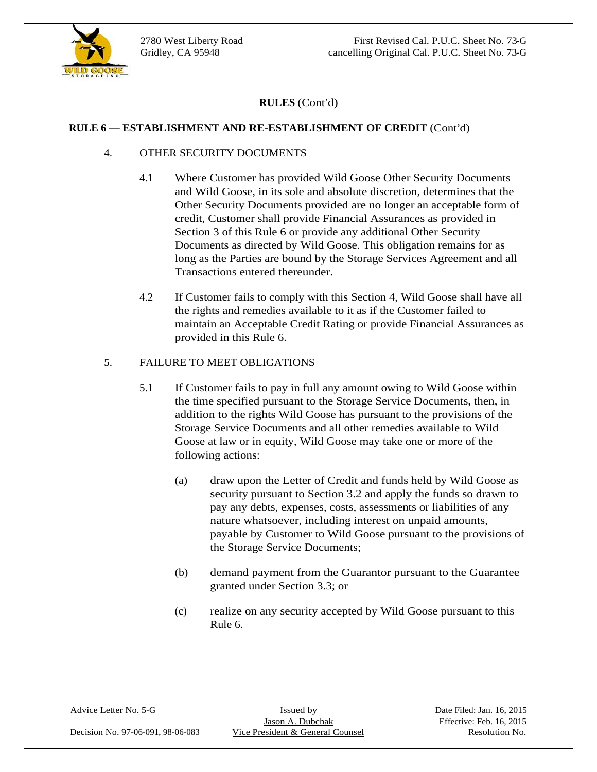

#### **RULE 6 — ESTABLISHMENT AND RE-ESTABLISHMENT OF CREDIT** (Cont'd)

- 4. OTHER SECURITY DOCUMENTS
	- 4.1 Where Customer has provided Wild Goose Other Security Documents and Wild Goose, in its sole and absolute discretion, determines that the Other Security Documents provided are no longer an acceptable form of credit, Customer shall provide Financial Assurances as provided in Section 3 of this Rule 6 or provide any additional Other Security Documents as directed by Wild Goose. This obligation remains for as long as the Parties are bound by the Storage Services Agreement and all Transactions entered thereunder.
	- 4.2 If Customer fails to comply with this Section 4, Wild Goose shall have all the rights and remedies available to it as if the Customer failed to maintain an Acceptable Credit Rating or provide Financial Assurances as provided in this Rule 6.

#### 5. FAILURE TO MEET OBLIGATIONS

- 5.1 If Customer fails to pay in full any amount owing to Wild Goose within the time specified pursuant to the Storage Service Documents, then, in addition to the rights Wild Goose has pursuant to the provisions of the Storage Service Documents and all other remedies available to Wild Goose at law or in equity, Wild Goose may take one or more of the following actions:
	- (a) draw upon the Letter of Credit and funds held by Wild Goose as security pursuant to Section 3.2 and apply the funds so drawn to pay any debts, expenses, costs, assessments or liabilities of any nature whatsoever, including interest on unpaid amounts, payable by Customer to Wild Goose pursuant to the provisions of the Storage Service Documents;
	- (b) demand payment from the Guarantor pursuant to the Guarantee granted under Section 3.3; or
	- (c) realize on any security accepted by Wild Goose pursuant to this Rule 6.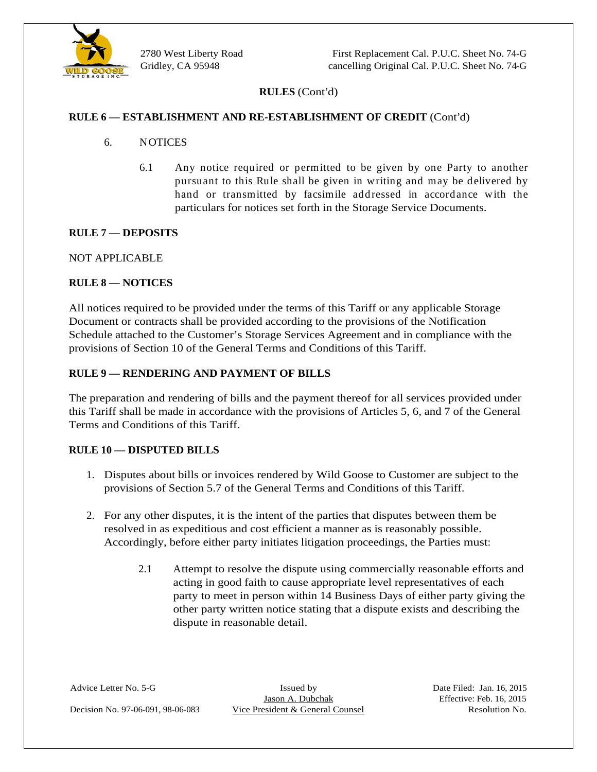

- 6. NOTICES
	- 6.1 Any notice required or permitted to be given by one Party to another pursuant to this Rule shall be given in writing and may be delivered by hand or transmitted by facsimile addressed in accordance with the particulars for notices set forth in the Storage Service Documents.

#### **RULE 7 — DEPOSITS**

NOT APPLICABLE

#### **RULE 8 — NOTICES**

All notices required to be provided under the terms of this Tariff or any applicable Storage Document or contracts shall be provided according to the provisions of the Notification Schedule attached to the Customer's Storage Services Agreement and in compliance with the provisions of Section 10 of the General Terms and Conditions of this Tariff.

#### **RULE 9 — RENDERING AND PAYMENT OF BILLS**

The preparation and rendering of bills and the payment thereof for all services provided under this Tariff shall be made in accordance with the provisions of Articles 5, 6, and 7 of the General Terms and Conditions of this Tariff.

#### **RULE 10 — DISPUTED BILLS**

- 1. Disputes about bills or invoices rendered by Wild Goose to Customer are subject to the provisions of Section 5.7 of the General Terms and Conditions of this Tariff. 2. For any other disputes, it is the intent of the parties that disputes between them be
- resolved in as expeditious and cost efficient a manner as is reasonably possible. Accordingly, before either party initiates litigation proceedings, the Parties must:
- **RULES** (Cont'd)<br> **RULES (Cont'd)**<br>
6. NOTICUS<br>
6. NOTICINE<br>
6. NOTICINE TRADEVERIMENT OF CREDIT (Cont'd)<br>
6. NOTICINE<br>
6. The president of this Rule Tradit is plus to the SMORO SCRIP (Cont'd)<br>
1984 Control By provided an 2.1 Attempt to resolve the dispute using commercially reasonable efforts and acting in good faith to cause appropriate level representatives of each party to meet in person within 14 Business Days of either party giving the other party written notice stating that a dispute exists and describing the dispute in reasonable detail.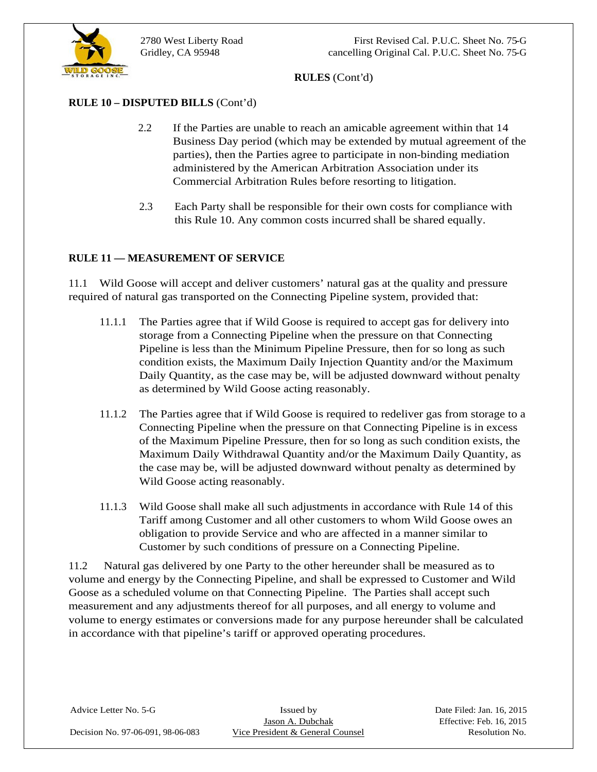

# **RULE 10 – DISPUTED BILLS** (Cont'd)

- 2.2 If the Parties are unable to reach an amicable agreement within that 14 Business Day period (which may be extended by mutual agreement of the parties), then the Parties agree to participate in non-binding mediation administered by the American Arbitration Association under its Commercial Arbitration Rules before resorting to litigation.
- 2.3 Each Party shall be responsible for their own costs for compliance with this Rule 10. Any common costs incurred shall be shared equally.

#### **RULE 11 — MEASUREMENT OF SERVICE**

11.1 Wild Goose will accept and deliver customers' natural gas at the quality and pressure required of natural gas transported on the Connecting Pipeline system, provided that:

- 11.1.1 The Parties agree that if Wild Goose is required to accept gas for delivery into storage from a Connecting Pipeline when the pressure on that Connecting Pipeline is less than the Minimum Pipeline Pressure, then for so long as such condition exists, the Maximum Daily Injection Quantity and/or the Maximum Daily Quantity, as the case may be, will be adjusted downward without penalty as determined by Wild Goose acting reasonably.
- 11.1.2 The Parties agree that if Wild Goose is required to redeliver gas from storage to a Connecting Pipeline when the pressure on that Connecting Pipeline is in excess of the Maximum Pipeline Pressure, then for so long as such condition exists, the Maximum Daily Withdrawal Quantity and/or the Maximum Daily Quantity, as the case may be, will be adjusted downward without penalty as determined by Wild Goose acting reasonably.
- 11.1.3 Wild Goose shall make all such adjustments in accordance with Rule 14 of this Tariff among Customer and all other customers to whom Wild Goose owes an obligation to provide Service and who are affected in a manner similar to Customer by such conditions of pressure on a Connecting Pipeline.

11.2 Natural gas delivered by one Party to the other hereunder shall be measured as to volume and energy by the Connecting Pipeline, and shall be expressed to Customer and Wild Goose as a scheduled volume on that Connecting Pipeline. The Parties shall accept such measurement and any adjustments thereof for all purposes, and all energy to volume and volume to energy estimates or conversions made for any purpose hereunder shall be calculated in accordance with that pipeline's tariff or approved operating procedures.

Decision No. 97-06-091, 98-06-083 Vice President & General Counsel Resolution No.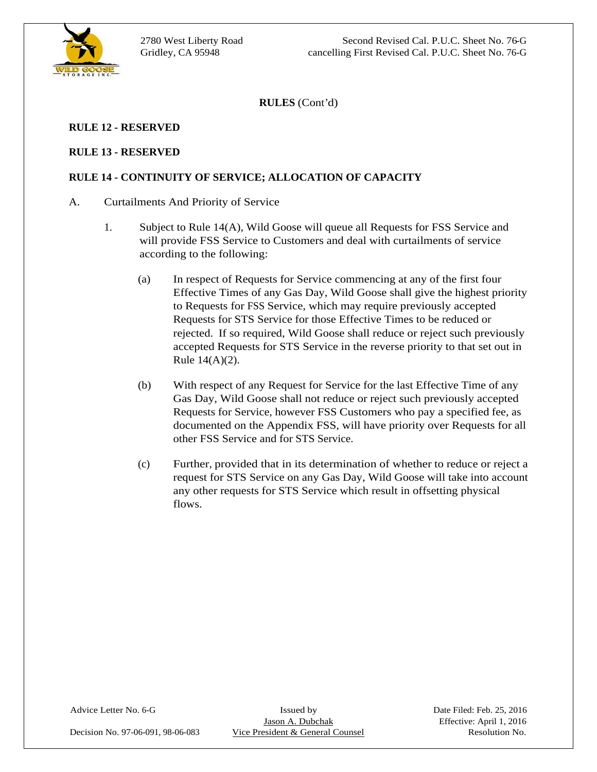

#### **RULE 12 - RESERVED**

#### **RULE 13 - RESERVED**

#### **RULE 14 - CONTINUITY OF SERVICE; ALLOCATION OF CAPACITY**

#### A. Curtailments And Priority of Service

- 1. Subject to Rule 14(A), Wild Goose will queue all Requests for FSS Service and will provide FSS Service to Customers and deal with curtailments of service according to the following:
	- (a) In respect of Requests for Service commencing at any of the first four Effective Times of any Gas Day, Wild Goose shall give the highest priority to Requests for FSS Service, which may require previously accepted Requests for STS Service for those Effective Times to be reduced or rejected. If so required, Wild Goose shall reduce or reject such previously accepted Requests for STS Service in the reverse priority to that set out in Rule 14(A)(2).<br>
	(b) With respect of any Request for Service for the last Effective Time of any
	- Gas Day, Wild Goose shall not reduce or reject such previously accepted Requests for Service, however FSS Customers who pay a specified fee, as documented on the Appendix FSS, will have priority over Requests for all other FSS Service and for STS Service.<br>
	(c) Further, provided that in its determination of whether to reduce or reject a
	- request for STS Service on any Gas Day, Wild Goose will take into account any other requests for STS Service which result in offsetting physical flows.

Decision No. 97-06-091, 98-06-083 Vice President & General Counsel Resolution No.

Advice Letter No. 6-G Issued by Issued by Date Filed: Feb. 25, 2016<br>Jason A. Dubchak Effective: April 1, 2016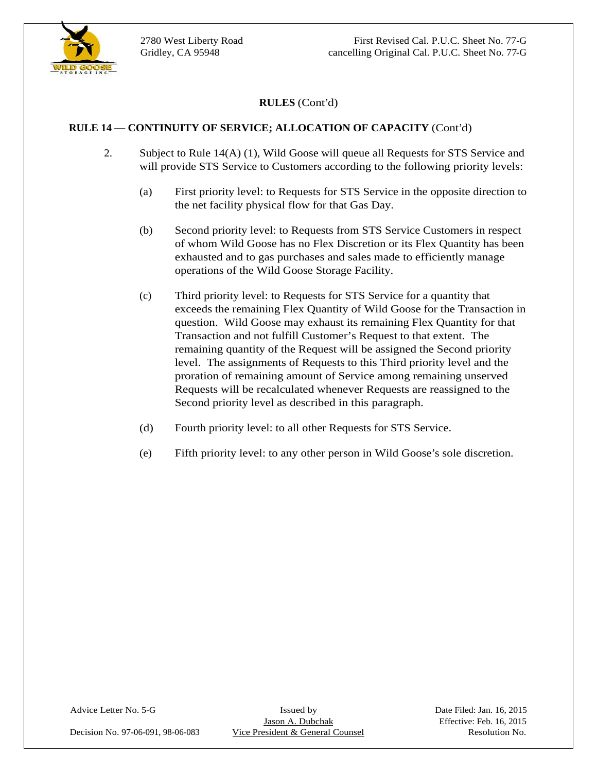

#### **RULE 14 — CONTINUITY OF SERVICE; ALLOCATION OF CAPACITY** (Cont'd)

- 2. Subject to Rule 14(A) (1), Wild Goose will queue all Requests for STS Service and will provide STS Service to Customers according to the following priority levels:
	- (a) First priority level: to Requests for STS Service in the opposite direction to the net facility physical flow for that Gas Day.
	- (b) Second priority level: to Requests from STS Service Customers in respect of whom Wild Goose has no Flex Discretion or its Flex Quantity has been exhausted and to gas purchases and sales made to efficiently manage operations of the Wild Goose Storage Facility.
	- (c) Third priority level: to Requests for STS Service for a quantity that exceeds the remaining Flex Quantity of Wild Goose for the Transaction in question. Wild Goose may exhaust its remaining Flex Quantity for that Transaction and not fulfill Customer's Request to that extent. The remaining quantity of the Request will be assigned the Second priority level. The assignments of Requests to this Third priority level and the proration of remaining amount of Service among remaining unserved Requests will be recalculated whenever Requests are reassigned to the Second priority level as described in this paragraph.
	- (d) Fourth priority level: to all other Requests for STS Service.
	- (e) Fifth priority level: to any other person in Wild Goose's sole discretion.

Decision No. 97-06-091, 98-06-083 Vice President & General Counsel Resolution No.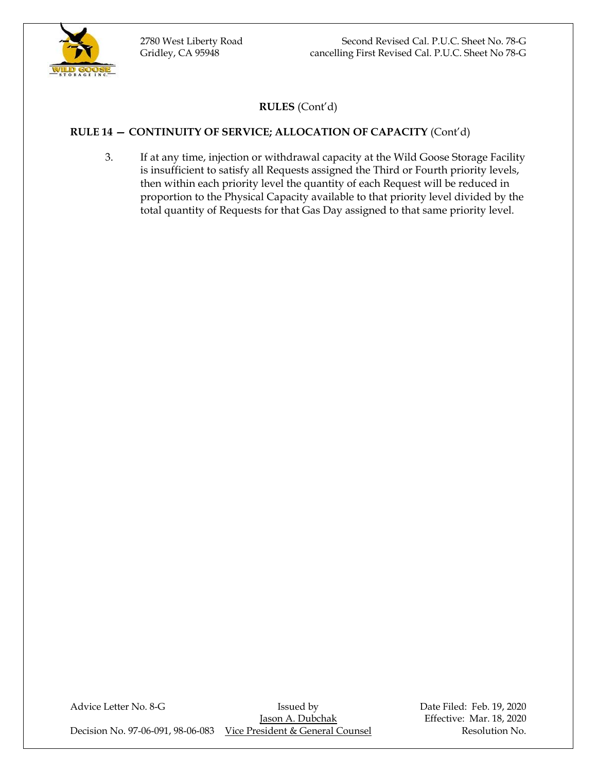

# **RULE 14 — CONTINUITY OF SERVICE; ALLOCATION OF CAPACITY** (Cont'd)

3. If at any time, injection or withdrawal capacity at the Wild Goose Storage Facility is insufficient to satisfy all Requests assigned the Third or Fourth priority levels, then within each priority level the quantity of each Request will be reduced in proportion to the Physical Capacity available to that priority level divided by the total quantity of Requests for that Gas Day assigned to that same priority level.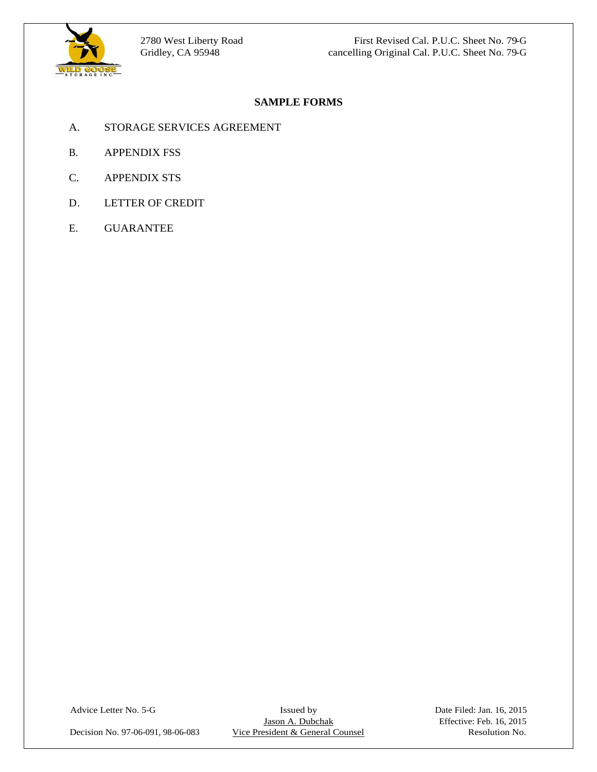

# **SAMPLE FORMS**

- A. STORAGE SERVICES AGREEMENT
- B. APPENDIX FSS
- C. APPENDIX STS
- D. LETTER OF CREDIT
- E. GUARANTEE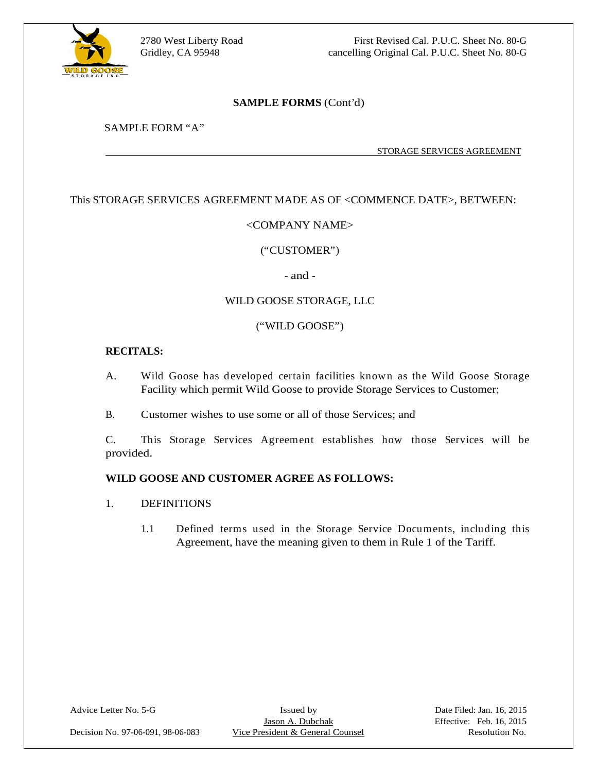

2780 West Liberty Road First Revised Cal. P.U.C. Sheet No. 80-G Gridley, CA 95948 cancelling Original Cal. P.U.C. Sheet No. 80-G

#### **SAMPLE FORMS** (Cont'd)

#### SAMPLE FORM "A"

STORAGE SERVICES AGREEMENT

# This STORAGE SERVICES AGREEMENT MADE AS OF <COMMENCE DATE>, BETWEEN:<br>
This STORAGE SERVICES AGREEMENT MADE AS OF <COMMENCE DATE>, BETWEEN:<br>
This STORAGE SERVICES AGREEMENT MADE AS OF <COMMENCE DATE>, BETWEEN:

#### <COMPANY NAME>

# ("CUSTOMER") - and - WILD GOOSE STORAGE, LLC

#### ("WILD GOOSE")

#### **RECITALS:**

- A. Wild Goose has developed certain facilities known as the Wild Goose Storage Facility which permit Wild Goose to provide Storage Services to Customer;
- B. Customer wishes to use some or all of those Services; and

C. This Storage Services Agreement establishes how those Services will be provided.

#### **WILD GOOSE AND CUSTOMER AGREE AS FOLLOWS:**

- 1. DEFINITIONS
	- 1.1 Defined terms used in the Storage Service Documents, including this Agreement, have the meaning given to them in Rule 1 of the Tariff.

Decision No. 97-06-091, 98-06-083 Vice President & General Counsel Resolution No.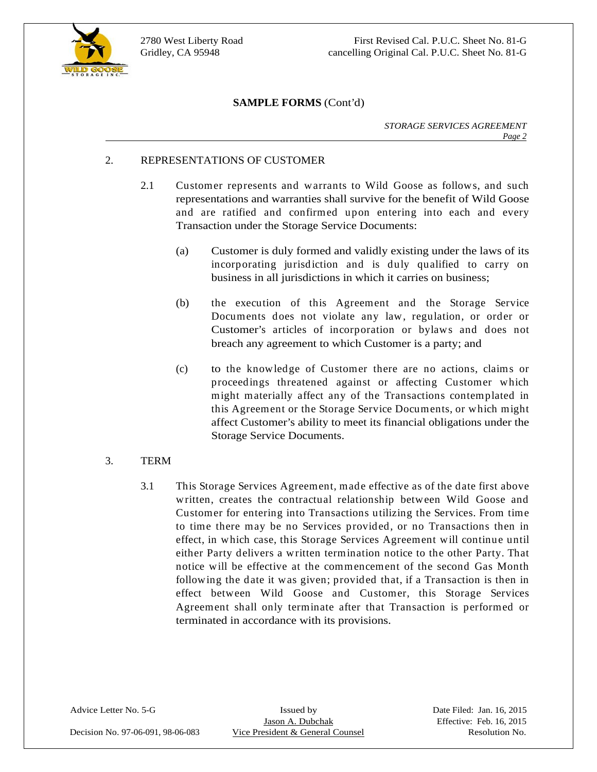

## **SAMPLE FORMS** (Cont'd)

*STORAGE SERVICES AGREEMENT Page 2*

#### 2. REPRESENTATIONS OF CUSTOMER

- 2.1 Customer represents and warrants to Wild Goose as follows, and such representations and warranties shall survive for the benefit of Wild Goose and are ratified and confirmed upon entering into each and every Transaction under the Storage Service Documents:
	- (a) Customer is duly formed and validly existing under the laws of its incorporating jurisdiction and is duly qualified to carry on business in all jurisdictions in which it carries on business;
	- (b) the execution of this Agreement and the Storage Service Documents does not violate any law, regulation, or order or Customer's articles of incorporation or bylaws and does not breach any agreement to which Customer is a party; and
	- (c) to the knowledge of Customer there are no actions, claims or proceedings threatened against or affecting Customer which might materially affect any of the Transactions contemplated in this Agreement or the Storage Service Documents, or which might affect Customer's ability to meet its financial obligations under the Storage Service Documents.

# $3.$  TERM  $\qquad \qquad$

3.1 This Storage Services Agreement, made effective as of the date first above written, creates the contractual relationship between Wild Goose and Customer for entering into Transactions utilizing the Services. From time to time there may be no Services provided, or no Transactions then in effect, in which case, this Storage Services Agreement will continue until either Party delivers a written termination notice to the other Party. That notice will be effective at the commencement of the second Gas Month following the date it was given; provided that, if a Transaction is then in effect between Wild Goose and Customer, this Storage Services Agreement shall only terminate after that Transaction is performed or terminated in accordance with its provisions.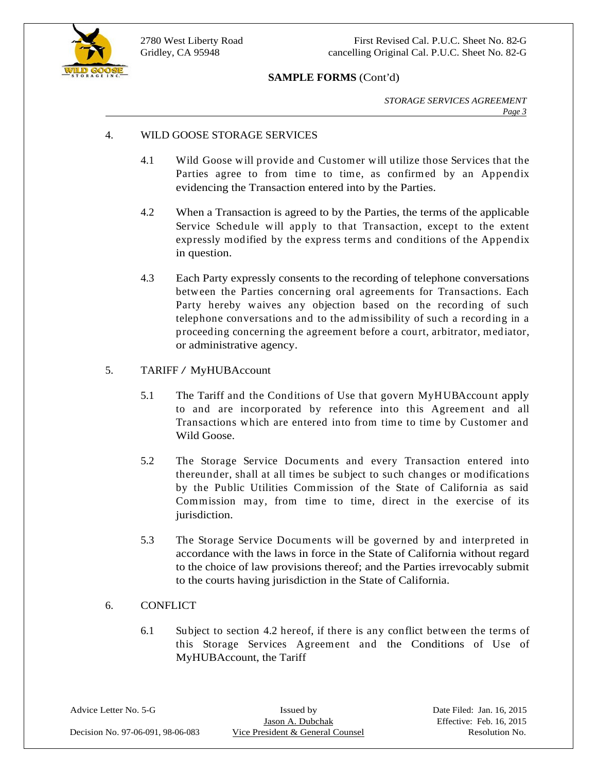

2780 West Liberty Road First Revised Cal. P.U.C. Sheet No. 82-G Gridley, CA 95948 cancelling Original Cal. P.U.C. Sheet No. 82-G

#### **SAMPLE FORMS** (Cont'd)

*STORAGE SERVICES AGREEMENT Page 3*

#### 4. WILD GOOSE STORAGE SERVICES

- 4.1 Wild Goose will provide and Customer will utilize those Services that the Parties agree to from time to time, as confirmed by an Appendix evidencing the Transaction entered into by the Parties.
- 4.2 When a Transaction is agreed to by the Parties, the terms of the applicable Service Schedule will apply to that Transaction, except to the extent expressly modified by the express terms and conditions of the Appendix in question.
- 4.3 Each Party expressly consents to the recording of telephone conversations between the Parties concerning oral agreements for Transactions. Each Party hereby waives any objection based on the recording of such telephone conversations and to the admissibility of such a recording in a proceeding concerning the agreement before a court, arbitrator, mediator, or administrative agency.

# 5. TARIFF / MyHUBAccount

- 5.1 The Tariff and the Conditions of Use that govern MyHUBAccount apply to and are incorporated by reference into this Agreement and all Transactions which are entered into from time to time by Customer and Wild Goose.
- 5.2 The Storage Service Documents and every Transaction entered into thereunder, shall at all times be subject to such changes or modifications by the Public Utilities Commission of the State of California as said Commission may, from time to time, direct in the exercise of its jurisdiction.
- 5.3 The Storage Service Documents will be governed by and interpreted in accordance with the laws in force in the State of California without regard to the choice of law provisions thereof; and the Parties irrevocably submit to the courts having jurisdiction in the State of California.

#### 6. CONFLICT

6.1 Subject to section 4.2 hereof, if there is any conflict between the terms of this Storage Services Agreement and the Conditions of Use of MyHUBAccount, the Tariff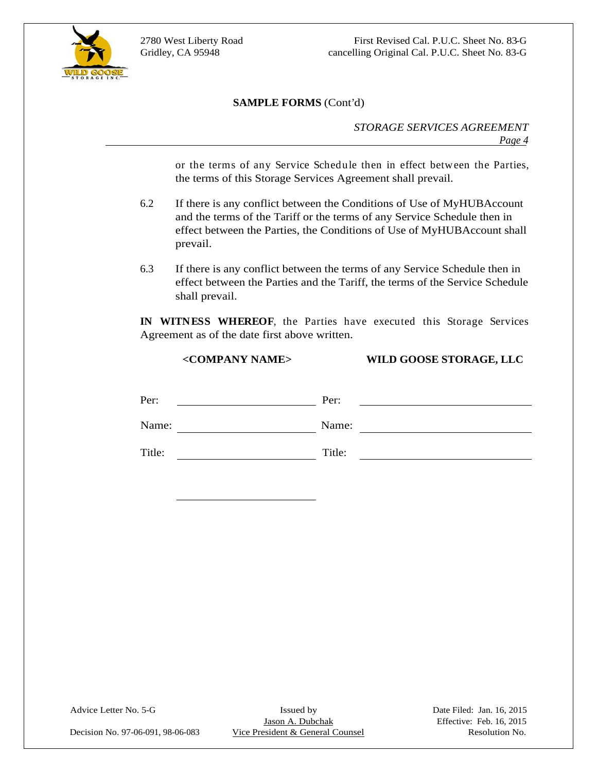

 $\overline{a}$ 

2780 West Liberty Road First Revised Cal. P.U.C. Sheet No. 83-G Gridley, CA 95948 cancelling Original Cal. P.U.C. Sheet No. 83-G

#### **SAMPLE FORMS** (Cont'd)

*STORAGE SERVICES AGREEMENT Page 4*

or the terms of any Service Schedule then in effect between the Parties, the terms of this Storage Services Agreement shall prevail.

- 6.2 If there is any conflict between the Conditions of Use of MyHUBAccount and the terms of the Tariff or the terms of any Service Schedule then in effect between the Parties, the Conditions of Use of MyHUBAccount shall prevail.
- 6.3 If there is any conflict between the terms of any Service Schedule then in effect between the Parties and the Tariff, the terms of the Service Schedule shall prevail.

**IN WITNESS WHEREOF**, the Parties have executed this Storage Services Agreement as of the date first above written.

|        | <company name=""></company> |        | WILD GOOSE STORAGE, LLC |  |
|--------|-----------------------------|--------|-------------------------|--|
|        |                             |        |                         |  |
| Per:   |                             | Per:   |                         |  |
| Name:  |                             | Name:  |                         |  |
| Title: |                             | Title: |                         |  |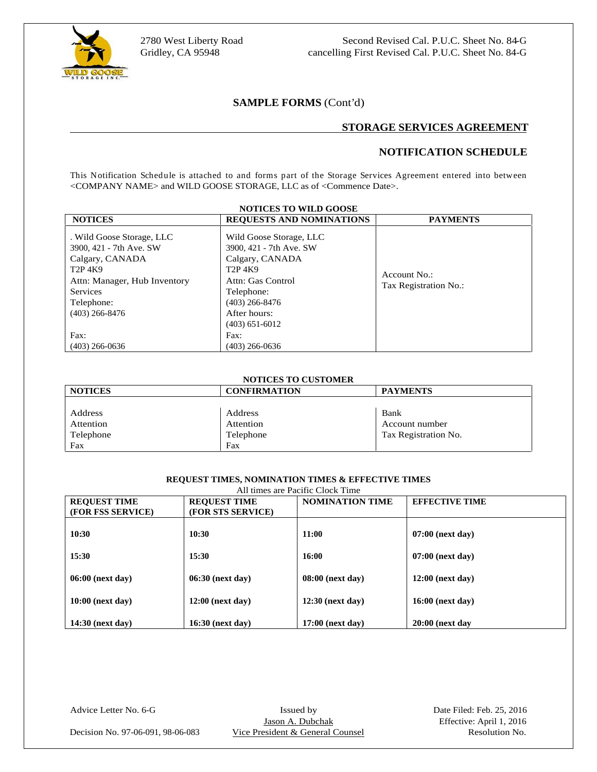

#### **SAMPLE FORMS** (Cont'd)

#### **STORAGE SERVICES AGREEMENT**

#### **NOTIFICATION SCHEDULE**

| 2780 West Liberty Road<br>Gridley, CA 95948                                                                                                                                                                     |                                                                                                          | Second Revised Cal. P.U.C. Sheet No. 84-G<br>cancelling First Revised Cal. P.U.C. Sheet No. 84-G |
|-----------------------------------------------------------------------------------------------------------------------------------------------------------------------------------------------------------------|----------------------------------------------------------------------------------------------------------|--------------------------------------------------------------------------------------------------|
|                                                                                                                                                                                                                 | <b>SAMPLE FORMS (Cont'd)</b>                                                                             |                                                                                                  |
|                                                                                                                                                                                                                 |                                                                                                          | <b>STORAGE SERVICES AGREEMENT</b>                                                                |
|                                                                                                                                                                                                                 |                                                                                                          | NOTIFICATION SCHEDULE                                                                            |
| This Notification Schedule is attached to and forms part of the Storage Services Agreement entered into between<br><company name=""> and WILD GOOSE STORAGE, LLC as of <commence date="">.</commence></company> | <b>NOTICES TO WILD GOOSE</b>                                                                             |                                                                                                  |
| <b>NOTICES</b>                                                                                                                                                                                                  | <b>REQUESTS AND NOMINATIONS</b>                                                                          | <b>PAYMENTS</b>                                                                                  |
| . Wild Goose Storage, LLC<br>3900, 421 - 7th Ave. SW<br>Calgary, CANADA<br>T2P 4K9<br>$T2P$ <sup>4K9</sup><br>Attn: Manager, Hub Inventory<br>Services                                                          | Wild Goose Storage, LLC<br>3900, 421 - 7th Ave. SW<br>Calgary, CANADA<br>Attn: Gas Control<br>Telephone: | Account No.:<br>Tax Registration No.:                                                            |
|                                                                                                                                                                                                                 | $(403)$ 266-8476                                                                                         |                                                                                                  |
| Telephone:<br>$(403)$ 266-8476                                                                                                                                                                                  | After hours:<br>$(403)$ 651-6012                                                                         |                                                                                                  |

#### **NOTICES TO CUSTOMER**

| <b>NOTICES</b> | <b>CONFIRMATION</b> | <b>PAYMENTS</b>                                                                                 |
|----------------|---------------------|-------------------------------------------------------------------------------------------------|
|                |                     |                                                                                                 |
| Address        | Address             | Dain.                                                                                           |
| Attention      | Attention           | Account number                                                                                  |
| Telephone      | Telephone           | Tax Registration No.                                                                            |
|                | ___                 | the contract of the contract of the contract of the contract of the contract of the contract of |

# **REQUEST TIMES, NOMINATION TIMES & EFFECTIVE TIMES**

|                                          |                                          | All times are Pacific Clock Time |                       |
|------------------------------------------|------------------------------------------|----------------------------------|-----------------------|
| <b>REQUEST TIME</b><br>(FOR FSS SERVICE) | <b>REQUEST TIME</b><br>(FOR STS SERVICE) | NOMINATION TIME                  | <b>EFFECTIVE TIME</b> |
| 10:30                                    | 10:30                                    | 11:00                            | $07:00$ (next day)    |
| 15:30                                    | 15:30                                    | 16:00                            | 07:00 (next day)      |
| 06:00 (next day)                         | 06:30 (next day)                         | $08:00$ (next day)               | $12:00$ (next day)    |
| 10:00 (next day)                         | 12:00 (next day)                         | $12:30$ (next day)               | 16:00 (next day)      |
| 14:30 (next day)                         | 16:30 (next day)                         | $17:00$ (next day)               | $20:00$ (next day     |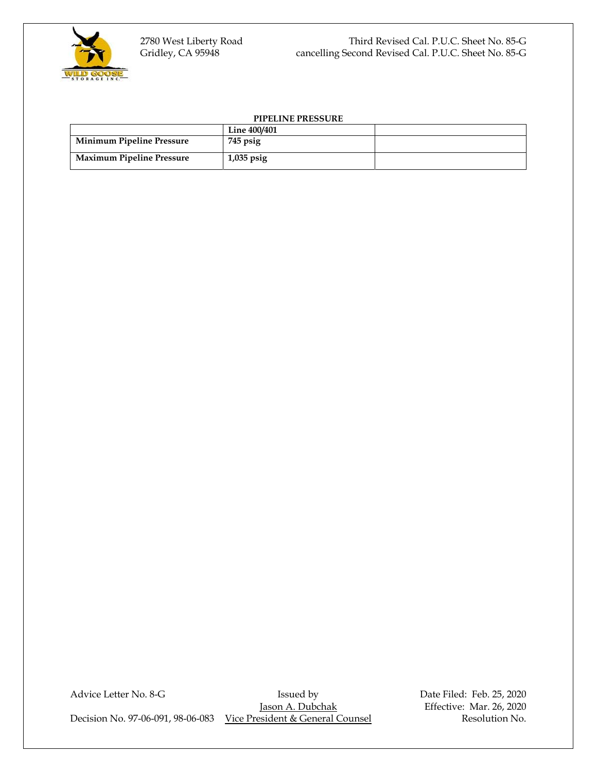

#### **PIPELINE PRESSURE**

|                                  | Line 400/401 |  |
|----------------------------------|--------------|--|
| <b>Minimum Pipeline Pressure</b> | $745$ psig   |  |
| <b>Maximum Pipeline Pressure</b> | $1,035$ psig |  |

Advice Letter No. 8-G Issued by Bate Filed: Feb. 25, 2020<br>Issued by Date Filed: Feb. 25, 2020 Decision No. 97-06-091, 98-06-083 Vice President & General Counsel Resolution No.

Effective: Mar. 26, 2020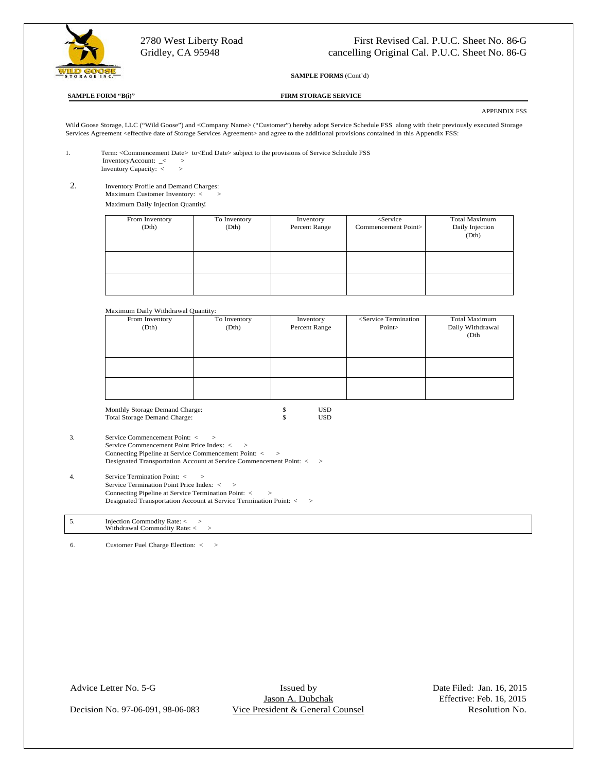

#### **SAMPLE FORM "B(i)" FIRM STORAGE SERVICE**

#### APPENDIX FSS

| 2780 West Liberty Road                                |                                                                                                                                                                                                                                                                            | First Revised Cal. P.U.C. Sheet No. 86-G |
|-------------------------------------------------------|----------------------------------------------------------------------------------------------------------------------------------------------------------------------------------------------------------------------------------------------------------------------------|------------------------------------------|
| Gridley, CA 95948                                     | cancelling Original Cal. P.U.C. Sheet No. 86-G                                                                                                                                                                                                                             |                                          |
| <b>WILD GOOSE</b>                                     | <b>SAMPLE FORMS (Cont'd)</b>                                                                                                                                                                                                                                               |                                          |
| <b>SAMPLE FORM "B(i)"</b>                             | <b>FIRM STORAGE SERVICE</b>                                                                                                                                                                                                                                                |                                          |
|                                                       |                                                                                                                                                                                                                                                                            | <b>APPENDIX FSS</b>                      |
|                                                       | Wild Goose Storage, LLC ("Wild Goose") and <company name=""> ("Customer") hereby adopt Service Schedule FSS along with their previously executed Storage<br/>Services Agreement <effective agreement="" date="" of="" services="" storage=""> and ag</effective></company> |                                          |
|                                                       | Term: <commencement date=""> to<end date=""> subject to the provisions of Service Schedule FSS</end></commencement>                                                                                                                                                        |                                          |
| InventoryAccount: _< ><br>Inventory Capacity: $\lt$ > |                                                                                                                                                                                                                                                                            |                                          |
| Inventory Profile and Demand Charges:                 |                                                                                                                                                                                                                                                                            |                                          |
| Maximum Customer Inventory: < >                       |                                                                                                                                                                                                                                                                            |                                          |
| Maximum Daily Injection Quantity.<br>From Inventory   | To Inventory                                                                                                                                                                                                                                                               | Total Maximum                            |
| (Dth)                                                 | <service<br>Inventory<br/>(Dth)<br/>Percent Range<br/>Commencement Point&gt;</service<br>                                                                                                                                                                                  | Daily Injection                          |
|                                                       |                                                                                                                                                                                                                                                                            | (Dth)                                    |
|                                                       |                                                                                                                                                                                                                                                                            |                                          |
|                                                       |                                                                                                                                                                                                                                                                            |                                          |
|                                                       |                                                                                                                                                                                                                                                                            |                                          |
|                                                       |                                                                                                                                                                                                                                                                            |                                          |

| (Dth)<br>Percent Range                                                                                          |                                                                               |
|-----------------------------------------------------------------------------------------------------------------|-------------------------------------------------------------------------------|
|                                                                                                                 |                                                                               |
|                                                                                                                 | Daily Withdrawal                                                              |
|                                                                                                                 | the company's company's company's company's                                   |
|                                                                                                                 |                                                                               |
|                                                                                                                 |                                                                               |
|                                                                                                                 |                                                                               |
|                                                                                                                 |                                                                               |
| the contract of the contract of the contract of the contract of the contract of the contract of the contract of |                                                                               |
| the contract of the contract of the contract of the contract of the contract of the contract of the contract of | the definition of the control of the control of the control of the control of |
|                                                                                                                 |                                                                               |
| ,我们也不能不能不能不能不能不能不能不能不能不能不能不能不能不能不能。""我们,我们也不能不能不能不能不能不能不能不能不能不能不能不能不能不能不能,我们也不能不                                |                                                                               |

Monthly Storage Demand Charge: \$ USD Total Storage Demand Charge: \$ USD

| Service Commencement Point: < >                                      |
|----------------------------------------------------------------------|
| Service Commencement Point Price Index: < >                          |
| Connecting Pipeline at Service Commencement Point: < >               |
| Designated Transportation Account at Service Commencement Point: < > |

4. Service Termination Point: < > Service Termination Point Price Index: < > Connecting Pipeline at Service Termination Point: < >

|    | Designated Transportation Account at Service Termination Point: < >           |  |
|----|-------------------------------------------------------------------------------|--|
| C. | Injection Commodity Rate: < ><br>Withdrawal Commodity Rate: $\langle \rangle$ |  |
| 6. | Customer Fuel Charge Election: < >                                            |  |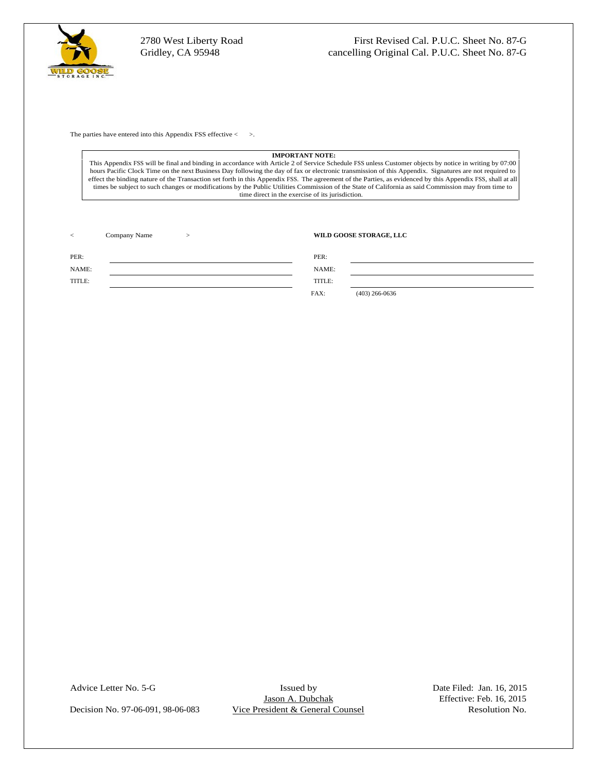

#### **IMPORTANT NOTE:**

This Appendix FSS will be final and binding in accordance with Article 2 of Service Schedule FSS unless Customer objects by notice in writing by 07:00 hours Pacific Clock Time on the next Business Day following the day of fax or electronic transmission of this Appendix. Signatures are not required to effect the binding nature of the Transaction set forth in this Appendix FSS. The agreement of the Parties, as evidenced by this Appendix FSS, shall at all times be subject to such changes or modifications by the Public Utilities Commission of the State of California as said Commission may from time to time direct in the exercise of its jurisdiction.

|        | <b>O COOSE STORAGE TT/</b>                    |  |  |
|--------|-----------------------------------------------|--|--|
|        | PEK:                                          |  |  |
| NAME:  | 1111111                                       |  |  |
| TITLE: | mont r<br>.                                   |  |  |
|        | $   -$<br>$(403)$ 266-0636<br>- , - - - - - - |  |  |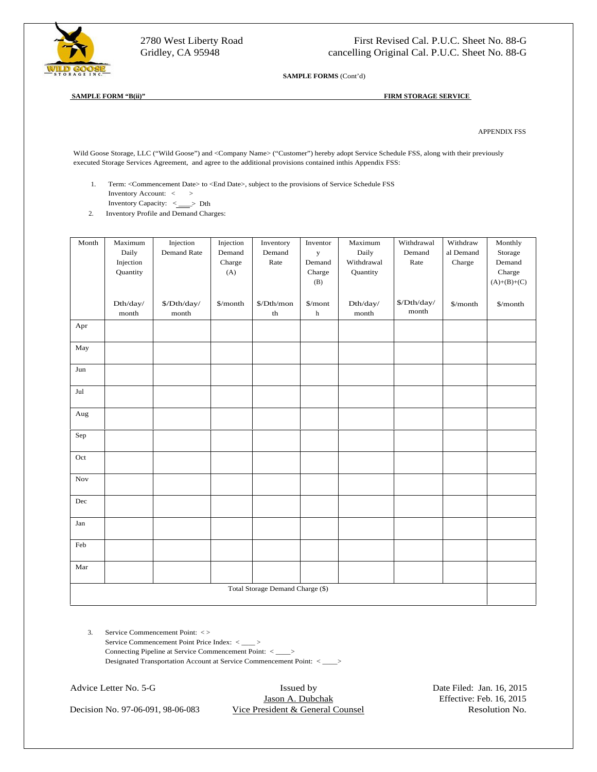

2780 West Liberty Road First Revised Cal. P.U.C. Sheet No. 88-G Gridley, CA 95948 cancelling Original Cal. P.U.C. Sheet No. 88-G

**SAMPLE FORMS** (Cont'd)

#### **SAMPLE FORM "B(ii)" FIRM STORAGE SERVICE**

APPENDIX FSS

Wild Goose Storage, LLC ("Wild Goose") and <Company Name> ("Customer") hereby adopt Service Schedule FSS, along with their previously executed Storage Services Agreement, and agree to the additional provisions contained inthis Appendix FSS:

- 1. Term: <Commencement Date> to <End Date>, subject to the provisions of Service Schedule FSS Inventory Account: < > >
	- Inventory Capacity:  $\leq \qquad \qquad$  Dth
- 

|     |                    | 2. Inventory Profile and Demand Charges: |                  |                                                |                        |                     |                                                                       |                             |                     |
|-----|--------------------|------------------------------------------|------------------|------------------------------------------------|------------------------|---------------------|-----------------------------------------------------------------------|-----------------------------|---------------------|
|     | Month Maximum      | Injection                                | Injection        | Inventory                                      | Inventor               | Maximum             |                                                                       | Withdrawal Withdraw Monthly |                     |
|     | Daily<br>Injection | Demand Rate                              | Demand<br>Charge | Demand<br>Rate                                 | $\mathbf{y}$<br>Demand | Daily<br>Withdrawal | Demand<br>Rate                                                        | al Demand<br>Charge         | I Storage<br>Demand |
|     | Quantity           |                                          | (A)              |                                                | Charge                 | Quantity            |                                                                       |                             | Charge              |
|     |                    |                                          |                  |                                                | (B)                    |                     |                                                                       |                             | $(A)+(B)+(C)$       |
|     | $Dth/day/$         | $\Lambda\$                               |                  | $\gamma$ month $\gamma$ /Dth/mon $\gamma$ mont |                        | Dth/day/            | $\frac{\frac{1}{2} \Delta \mathbf{b}}{\frac{1}{2} \Delta \mathbf{b}}$ | $\gamma$ month $\gamma$     |                     |
|     | month              | month                                    |                  | th                                             | h                      | month               | month                                                                 |                             |                     |
| Apr |                    |                                          |                  |                                                |                        |                     |                                                                       |                             |                     |
|     |                    |                                          |                  |                                                |                        |                     |                                                                       |                             |                     |
| May |                    |                                          |                  |                                                |                        |                     |                                                                       |                             |                     |
| Jun |                    |                                          |                  |                                                |                        |                     |                                                                       |                             |                     |
|     |                    |                                          |                  |                                                |                        |                     |                                                                       |                             |                     |
| Jul |                    |                                          |                  |                                                |                        |                     |                                                                       |                             |                     |
| Aug |                    |                                          |                  |                                                |                        |                     |                                                                       |                             |                     |
|     |                    |                                          |                  |                                                |                        |                     |                                                                       |                             |                     |
| Sep |                    |                                          |                  |                                                |                        |                     |                                                                       |                             |                     |
| Oct |                    |                                          |                  |                                                |                        |                     |                                                                       |                             |                     |
|     |                    |                                          |                  |                                                |                        |                     |                                                                       |                             |                     |
| Nov |                    |                                          |                  |                                                |                        |                     |                                                                       |                             |                     |
|     |                    |                                          |                  |                                                |                        |                     |                                                                       |                             |                     |
| Dec |                    |                                          |                  |                                                |                        |                     |                                                                       |                             |                     |
| Jan |                    |                                          |                  |                                                |                        |                     |                                                                       |                             |                     |
|     |                    |                                          |                  |                                                |                        |                     |                                                                       |                             |                     |
| Feb |                    |                                          |                  |                                                |                        |                     |                                                                       |                             |                     |
| Mar |                    |                                          |                  |                                                |                        |                     |                                                                       |                             |                     |
|     |                    |                                          |                  |                                                |                        |                     |                                                                       |                             |                     |
|     |                    |                                          |                  | Total Storage Demand Charge (\$)               |                        |                     |                                                                       |                             |                     |
|     |                    |                                          |                  |                                                |                        |                     |                                                                       |                             |                     |
|     |                    |                                          |                  |                                                |                        |                     |                                                                       |                             |                     |
|     |                    | 3. Service Commencement Point: <>        |                  |                                                |                        |                     |                                                                       |                             |                     |

Service Commencement Point Price Index: < \_\_\_ ><br>Connecting Pipeline at Service Commencement Point: < \_\_\_ ><br>Designated Transportation Account at Service Commencement Point: < \_\_\_ >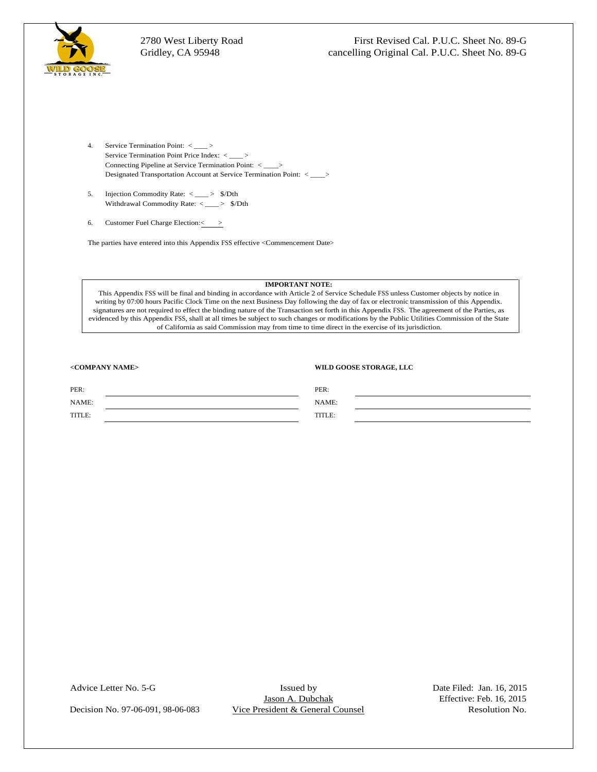

- 2780 West Liberty Road<br>
First Revised Cal. P.U.C. Sheet No. 89-G<br>
Gridley, CA 95948<br>
Correct No. 89-G<br>
Concert No. 89-G<br>
Concert of Permitsion Point :<br>
Service Termination Point :<br>
Concert (Fermination Point :<br>
Designated
	- Withdrawal Commodity Rate: < \_\_\_\_ > \$/Dth<br>6. Customer Fuel Charge Election:< >
	-

The parties have entered into this Appendix FSS effective <Commencement Date>

#### **IMPORTANT NOTE:**

This Appendix FSS will be final and binding in accordance with Article 2 of Service Schedule FSS unless Customer objects by notice in writing by 07:00 hours Pacific Clock Time on the next Business Day following the day of fax or electronic transmission of this Appendix. signatures are not required to effect the binding nature of the Transaction set forth in this Appendix FSS. The agreement of the Parties, as evidenced by this Appendix FSS, shall at all times be subject to such changes or modifications by the Public Utilities Commission of the State of California as said Commission may from time to time direct in the exercise of its jurisdiction.

#### **<COMPANY NAME> WILD GOOSE STORAGE, LLC**

| PER:   | PER:                                         |  |
|--------|----------------------------------------------|--|
| NAME:  | NAME:<br>the contract of the contract of the |  |
| TITLE: | TITLE:                                       |  |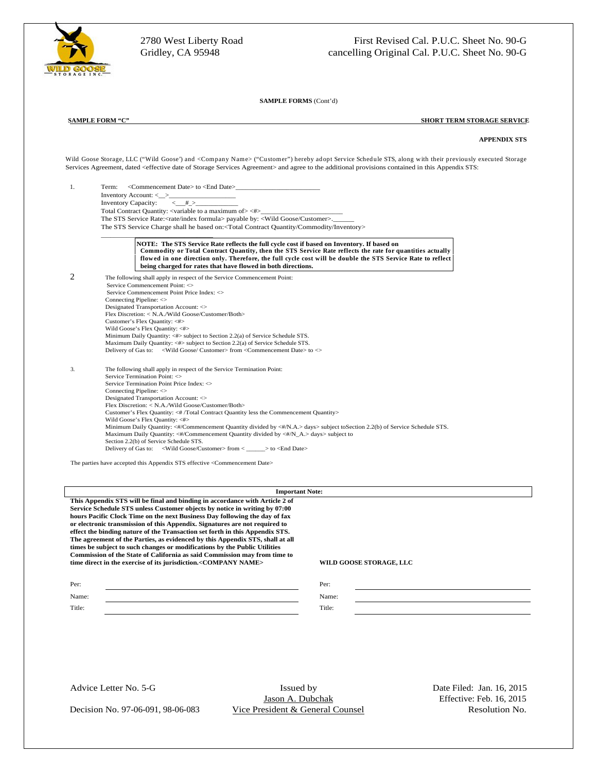

 $\overline{a}$ 

**SAMPLE FORMS** (Cont'd)

#### **SAMPLE FORM "C" SHORT TERM STORAGE SERVICE**

#### **APPENDIX STS**

Wild Goose Storage, LLC ("Wild Goose') and <Company Name> ("Customer") hereby adopt Service Schedule STS, along with their previously executed Storage Services Agreement, dated <effective date of Storage Services Agreement> and agree to the additional provisions contained in this Appendix STS:



The parties have accepted this Appendix STS effective <Commencement Date>

| <b>Important Note:</b>                                                        |                                |
|-------------------------------------------------------------------------------|--------------------------------|
| This Appendix STS will be final and binding in accordance with Article 2 of   |                                |
| Service Schedule STS unless Customer objects by notice in writing by 07:00    |                                |
| hours Pacific Clock Time on the next Business Day following the day of fax    |                                |
| or electronic transmission of this Appendix. Signatures are not required to   |                                |
| effect the binding nature of the Transaction set forth in this Appendix STS.  |                                |
| The agreement of the Parties, as evidenced by this Appendix STS, shall at all |                                |
| times be subject to such changes or modifications by the Public Utilities     |                                |
| Commission of the State of California as said Commission may from time to     |                                |
| time direct in the exercise of its jurisdiction. <company name=""></company>  | <b>WILD GOOSE STORAGE, LLC</b> |
|                                                                               |                                |
|                                                                               |                                |
| rer:                                                                          |                                |
| Name:                                                                         |                                |
|                                                                               |                                |
| Title:                                                                        |                                |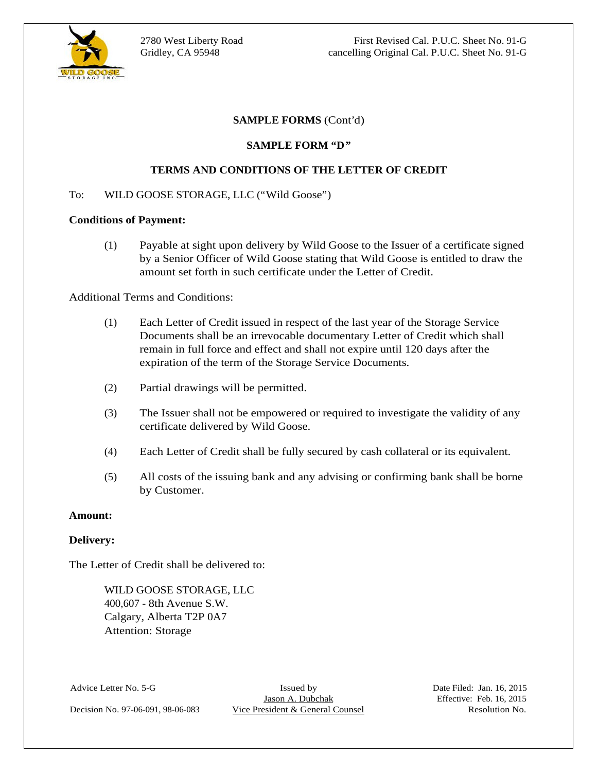

 $\overline{a}$ 

#### **SAMPLE FORMS** (Cont'd)

#### **SAMPLE FORM "D"**

#### **TERMS AND CONDITIONS OF THE LETTER OF CREDIT**

#### To: WILD GOOSE STORAGE, LLC ("Wild Goose")

#### **Conditions of Payment:**

(1) Payable at sight upon delivery by Wild Goose to the Issuer of a certificate signed by a Senior Officer of Wild Goose stating that Wild Goose is entitled to draw the amount set forth in such certificate under the Letter of Credit.

#### Additional Terms and Conditions:

- (1) Each Letter of Credit issued in respect of the last year of the Storage Service Documents shall be an irrevocable documentary Letter of Credit which shall remain in full force and effect and shall not expire until 120 days after the expiration of the term of the Storage Service Documents.
- (2) Partial drawings will be permitted.
- (3) The Issuer shall not be empowered or required to investigate the validity of any certificate delivered by Wild Goose.
- (4) Each Letter of Credit shall be fully secured by cash collateral or its equivalent.
- (5) All costs of the issuing bank and any advising or confirming bank shall be borne by Customer.

#### **Amount:**

#### **Delivery:**

The Letter of Credit shall be delivered to:

WILD GOOSE STORAGE, LLC<br>400,607 - 8th Avenue S.W. Calgary, Alberta T2P 0A7 Attention: Storage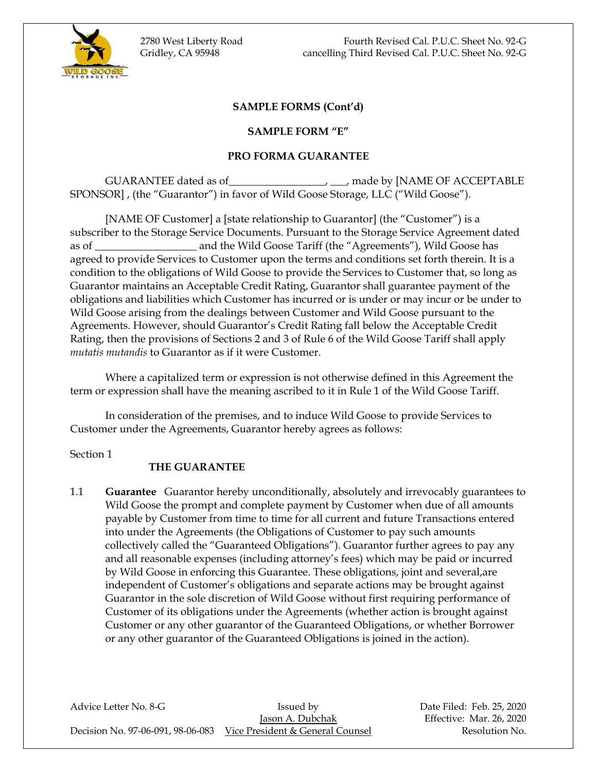

2780 West Liberty Road Fourth Revised Cal. P.U.C. Sheet No. 92-G Gridley, CA 95948 cancelling Third Revised Cal. P.U.C. Sheet No. 92-G

## **SAMPLE FORMS (Cont'd)**

#### **SAMPLE FORM "E"**

#### **PRO FORMA GUARANTEE**

GUARANTEE dated as of\_\_\_\_\_\_\_\_\_\_\_\_\_\_\_\_\_\_, \_\_\_, made by [NAME OF ACCEPTABLE SPONSOR] , (the "Guarantor") in favor of Wild Goose Storage, LLC ("Wild Goose").

[NAME OF Customer] a [state relationship to Guarantor] (the "Customer") is a subscriber to the Storage Service Documents. Pursuant to the Storage Service Agreement dated as of \_\_\_\_\_\_\_\_\_\_\_\_\_\_\_\_\_\_\_ and the Wild Goose Tariff (the "Agreements"), Wild Goose has agreed to provide Services to Customer upon the terms and conditions set forth therein. It is a condition to the obligations of Wild Goose to provide the Services to Customer that, so long as Guarantor maintains an Acceptable Credit Rating, Guarantor shall guarantee payment of the obligations and liabilities which Customer has incurred or is under or may incur or be under to Wild Goose arising from the dealings between Customer and Wild Goose pursuant to the Agreements. However, should Guarantor's Credit Rating fall below the Acceptable Credit Rating, then the provisions of Sections 2 and 3 of Rule 6 of the Wild Goose Tariff shall apply *mutatis mutandis* to Guarantor as if it were Customer.

Where a capitalized term or expression is not otherwise defined in this Agreement the term or expression shall have the meaning ascribed to it in Rule 1 of the Wild Goose Tariff.

In consideration of the premises, and to induce Wild Goose to provide Services to Customer under the Agreements, Guarantor hereby agrees as follows:

Section 1

#### **THE GUARANTEE**

1.1 **Guarantee** Guarantor hereby unconditionally, absolutely and irrevocably guarantees to Wild Goose the prompt and complete payment by Customer when due of all amounts payable by Customer from time to time for all current and future Transactions entered into under the Agreements (the Obligations of Customer to pay such amounts collectively called the "Guaranteed Obligations"). Guarantor further agrees to pay any and all reasonable expenses (including attorney's fees) which may be paid or incurred by Wild Goose in enforcing this Guarantee. These obligations, joint and several,are independent of Customer's obligations and separate actions may be brought against Guarantor in the sole discretion of Wild Goose without first requiring performance of Customer of its obligations under the Agreements (whether action is brought against Customer or any other guarantor of the Guaranteed Obligations, or whether Borrower or any other guarantor of the Guaranteed Obligations is joined in the action).

Advice Letter No. 8-G **Issued by** Bate Filed: Feb. 25, 2020 Jason A. Dubchak Effective: Mar. 26, 2020 Decision No. 97-06-091, 98-06-083 Vice President & General Counsel Resolution No.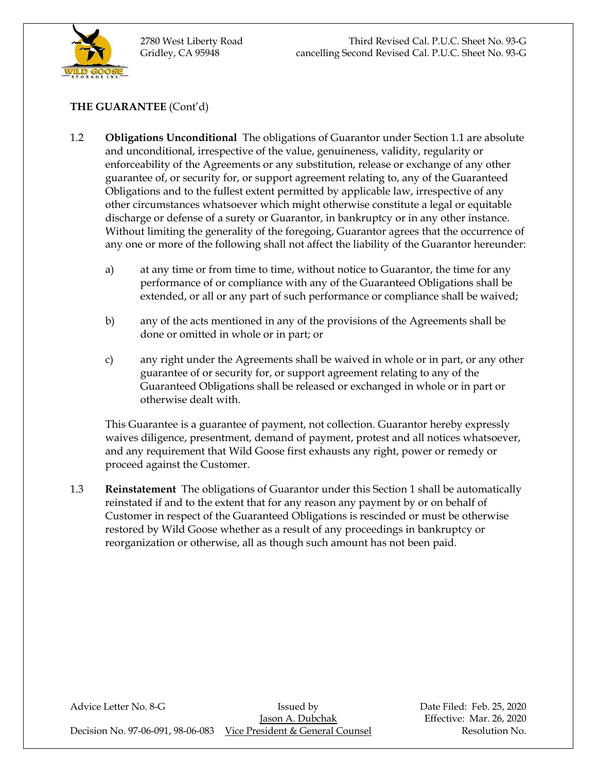

# **THE GUARANTEE** (Cont'd)

- 1.2 **Obligations Unconditional** The obligations of Guarantor under Section 1.1 are absolute and unconditional, irrespective of the value, genuineness, validity, regularity or enforceability of the Agreements or any substitution, release or exchange of any other guarantee of, or security for, or support agreement relating to, any of the Guaranteed Obligations and to the fullest extent permitted by applicable law, irrespective of any other circumstances whatsoever which might otherwise constitute a legal or equitable discharge or defense of a surety or Guarantor, in bankruptcy or in any other instance. Without limiting the generality of the foregoing, Guarantor agrees that the occurrence of any one or more of the following shall not affect the liability of the Guarantor hereunder:
	- a) at any time or from time to time, without notice to Guarantor, the time for any performance of or compliance with any of the Guaranteed Obligations shall be extended, or all or any part of such performance or compliance shall be waived;
	- b) any of the acts mentioned in any of the provisions of the Agreements shall be done or omitted in whole or in part; or
	- c) any right under the Agreements shall be waived in whole or in part, or any other guarantee of or security for, or support agreement relating to any of the Guaranteed Obligations shall be released or exchanged in whole or in part or otherwise dealt with.

This Guarantee is a guarantee of payment, not collection. Guarantor hereby expressly waives diligence, presentment, demand of payment, protest and all notices whatsoever, and any requirement that Wild Goose first exhausts any right, power or remedy or proceed against the Customer.

1.3 **Reinstatement** The obligations of Guarantor under this Section 1 shall be automatically reinstated if and to the extent that for any reason any payment by or on behalf of Customer in respect of the Guaranteed Obligations is rescinded or must be otherwise restored by Wild Goose whether as a result of any proceedings in bankruptcy or reorganization or otherwise, all as though such amount has not been paid.

| Advice Letter No. 8-G             | Issued by                        | Date Filed: Feb. 25, 2020 |
|-----------------------------------|----------------------------------|---------------------------|
|                                   | Jason A. Dubchak                 | Effective: Mar. 26, 2020  |
| Decision No. 97-06-091, 98-06-083 | Vice President & General Counsel | Resolution No.            |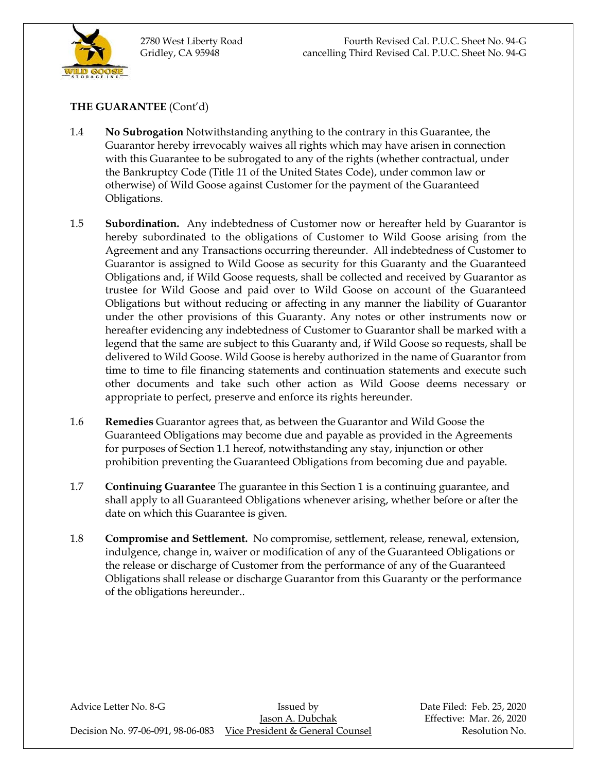

2780 West Liberty Road Fourth Revised Cal. P.U.C. Sheet No. 94-G Gridley, CA 95948 cancelling Third Revised Cal. P.U.C. Sheet No. 94-G

# **THE GUARANTEE** (Cont'd)

- 1.4 **No Subrogation** Notwithstanding anything to the contrary in this Guarantee, the Guarantor hereby irrevocably waives all rights which may have arisen in connection with this Guarantee to be subrogated to any of the rights (whether contractual, under the Bankruptcy Code (Title 11 of the United States Code), under common law or otherwise) of Wild Goose against Customer for the payment of the Guaranteed Obligations.
- 1.5 **Subordination.** Any indebtedness of Customer now or hereafter held by Guarantor is hereby subordinated to the obligations of Customer to Wild Goose arising from the Agreement and any Transactions occurring thereunder. All indebtedness of Customer to Guarantor is assigned to Wild Goose as security for this Guaranty and the Guaranteed Obligations and, if Wild Goose requests, shall be collected and received by Guarantor as trustee for Wild Goose and paid over to Wild Goose on account of the Guaranteed Obligations but without reducing or affecting in any manner the liability of Guarantor under the other provisions of this Guaranty. Any notes or other instruments now or hereafter evidencing any indebtedness of Customer to Guarantor shall be marked with a legend that the same are subject to this Guaranty and, if Wild Goose so requests, shall be delivered to Wild Goose. Wild Goose is hereby authorized in the name of Guarantor from time to time to file financing statements and continuation statements and execute such other documents and take such other action as Wild Goose deems necessary or appropriate to perfect, preserve and enforce its rights hereunder.
- 1.6 **Remedies** Guarantor agrees that, as between the Guarantor and Wild Goose the Guaranteed Obligations may become due and payable as provided in the Agreements for purposes of Section 1.1 hereof, notwithstanding any stay, injunction or other prohibition preventing the Guaranteed Obligations from becoming due and payable.
- 1.7 **Continuing Guarantee** The guarantee in this Section 1 is a continuing guarantee, and shall apply to all Guaranteed Obligations whenever arising, whether before or after the date on which this Guarantee is given.
- 1.8 **Compromise and Settlement.** No compromise, settlement, release, renewal, extension, indulgence, change in, waiver or modification of any of the Guaranteed Obligations or the release or discharge of Customer from the performance of any of the Guaranteed Obligations shall release or discharge Guarantor from this Guaranty or the performance of the obligations hereunder..

Advice Letter No. 8-G **Issued by** Bate Filed: Feb. 25, 2020 Jason A. Dubchak Effective: Mar. 26, 2020 Decision No. 97-06-091, 98-06-083 Vice President & General Counsel Resolution No.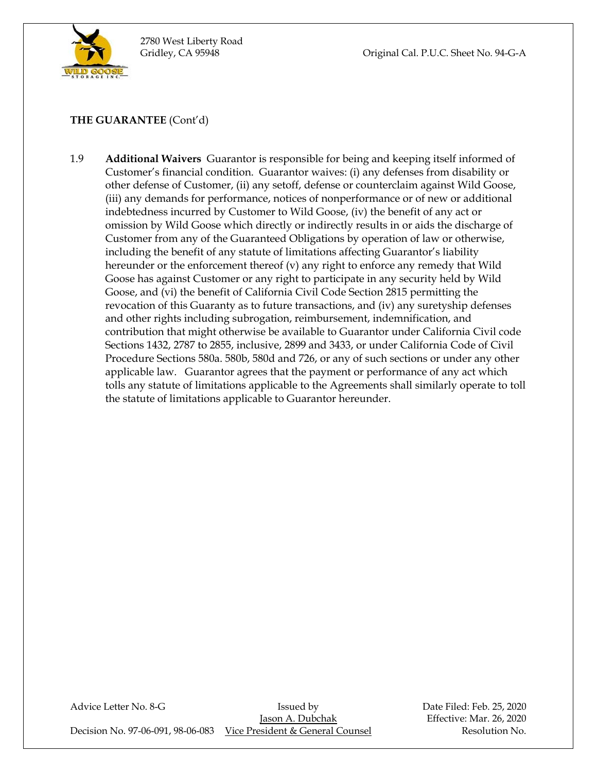

Gridley, CA 95948 Original Cal. P.U.C. Sheet No. 94-G-A

# **THE GUARANTEE** (Cont'd)

1.9 **Additional Waivers** Guarantor is responsible for being and keeping itself informed of Customer's financial condition. Guarantor waives: (i) any defenses from disability or other defense of Customer, (ii) any setoff, defense or counterclaim against Wild Goose, (iii) any demands for performance, notices of nonperformance or of new or additional indebtedness incurred by Customer to Wild Goose, (iv) the benefit of any act or omission by Wild Goose which directly or indirectly results in or aids the discharge of Customer from any of the Guaranteed Obligations by operation of law or otherwise, including the benefit of any statute of limitations affecting Guarantor's liability hereunder or the enforcement thereof (v) any right to enforce any remedy that Wild Goose has against Customer or any right to participate in any security held by Wild Goose, and (vi) the benefit of California Civil Code Section 2815 permitting the revocation of this Guaranty as to future transactions, and (iv) any suretyship defenses and other rights including subrogation, reimbursement, indemnification, and contribution that might otherwise be available to Guarantor under California Civil code Sections 1432, 2787 to 2855, inclusive, 2899 and 3433, or under California Code of Civil Procedure Sections 580a. 580b, 580d and 726, or any of such sections or under any other applicable law. Guarantor agrees that the payment or performance of any act which tolls any statute of limitations applicable to the Agreements shall similarly operate to toll the statute of limitations applicable to Guarantor hereunder.

Advice Letter No. 8-G **Issued by** Date Filed: Feb. 25, 2020 Jason A. Dubchak Effective: Mar. 26, 2020 Decision No. 97-06-091, 98-06-083 Vice President & General Counsel Resolution No.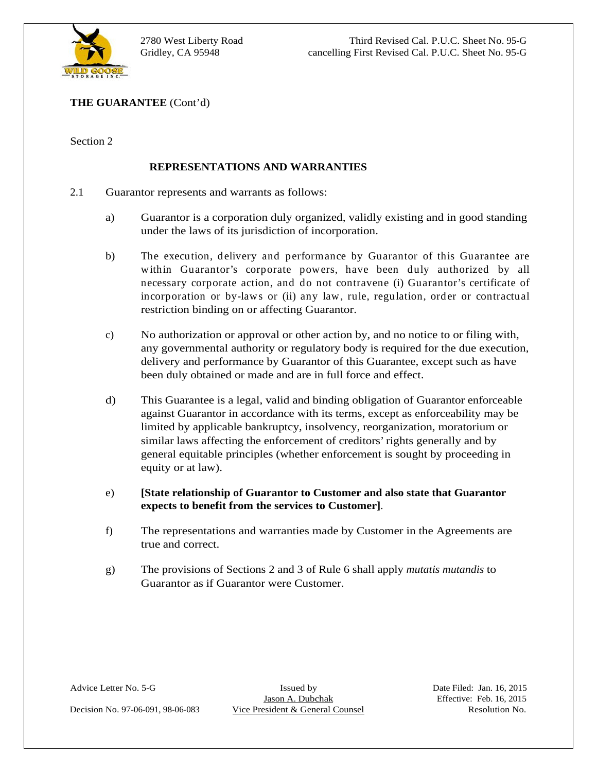

- 2.1 Guarantor represents and warrants as follows:
	- a) Guarantor is a corporation duly organized, validly existing and in good standing under the laws of its jurisdiction of incorporation.
	- b) The execution, delivery and performance by Guarantor of this Guarantee are within Guarantor's corporate powers, have been duly authorized by all necessary corporate action, and do not contravene (i) Guarantor's certificate of incorporation or by-laws or (ii) any law, rule, regulation, order or contractual restriction binding on or affecting Guarantor.
	- c) No authorization or approval or other action by, and no notice to or filing with, any governmental authority or regulatory body is required for the due execution, delivery and performance by Guarantor of this Guarantee, except such as have been duly obtained or made and are in full force and effect.
- **THE GUARANTEE (Com-G)**<br> **EVIENTSENTATIONS AND WARRANTIES**<br> **Counsel represents and warrants as follows:**<br> **D**<br> **Counsel The laws of the president on the morphorism.<br>
<b>D**<br> **D**<br> **D**<br> **D**<br> **Contextion Addiverg and performan** d) This Guarantee is a legal, valid and binding obligation of Guarantor enforceable against Guarantor in accordance with its terms, except as enforceability may be limited by applicable bankruptcy, insolvency, reorganization, moratorium or similar laws affecting the enforcement of creditors' rights generally and by general equitable principles (whether enforcement is sought by proceeding in equity or at law).
	- e) **[State relationship of Guarantor to Customer and also state that Guarantor expects to benefit from the services to Customer].**<br> **f**) The representations and warranties made by Customer in the Agreements are
	- true and correct.
	- g) The provisions of Sections 2 and 3 of Rule 6 shall apply *mutatis mutandis* to Guarantor as if Guarantor were Customer.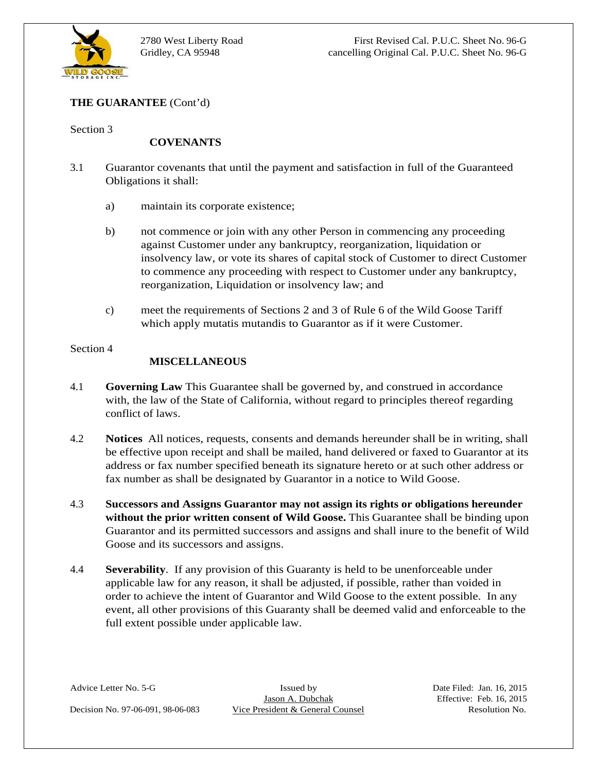

2780 West Liberty Road First Revised Cal. P.U.C. Sheet No. 96-G Gridley, CA 95948 cancelling Original Cal. P.U.C. Sheet No. 96-G

#### **COVENANTS**

- 3.1 Guarantor covenants that until the payment and satisfaction in full of the Guaranteed Obligations it shall:
	- a) maintain its corporate existence;
	- b) not commence or join with any other Person in commencing any proceeding against Customer under any bankruptcy, reorganization, liquidation or insolvency law, or vote its shares of capital stock of Customer to direct Customer to commence any proceeding with respect to Customer under any bankruptcy, reorganization, Liquidation or insolvency law; and
	- c) meet the requirements of Sections 2 and 3 of Rule 6 of the Wild Goose Tariff which apply mutatis mutandis to Guarantor as if it were Customer.

#### Section 4

#### **MISCELLANEOUS**

- 4.1 **Governing Law** This Guarantee shall be governed by, and construed in accordance with, the law of the State of California, without regard to principles thereof regarding conflict of laws.
- 4.2 **Notices** All notices, requests, consents and demands hereunder shall be in writing, shall be effective upon receipt and shall be mailed, hand delivered or faxed to Guarantor at its address or fax number specified beneath its signature hereto or at such other address or fax number as shall be designated by Guarantor in a notice to Wild Goose.
- 4.3 **Successors and Assigns Guarantor may not assign its rights or obligations hereunder without the prior written consent of Wild Goose.** This Guarantee shall be binding upon Guarantor and its permitted successors and assigns and shall inure to the benefit of Wild Goose and its successors and assigns.
- THE GUARANTEE (Com-ci)<br>
COVENANTS<br>
Contrast to the until the payment and satisfaction in full of the Guaranteed<br>
Obligations it stall:<br>
(Objections the until the payende existence):<br>
(a) maintain its corporate existence): 4.4 **Severability**. If any provision of this Guaranty is held to be unenforceable under applicable law for any reason, it shall be adjusted, if possible, rather than voided in order to achieve the intent of Guarantor and Wild Goose to the extent possible. In any event, all other provisions of this Guaranty shall be deemed valid and enforceable to the full extent possible under applicable law.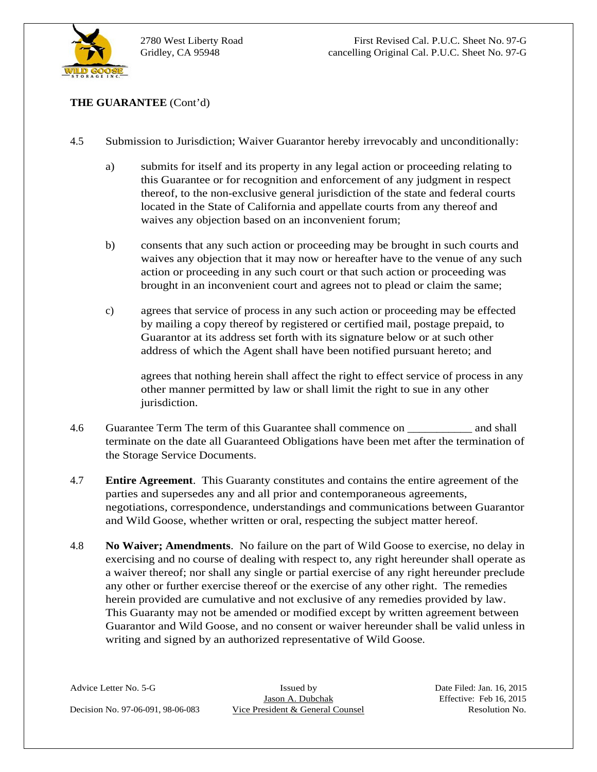

- - a) submits for itself and its property in any legal action or proceeding relating to this Guarantee or for recognition and enforcement of any judgment in respect thereof, to the non-exclusive general jurisdiction of the state and federal courts located in the State of California and appellate courts from any thereof and waives any objection based on an inconvenient forum;
	- b) consents that any such action or proceeding may be brought in such courts and waives any objection that it may now or hereafter have to the venue of any such action or proceeding in any such court or that such action or proceeding was brought in an inconvenient court and agrees not to plead or claim the same;
	- c) agrees that service of process in any such action or proceeding may be effected by mailing a copy thereof by registered or certified mail, postage prepaid, to Guarantor at its address set forth with its signature below or at such other address of which the Agent shall have been notified pursuant hereto; and

agrees that nothing herein shall affect the right to effect service of process in any other manner permitted by law or shall limit the right to sue in any other jurisdiction.

- 4.6 Guarantee Term The term of this Guarantee shall commence on \_\_\_\_\_\_\_\_\_\_\_ and shall terminate on the date all Guaranteed Obligations have been met after the termination of the Storage Service Documents.<br> **4.7 Entire Agreement**. This Guaranty constitutes and contains the entire agreement of the
- parties and supersedes any and all prior and contemporaneous agreements, negotiations, correspondence, understandings and communications between Guarantor
- THE GUARANTEE (Cont'd)<br>
Submission to Jurisdiction, Waiver Guarantor hereby in the stead on proceding relation<br>
this Guarantee of for recognition and carbocoment of any judgment in respect<br>
thereof, the throse exclusive g and Wild Goose, whether written or oral, respecting the subject matter hereof.<br>4.8 **No Waiver; Amendments**. No failure on the part of Wild Goose to exercise, no delay in exercising and no course of dealing with respect to, any right hereunder shall operate as a waiver thereof; nor shall any single or partial exercise of any right hereunder preclude any other or further exercise thereof or the exercise of any other right. The remedies herein provided are cumulative and not exclusive of any remedies provided by law. This Guaranty may not be amended or modified except by written agreement between Guarantor and Wild Goose, and no consent or waiver hereunder shall be valid unless in writing and signed by an authorized representative of Wild Goose.